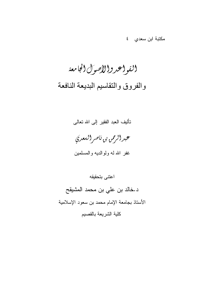مكتبة ابن سعدي ٤

(لقو (محرو(الأصول (لجا معة والفروق والتقاسيم البديعة النافعة

تأليف العبد الفقير إلىي الله تعالى



غفر الله له ولوالديه والمسلمين

اعتنى بتحقيقه د.خالد بن على بن محمد المشيقح الأستاذ بجامعة الإمام محمد بن سعود الإسلامية كلية الشريعة بالقصيم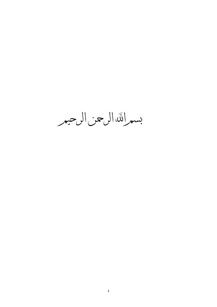بسمر اللّه الرحن الرحيمر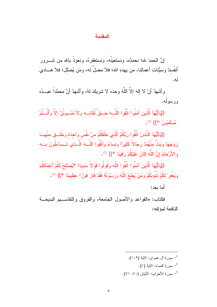### المقدمة

إِنَّ الْحِمدَ لله؛ نحمدُه، ونستعينُه، ونستغفر هُ، ونعوذُ بالله من شــــرور أَنفُسنا وسبَّنات أعمالنا، مَن يهده الله؛ فلا مضلَّ له، ومَن يُضْلُل؛ فلا هـــاديَ له.

وأشهدُ أنْ لا إلهَ إلاَّ اللَّهُ وحدَه لا شريكَ لهُ، وأشهدُ أنَّ محمَّداً عبـــدُه ورسولُه.

{{يَاأَيُّهَا الَّذِينَ آمَنُوا اتَّقُوا اللَّـــهَ حَـــقٌّ تُقَاتـــه وَلاَ تَمُــوتُنَّ إلاَّ وَأَنْــتُمْ مُسْلَمُونَ \*}} (1).

{{يَاأَيُّهَا النَّاسُ اتَّقُوا رَبَّكُمُ الَّذي خَلَقَكُمْ منْ نَفْس وَاحدَة وَخَلَــقَ منْهَــا زَوْجَهَا وَبَثَّ مِنْهُمَا رِجَالاً كَثِيرًا وَنِسَاءً وَاتَّقُوا اللَّـــهَ الَّـــذي تَــسَاءَلُونَ بـــه وَالأَرْحَامَ إِنَّ اللَّهَ كَانَ عَلَيْكُمْ رِقِيبًا \*}} <sup>(2)</sup>.

{{يَاأَيُّهَا الَّذِينَ آمَنُوا اتَّقُوا اللَّهَ وَقُولُوا قَوْلاً سَدِيدًا \*يُصلْحْ لَكُمْ أَعْمَالَكُمْ وَيَغْفِرْ لَكُمْ ذُنُوبَكُمْ وَمَنْ يُطعْ اللَّهَ وَرَسُولَهُ فَقَدْ فَازَ فَوَرْاً عَظِيمًا \*}} <sup>(3)</sup>.

أما يعد:

فكتاب: «القواعد والأصول الجامعة، والفروق والنقاســيم البديعـــة النافعة لمؤلفه:

> - سورة آل عمران: الآية (١٠٢). سورة النساء: الآية (١).  $^{-2}$ <sup>3</sup>– سورة الأحزاب: الآينان (٧٠، ٧١).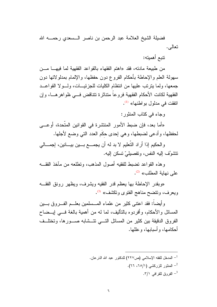فضيلة الشيخ العلامة عبد الرحمن بن ناصر الـــسعدي رحمــــه الله نعالي.

نتدم أهمبته:

من طبيعة مادنه، فقد «اهتم الفقهاء بالقواعد الفقهية لما فيهــا مـــن سهولة العلم والإحاطة بأحكام الفر و ع دون حفظها، والإلمام بمدلو لاتها دون جمعها، ولما ينزنب عليها من انتظام الكليات للجزئيسات، ولسولا القواعــد الفقهية لكانت الأحكام الفقهية فروعا متناثرة تتناقض فسي ظواهرهـــا، وإن انفقت في مدلول بو اطنها» <sup>(1)</sup>.

وحاء في كتاب المنثور:

«أما بعد، فإن ضبط الأمور المنتشرة في القوانين المتَّحدة، أوعـــي لحفظها، وأدعى لضبطها، وهي إحدى حكَم العدد التي وضع لأجلها.

والحكيم إذا أراد التَّعليم لا بد له أن يجمـــع بـــين بيـــانين، إجمـــالـي نتشوَّف اليه النفس، وتفصيليّ نسكن اليه.

وهذه القواعد نضبط للفقيه أصول المذهب، ونطلعه من مأخذ الفقــه على نهابة المطلب» <sup>(2)</sup>.

«وبقدر الإحاطة بها يعظم قدر الفقيه ويشرف، ويظهر رونق الفقــه ويعرف، ونتضح مناهج الفتوى وتكشف» <sup>(3)</sup>.

وأيضـاً: فقد اعتنـى كثير من علمـاء المـــسلمين بـعلـــم الفــــروق بــــين المسائل والأحكام، وأفردوه بالتأليف، لما له من أهمية بالغة فـــي إبـــضاح الفروق الدقيقة بين كثير من المسائل التسى نتسشابه صـــورها، وتختلسف أحكامها، و أسبابها، و عللها.

> <sup>1</sup>– المدخل للفقه الإسلامي (ص٢٢٧) للدكتور عبد الله الدَر عان. <sup>2</sup>– المنثور للزركشى (٦٥/١، ٢٦). الفروق للقرافي ٢/١.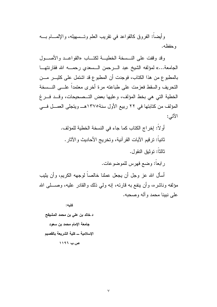وأيضـاً: الفروق كالقواعد في نقريب العلم وتـــسهيله، والإلمــــام بــــه و حفظه.

وقد وقفت على النسسخة الخطيسة لكتساب «القواعــد والأصـــول الجامعة...» لمؤلفه الشيخ عبد السرحمن السسعدي رحمـــه الله فقارنتهـــا بالمطبوع من هذا الكتاب، فوجدت أن المطبوع قد اشتمل على كثيـــر مـــن النحريف والسقط فعزمت على طباعته مرة أخرى معتمداً علـــى النـــسخة الخطية التي هي بخط المؤلف، وعليها بعض التــصحيحات، وقــد فـــرغ المؤلف من كتابتها في ٢٢ ربيع الأول سنة١٣٧٥هــ ويتجلى العمـــل فـــي الآتي:

> أو لا: إخراج الكتاب كما جاء في النسخة الخطية للمؤلف. ثانياً: ترقيم الآيات القرآنية، وتخريج الأحاديث والآثار . ثالثاً: تو ثبق النقو ل.

> > رابعا: وضع فهرس للموضوعات.

أسأل الله عز وجل أن يجعل عملنا خالصاً لوجهه الكريم، وأن يثيب مؤلفه وناشره، وأن ينفع به قارئه، إنه ولـى ذلك والقادر عليه، وصــــلـى الله على نبينا محمد وأله وصحبه.

كتبه: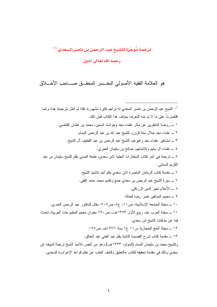## ترجمة مُوجَزة للشيخ عبد الرحمن بن ناصر السعدي <sup>(1)</sup> رحمه الله تعالى آمين

هو العلامة الفقيه الأصولي المفسر المحقق صــاحب الأخـــلاق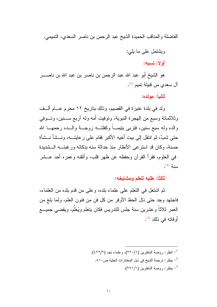$\mathcal{N}$ 

الفاضلة والمناقب الحميدة الشيخ عبد الرحمن بن ناصر السعدي، النميمي.

ويشتمل على ما بلي: أو لاً: نسبه:

هو الشيخ أبو عبد الله عبد الرحمن بن ناصر بن عبد الله بن ناصـــــر آل سعدي من قبيلة تميم <sup>(1)</sup>.

ثانياً: مولده:

ولد في بلدة عنيزة في القصيم، وذلك بتاريخ ١٢ محرم عــام ألــف وثلاثمائة وسبع من الهجرة النبوية، ونوفيت أمه وله أربع ســـنين، وتـــوفي والده وله سبع سنين، فتربى ينيمـــاً وكفلتـــه زوجـــة والـــده رحمهـــا الله حتى شبَّ، ثم انتقل إلى بيت أخيه الأكبر فقام على رعايتـــه، ونـــشأ نـــشأة حسنة، وكان قد استرعى الأنظار منذ حداثة سنه بذكائه ورغبتـــه الـــشديدة في العلوم، فقرأ القرآن وحفظه عن ظهر قلب، وأنقنه وعمره أحد عـــشر  $(2)$   $\lambda$  in

ثالثاً: طلبه للعلم ومشايخه:

ثم اشتغل في النعلم على علماء بلده، وعلى من قدم بلده من العلماء، فاجتهد وجد حتى نال الحظ الأوفر من كل فن من فنون العلم، ولما بلغ من العمر ثلاثًا وعشرين سنة جلس للتدريس فكان يتعلم ويُعَلِّم، ويقضي جميــــع أوقاته في ذلك <sup>(3)</sup>.

> <sup>1</sup>– انظر : روضة الناظرين (١/ ٢٢٠)، وعلماء نجد (٢/٢٢). . - ينظر : ترجمة الشيخ في ذيل المختار ات الجلية ص $\cdot$  1 ؛  $^{-2}$ ينظر : روضة الناظرين (١/ ٢٢١).  $^{-3}$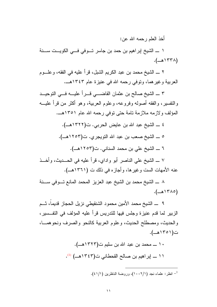أخذ العلم رحمه الله عن:

 $(-\triangle^{\dagger}T\wedge)$ 

٢ \_ الشيخ محمد بن عبد الكريم الشبل، قرأ عليه في الفقه، وعلـــوم العربية وغير هما، ونوفي رحمه الله في عنيزة عام ١٣٤٣هــ.

٣ \_ الشيخ صالح بن عثمان القاضـــي قـــراً عليـــه فـــي النوحيــد والنفسير، والفقه أصوله وفروعه، وعلوم العربية، وهو أكثر من قرأ عليـــه المؤلف و لاز مه ملاز مة تامة حتى توفى رحمه الله عام ١٣٥١هـ.

٤ \_ الشيخ عبد الله بن عايض الحربي. ت(١٣٢٢هـ). ٥ \_ الشيخ صعب بن عبد الله النويجري. ت(١٢٥٣هــ). ٦ \_ الشيخ على بن محمد السناني. ت(١٢٥٣هـ).

٧ ـــ الشيخ على الناصر أبو واداي، قرأ عليه في الـحـــديث، وأخـــذ عنه الأمهات الست وغيرها، وأجازه في ذلك ت (١٣٦١هــ).

٨ \_ الشيخ محمد بن الشيخ عبد العزيز المحمد المانع تـوفي ســـنة  $(-\triangle)^{\uparrow}\wedge\circ)$ 

الزبير لما قدم عنيز ة وجلس فيها للندريس قرأ عليه المؤلف في النفسير ، والحديث، ومصطلح الحديث، وعلوم العربية كالنحو والصرف ونحوهمــا، ن(۱۳۵۱هـ).

- ١٠ ــــ محمد بن عبد الله بن سليم ت(١٣٢٣هــ). ١١ \_ إبراهيم بن صالح القحطاني ت(١٣٤٣هــ) (١).
	- <sup>1</sup>– انظر : علماء نجد (١٠٠٢/١)، وروضة الناظرين (١/١).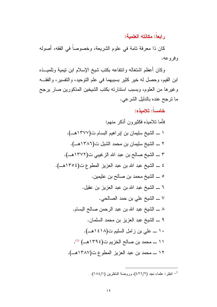## ر ابعاً: مكانته العلمية:

كان ذا معرفة تامة في علوم الشريعة، وخصوصاً في الفقه، أصوله و فر و عه.

وكان أعظم اشتغاله وانتفاعه بكتب شيخ الإسلام ابن نيمية ونلميــذه ابن القيم، وحصل له خير كثير بسببهما في علم التوحيد، والنفسير، والفقــه وغيرها من العلوم، وبسبب استنارته بكتب الشيخين المذكورين صار يرجح ما نرجح عنده بالدليل الشرعي.

## خامساً: تلامىذه:

فأما نلاميذه فكثيرون أذكر منهم: ١ \_ الشيخ سليمان بن إبراهيم البسام ت(٣٧٧هـ). ٢ \_ الشيخ سليمان بن محمد الشبل ت(٣٨٦هـ). ٣ \_ الشيخ صالح بن عبد الله الزغيبي ت(١٣٧٢هـ). ٤ \_ الشيخ عبد الله بن عبد العزيز المطوع ت(١٣٥٤هـ). ٥ \_ الشيخ محمد بن صالح بن عثيمين. ٦ \_ الشيخ عبد الله بن عبد العزيز بن عقيل. ٧ ـــ الشيخ على بن حمد الصـالحي. ٨ \_ الشيخ عبد الله بن عبد الرحمن صالح البسام. ٩ \_ الشيخ عبد العزيز بن محمد السلمان. ١٠ ـــ على بن زامل السليم ت(٤١٨ هـ). ١١ ـــ محمد بن صالح الخزيم ت(١٣٩٤هـــ) (1). ١٢ ـــ محمد بن عبد العزيز المطوع ت(١٣٨٧هــ).

<sup>1</sup>– انظر : علماء نجد (٤٢٦/٢)، وروضة الناظرين (١٨٤/١).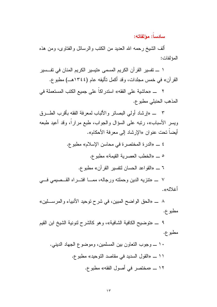سادساً: مؤلفاته:

ألف الشيخ رحمه الله العديد من الكتب والرسائل والفتاوى، ومن هذه المؤلفات:

١ ـــــ تفسير القرآن الكريم المسمى «تيسير الكريم المنان في تفـــسير القرآن» في خمس مجلدات، وقد أكمل تأليفه عام (١٣٤٤هـ) مطبوع.

٢ ـــ «حاشية على الفقه» استدر اكاً على جميع الكتب المستعملة في المذهب الحنبلي مطبوع.

٣ \_ «إرشاد أولى البصائر والألباب لمعرفة الفقه بأقرب الطـــرق ويسر الأسباب»، رتبه على السؤال والجواب، طبع مراراً، وقد أعيد طبعه أيضاً تحت عنوان «الإرشاد إلى معرفة الأحكام».

٤ \_ «الدرة المختصرة في محاسن الإسلام» مطبوع. 0 \_ «الخطب العصرية القيمة» مطبوع. ٦ \_ «القواعد الحسان لتفسير القرآن» مطبوع. Y «تنزيه الدين و حملته و رجاله، ممـــا افتـــر اه القـــصيمي فــــي

أغلاله».

ــ «الحق الواضح المبين، في شرح نوحيد الأنبياء والمرســـلين» مطبوع.

٩ \_ «توضيح الكافية الشافية»، و هو كالشرح لنونية الشيخ ابن القيم مطبوع.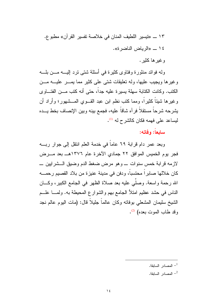١٣ \_ «تيسير اللطيف المنان في خلاصة تفسير القرآن» مطبوع. ١٤ \_ «الرياض الناضرة». وغيرها كثير .

وله فوائد منثورة وفتاوى كثيرة في أسئلة شتى نرد إليـــه مـــن بلـــه وغيرها ويجيب عليها، وله نعليقات شتى على كثير مما يمـــر عليـــه مـــن الكتب. وكانت الكتابة سهلة بسيرة عليه جداً، حتى أنه كتب مـــن الفتــــاوي وغيرها شيئًا كثيرًا، ومما كتب نظم ابن عبد القـــوى المـــشهور؛ وأراد أن يشرحه شرحاً مستقلاً فرآه شاقاً عليه، فجمع بينه وبين الإنصاف بخط يـــده ليساعد على فهمه فكان كالشرح له <sup>(1)</sup>.

### سابعاً: وفاته:

وبعد عمر دام قرابة ٦٩ عاماً في خدمة العلم انتقل إلى جوار ربـــه فجر يوم الخميس الموافق ٢٢ جمادي الآخرة عام ١٣٧٦هــ بعد مــــرض لازمه قرابة خمس سنوات \_ وهو مرض ضغط الدم وضيق الــشرابين \_ كان خلالها صابراً محتسباً، ودفن في مدينة عنيزة من بلاد القصيم رحمــــه الله رحمة واسعة. وصلَّى عليه بعد صلاة الظهر في الجامع الكبير، وكـــان الناس في حشد عظيم امتلأ الجامع بـهم والشوار ع المحيطـة بـه. ولمــــا علـــم الشيخ سليمان المشعلي بوفاته وكان عالماً جليلاً قال: (مات اليوم عالم نجد وقد طاب الموت بعده) (2).

- المصادر السابقة. $^{-1}$
- المصادر السابقة. $^{-2}$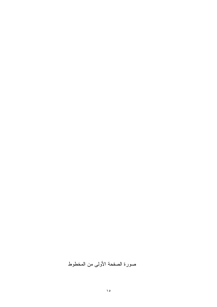## صورة الصفحة الأولى من المخطوط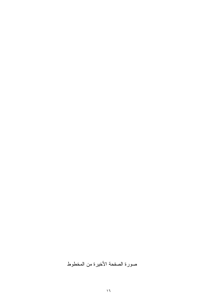## صورة الصفحة الأخيرة من المخطوط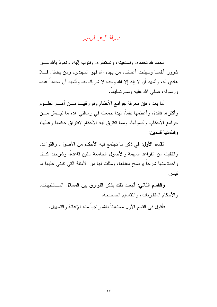بسمرائك الرحن الرحيمر

الحمد لله نحمده، ونستعبنه، ونستغفر ه، ونتوب البه، ونعوذ بالله مـــز، شرور أنفسنا وسيئات أعمالنا، من يهده الله فهو المهتدى، ومن يضلل فـــلا هادي له، وأشهد أن لا إله إلا الله وحده لا شريك له، وأشهد أن محمداً عبده ورسوله، صلى الله عليه وسلم تسليماً.

أما بعد ، فإن معرفة جوامع الأحكام وفوارقهـــا مـــن أهـــم العلـــوم و أكثر ها فائدة، و أعظمها نفعاً؛ لهذا جمعت في رسالتي هذه ما تيـــسّر مــــن جوامع الأحكام، وأصولها، ومما نفترق فيه الأحكام لافتراق حكمها وعللها، وقسّمتها قسمين:

القسم الأول: في ذكر ما تجتمع فيه الأحكام من الأصول، والقواعد، وانتقيت من القواعد المهمة والأصول الجامعة ستين قاعدة، وشرحت كل واحدة منها شرحاً بوضح معناها، ومثلت لها من الأمثلة التي تتبنى عليها ما نيسر .

والقسم الثاني: أتبعت ذلك بذكر الفوارق بين المسائل المسشتبهات، و الأحكام المتقاربات، و النقاسيم الصحيحة.

فأقول في القسم الأول مستعيناً بالله راجياً منه الإعانة والتسهيل.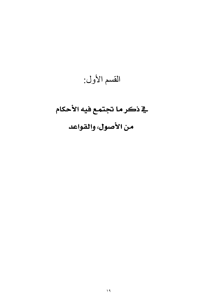# القسم الأول:

# ية ذكر ما تجتمع فيه الأحكام من الأصول، والقواعد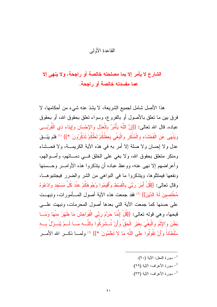### القاعدة الأولى

## الشارع لا يأمر إلا بما مصلحته خالصة أو راجحة، ولا ينهي إلا عما مفسدته خالصة أو راجحة.

هذا الأصل شامل لجميع الشريعة، لا يشذ عنه شيء من أحكامها، لا فر ق بين ما تعلق بالأصول أو بالفر و ع، وسواء تعلق بحقوق الله، أو بحقوق عباده. قال الله تعالى: {{إِنَّ اللَّهَ يَأْمُرُ بِالْعَدْلِ وَالإِحْسَانِ وَإِيتَاءِ ذِي الْقُرْبَـــي وَيَنْهَى عَنِ الْفَحْشَاءِ وَالْمُنْكَرِ وَالْبَغْىِ يَعظُكُمْ لَعَلَّكُمْ تَذَكَّرُونَ \*}} <sup>(1)</sup> فلم يَبْــقَ عدل و لا اِحسان و لا صلة اِلا أمر به في هذه الآية الكريمـــة، و لا فحـــشاء ومنكر متعلق بحقوق الله، ولا بغي على الخلق فسي دمـــائهم، وأمـــوالهم، وأعراضهم إلا نهى عنه، ووعظ عباده أن يتذكروا هذه الأوامـــر وحـــسنها ونفعها فيمتثلوها، ويتذكروا ما في النواهي من الشر والضرر فيجتنبوهــا، وقال تعالى: {{قُلْ أَمَرَ رَبِّي بِالْقِسْطِ وَأَقِيمُوا وُجُوهَكُمْ عِنْدَ كُلِّ مَسْجِدٍ وَادْعُوهُ مُخْلِصِينَ لَهُ الدِّينَ}} <sup>(2)</sup> فقد جمعت هذه الآية أصول المسأمورات، ونبهست على حسنها كما جمعت الآية التي بعدها أصول المحرمات، ونبهت علـــي قبحها، وهي قوله تعالى: {{قُلْ إِنَّمَا حَرَّمَ رَبِّي الْفَوَاحِشَ مَا ظَهَرَ مِنْهَا وَمَــا بَطَنَ وَالإِثْمَ وَالْبَغْيَ بِغَيْرِ الْحَقِّ وَأَنْ تُــشْرِكُوا بِاللَّـــه مَــا لَــمْ يُنَــزِّلْ بـــه سُلْطَاناً وَأَنْ تَقُولُوا عَلَى اللَّه مَا لاَ تَعْلَمُونَ \*}} <sup>(3)</sup> ولمـــا ذكـــر الله الأمـــر

- ـ سورة النحل: الآية (٩٠).
- ـ سورة الأعراف: الآية (٢٩).
- سورة الأعراف: الآية (٣٣).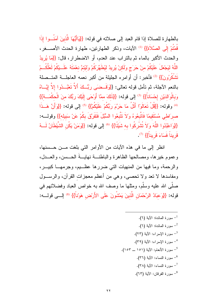بالطهارة للصلاة إذا قام العبد إلى صلاته في قوله: {{يَاأَيُّهَا الَّذِينَ آمَنُــوا إذَا قُمْتُمْ إِلَى الصَّلاَّة}} <sup>(1)</sup> الآيات، وذكر الطهارنين، طهارة الحدث الأصــــغر ، والحدث الأكبر بالماء ثم بالنراب عند العدم، أو الاضطرار، قال: {{مَا يُرِيدُ اللَّهُ ليَجْعَلَ عَلَيْكُمْ منْ حَرَجٍ وَلَكنْ يُرِيدُ ليُطَهِّرَكُمْ ولَيُتمَّ نعْمَتَهُ عَلَــ يْكُمْ لَعَلَّكُــمْ نَشْكُرُونَ}} <sup>(2)</sup> فأخبر : أن أو امر ه الجليلة من أكبر نعمه العاجلـــة المتــصلة بالنعم الآجلة، ثم تأمل قوله تعالى: {{وَقَــضَى رَبُّــكَ أَلاَّ تَعْبُــدُوا إلاَّ إِيَّــاهُ وَبِالْوَالِدَيْنِ إِحْسَاناً}} <sup>(3)</sup> إلى قوله: {{ذَلَكَ ممَّا أَوْحَى إِلَيْكَ رَبُّكَ منَ الْحكْمَـــة}} <sup>(4)</sup> و قو له: {{قُلْ تَعَالَوْ ٰا أَتْلُ مَا حَرَّمَ رَبُّكُمْ عَلَيْكُمْ}} <sup>(5)</sup> إلى قوله: {{وَأَنَّ هَــذَا صرَاطي مُسْتَقيمًا فَاتَّبِعُوهُ وَلاَ نَتَّبِعُوا السُّبُلَ فَتَفَرَّقَ بِكُمْ عَنْ سَبِيله}} وقولـــه: {{وَاعْبُدُوا اللَّهَ وَلاَ نُتْسْرِكُوا به شَيْئًا}} (6) إلى قوله: {{وَمَنْ يَكُنِ الشَّيْطَانُ لَـــهُ قَرِيناً فَسَاءَ قَرِيناً}} <sup>(7)</sup>.

انظر إلى ما في هذه الآيات من الأوامر التي بلغت مـــن حـــسنها، وعموم خيرها، ومصالحها الظاهرة والباطنـــة نهايـــة الـمـــسن، والعـــدل، والرحمة، وما فيها من المنهيات التي ضررها عظــيم، وجرمهـــا كبيـــر، ومفاسدها لا تعد ولا تحصبي، وهي من أعظم معجزات القرآن، والرســول صلَّى الله عليه وسلَّم، ومثلها ما وصف الله به خواص العباد وفضلائهم في قوله: {{وَعِبَادُ الرَّحْمَانِ الَّذينَ يَمْشُونَ عَلَى الأَرْضِ هَوْناً}} (8) إلـــى قولــــه:

> سورة المائدة: الآية (٦).  $^{-1}$ سورة المائدة: الآية (٦).  $^{-2}$ - سورة الإسراء: الآية (٢٣). <sup>4</sup> – سورة الإسراء: الآية (٣٩). <sup>5</sup>– سورة الأنعام: الآية (١٥١ ــ ١٥٣). <sup>6</sup>– سورة النساء: الآية (٣٦). سورة النساء: الآية (٣٨).  $^{-7}$ <sup>8</sup>- سورة الفرقان: الآية (٦٣).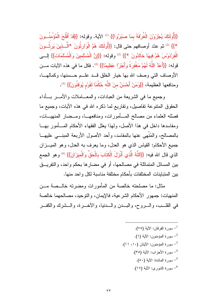{{أُولَئَكَ يُجْزَوَنَ الْغُرِّفَةَ بِمَا صَبَرُوا}} (1) الآية. وقوله: {{قَدْ أَفْلَحَ الْمُؤْمِنُسُونَ \*}} (2) ثم عدّد أوصافهم حتى قال: {{أُولَئَكَ هُمُ الْوَارِثُونَ \*الَّــذينَ يَرِثُــونَ الْفَرْدَوِّسَ هُمْ فِيهَا خَالِدُونَ \*}} (3) وقوله: {{إِنَّ الْمُسْلَمينَ وَالْمُسْلَمَات}} إلـــي قوله: {{أَعَدَّ اللَّهُ لَهُمْ مَغْفِرَةً وَأَجْرٍ ًا عَظيمًا}} <sup>(4)</sup>. فكل ما في هذه الآيات مـــن الأوصاف التي وصف الله بها خيار الخلق قــد علــم حــسنها، وكمالهــا، ومنافعها العظيمة، {{وَمَنْ أَحْسَنُ منَ اللَّه حُكْمًا لقَوْمٍ يُوقِنُونَ}} (3).

وجميع ما في الشريعة من العبادات، والمعـــاملات والأمــــر بـــأداء الحقوق المنتوعة نفاصيل، ونفاريع لما ذكره الله في هذه الأيات، وجميع ما فصلَّله العلماء من مصالح المسأمورات، ومنافعهــا، ومــضار المنهيـــات، ومفاسدها داخل في هذا الأصل، ولهذا يعلل الفقهاء الأحكام المسأمور بهــا بالمصالح، والمُنْهى عنها بالمفاسد، وأحد الأصول الأربعة المبنـــى عليهـــا جميع الأحكام: القياس الذي هو العدل، وما يعرف به العدل، وهو الميـــزان الذي قال الله فيه: {{اللَّهُ الَّذي أَنْزِلَ الْكتَابَ بِالْحَقِّ وَالْميزَانَ}} (6) وهو الجمع بين المسائل المتماثلة في مصالحها، أو في مضار ها بحكم واحد، والتفريــق بين المتباينات المختلفات بأحكام مختلفة مناسبة لكل واحد منها.

مثال: ما مصلحته خالصة من المأمورات ومضرته خالــصة مــن المنهيات: جمهور الأحكام الشرعية، فالإيمان، والنوحيد، مصالحهما خالصة في القلــب، والـــروح، والبـــدن والـــدنيا، والأخــــرة، والـــشرك والكفـــر

> – سورة الفرقان: الآية (٧٥). سورة المؤمنون: الآية (١).  $^{-2}$ - سورة المؤمنون: الآيتان (١٠، ١١). <sup>4</sup>- سورة الأحزاب: الآية (٣٥). <sup>5</sup>– سورة المائدة: الآية (٥٠). <sup>6</sup>– سورة الشورى: الآية (١٧).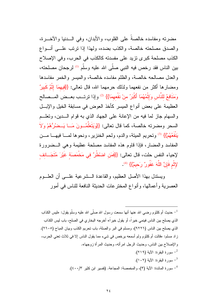مضرته ومفاسده خالصةً على القلوب، والأبدان، وفي الـــدنبا والآخـــرة، والصدق مصلحته خالصة، والكذب بضده، ولهذا إذا نرنب علــي أنــواع الكذب مصلحة كبرى نزيد على مفسدته كالكذب في الحرب، وفي الإصلاح بين الناس فقد رخص فيه النبي صلَّى الله عليه وسلَّم <sup>(1)</sup> لرجحان مصلحته، والعدل مصالحه خالصة، والظلم مفاسده خالصة، والمبسر والخمر مفاسدها ومضارها أكثر من نفعهما ولذلك حرمهما الله، قال تعالى: {{فِيهِمَا إِثْمٌ كَبِيرٌ وَمَنَافِعُ لِلنَّاسِ وَإِثْمُهُمَا أَكْبَرُ منْ نَفْعهمَا}} <sup>(2)</sup> وإذا ترتــب بعــض المــصالح العظيمة على بعض أنواع الميسر كأخذ العوض في مسابقة الخيل والإبسل والسهام جاز لما فيه من الإعانة على الجهاد الذي به قوام الـــدين، وتعلـــم السحر ومضرته خالصة، كما قال تعالى: {{وَيَتَعَلَّمُــونَ مَــا يَــضُرُّهُمْ وَلاَ يَنْفَعُهُمْ}} <sup>(3)</sup> وتحريم الميتة، والدم، ولحم الخنزير ، ونحوها لمــــا فيهــــا مـــن المفاسد والمضبار ، فإذا قاوم هذه المفاسد مصلحة عظيمة وهي البيضرورة لإحياء النفس حلت، قال تعالى: {{فَمَنِ اضْطُرَّ فِي مَخْمَصَة غَيْرَ مُتَجَــانف لإِثْم فَإِنَّ اللَّهَ غَفُورٌ رَحيمٌ}} <sup>(4)</sup>.

ويستدل بهذا الأصل العظيم، والقاعدة الـــشرعية علـــي أن العلـــوم العصرية وأعمالها، وأنواع المخترعات الحديثة النافعة للناس في أمور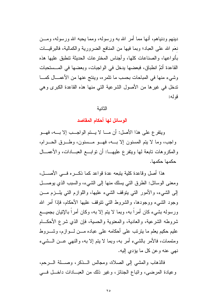دبنهم و دنباهم، أنها مما أمر الله به و رسوله، ومما بحبه الله و رسوله، ومـــز، نعَم الله على العباد؛ وبما فيها من المنافع الضرورية والكمالية، فالبرقيسات بأنواعها، والصناعات كلها، وأجناس المخترعات الحديثة نتطبق عليها هذه القاعدة أنمَّ انطباق، فبعضها يدخل في الواجبات، وبعضها في المــستحبات وشيء منها في المباحات بحسب ما نتمر ه، وينتج عنها من الأعمـــال كمـــا ندخل في غيرها من الأصول الشرعية التي منها هذه القاعدة الكبرى وهي قو له:

#### الثانبة

الوسائل لها أحكام المقاصد

وينفر ع على هذا الأصل: أن مـــا لا يـــتم الواجـــب إلا بـــه، فهـــو واجب، وما لا يتم المسنون إلا بسه، فهــو مــسنون، وطــرق الحــرام، والمكروهات نابعة لمها وينفرع عليهـــا: أن نوابـــع العبـــادات، والأعمــــال حكمها حكمها.

هذا أصل وقاعدة كلبة بتبعه عدة قواعد كما ذكــر ه فـــ الأصـــل، ومعنى الوسائل: الطرق التي يسلك منها إلى الشيء، والسبب الذي يوصــــل إلىي الشيء، والأمور التبي يتوقف الشيء عليها، واللوازم التبي يلــزم مـــن وجود الشيء ووجودها، والشروط التبي نتوقف عليها الأحكام، فإذا أمر الله ورسوله بشيء كان أمراً به، وبما لا يتم إلا به، وكان أمراً بالإتيان بجميـــع شروطه الشرعية، والعادية، والمعنوية والحسية، فإن الذي شرع الأحكـــام عليم حكيم يعلم ما بيترنب على أحكامه على عباده مـــن لـــوازم، وشــــروط ومتممات، فالأمر بالشبيء أمر به، وبما لا يتم إلا به، والنهي عـــن الـــشبيء نھي عنه وعن کل ما ٻؤدي البه.

فالذهاب والمشى إلى الصلاة، ومجالس الــذكر، وصـــلة الــــرحم، وعيادة المرضى، وانباع الجنائز، وغير ذلك من العبــادات داخــل فـــي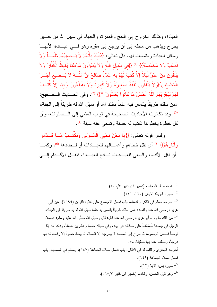العبادة، وكذلك الخروج إلى الحج والعمرة، والجهاد في سبيل الله من حـــين يخرج ويذهب من محله إلى أن يرجع إلى مقره وهو فـــي عبـــادة؛ لأنهـــا وسائل للعبادة ومتممات لها. قال تعالى: {{ذَلَكَ بِأَنَّهُمْ لاَ يُــصِيبُهُمْ ظَمَــاً وَلاَ نَصِيَنٌ وَلاَ مَخْمَصَةٌ}} (!) {{فِي سَبِيلِ اللَّهِ وَلاَ يَطَوُّونَ مَوْطْئًا يَغِيظُ الْكُفَّارَ وَلاَ يَنَالُونَ منْ عَدُوٍّ نَيْلاً إِلاَّ كُتبَ لَهُمْ بِهِ عَمَلٌ صَالحٌ إِنَّ اللَّـــهَ لاَ يُــضيعُ أَجْــرَ الْمُحْسِنينَ}{وَلاَ يُنْفقُونَ نَفَقَةً صَغِيرَةً وَلاَ كَبِيرَةً وَلاَ يَقْطَعُونَ وَادِيًا إلاَّ كُتــبَ لَهُمْ لِيَجْزِيَهُمُ اللَّهُ أَحْسَنَ مَا كَانُوا يَعْمَلُونَ \*}} <sup>(2)</sup>. وفي الحــديث الــصحيح: «من سلك طريقاً يلتمس فيه علماً سلك الله أو سهّل الله له طريقاً إلى الجنة» <sup>(3)</sup>. وقد تكاثرت الأحاديث الصحيحة في ثواب المشي إلى الـــصلوات، وأن كل خطوة يخطوها تكتب له حسنة وتمحى عنه سيئة <sup>(4)</sup>.

وفسر قوله تعالى: {{إِنَّا نَحْنُ نُحْيِي الْمَــوْتَى وَنَكْتُــبُ مَــا قَــدَّمُوا وَآثَارَهُمْ}} <sup>(5)</sup> أي نقل خطاهم وأعمـــالهم للعبـــادات أو لـــضدها <sup>(6)</sup>، وكمـــا أن نقل الأقدام، والسعى للعبـــادات تــــابـع للعبــــادة، فنقـــل الأقـــدام الِــــى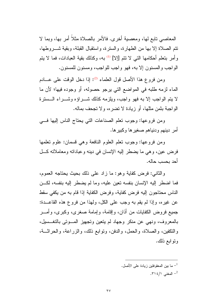المعاصبي نابع ليها، ومعصبة أخرى. فالأمر بالصلاة مثلاً أمر بيها، وبما لا نتم الصلاة إلا بها من الطهارة، والسنرة، واستقبال القبلة، وبقية شــــروطها، وأمر بنعلم أحكامها النبي لا نتم [إلا] <sup>(l)</sup> بـه، وكذلك بقية الـعبادات، فما لا يتم الو اجب و المسنون إلا به، فهو و اجب للو اجب، و مسنون للمسنون.

ومن فروع هذا الأصل قول العلماء <sup>(2)</sup>: إذا دخل الوقت على عسادم الماء لزمه طلبه في المواضع التي يرجو حصوله، أو وجوده فيها؛ لأن ما لا يتم الواجب إلا به فهو واجب، ويلزمه كذلك شـــراؤه وشـــراء الـــسترة الو اجبة بثمن مثلها، أو زيادة لا تضر ه، و لا تجحف بماله.

ومن فروعها: وجوب تعلم الصناعات التي يحتاج الناس إليها في أمر دينهم ودنياهم صغير ها وكبير ها.

ومن فروعها: وجوب نعلم العلوم النافعة وهي قسمان: علوم نعلمها فرض عين، وهي ما يضطر إليه الإنسان في دينه و عباداته ومعاملاته كـــل أحد يحسب حاله.

والثاني: فرض كفاية وهو: ما زاد على ذلك بحيث بحتاجه العموم، فما اضطر إليه الإنسان بنفسه نعين عليه، وما لم يضطر إليه بنفسه، لكـــن الناس محتاجون إليه فرض كفاية، وفرض الكفاية إذا قام به من يكفي سقط عن غيره، وإذا لم يقم به وجب على الكل، ولهذا من فروع هذه القاعــدة: جميع فروض الكفايات من أذان، وإقامة، وإمامة صغرى، وكبرى، وأمـــر بالمعروف، ونهي عن منكر وجهاد لم يتعين وتجهيز المسوتي بالتغــسيل، والنكفين، والصلاة، والحمل، والدفن، ونوابع ذلك، والزراعة، والحراثـــة، ونوابع ذلك.

ما بين المعقوفتين زيادة على الأصل.  $^{-1}$ 

المغنى ١/١٤.٣.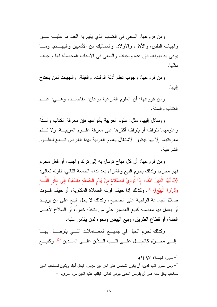ومن فروعها: السعى في الكسب الذي يقيم به العبد ما عليـــه مـــن واجبات النفس، والأهل، والأولاد، والمماليك من الآدميين والبهـــائم، ومـــا يوفي به ديونه، فإن هذه واجبات والسعي في الأسباب المحصلة لها واجبات مثلها.

ومن فروعها: وجوب نعلم أدلة الوقت، والقبلة، والجهات لمن يحتاج اليها.

ومن فروعها: أن العلوم الشرعية نوعان: مقاصـــد، وهـــي: علـــم الكتاب والسنة.

ووسائل إليها، مثل: علوم العربية بأنواعها فإن معرفة الكتاب والسنَّة و علومهما نتوقف أو يتوقف أكثر ها على معرفة علــوم العربيـــة، و لا تـــتم معرفتهما إلا بها فيكون الاشتغال بعلوم العربية لهذا الغرض تسابع للعلسوم الشر عية.

ومن فروعها: أن كل مباح نوسل به إلى نزك واجب، أو فعل محرم فهو محرم، ولذلك يحرم البيع والشراء بعد نداء الجمعة الثاني؛ لقوله تعالى: {{يَاأَيُّهَا الَّذِينَ آمَنُوا إِذَا نُوديَ للصَّلاَة منْ يَوْمِ الْجُمُعَة فَاسْعَوْا إِلَى ذكْرِ اللَّـــه وَذَرُوا الْبَيْعَ}} (!). وكذلك إذا خيف فوت الصلاة المكتوبة، أو خيف فــوت صلاة الجماعة الواجبة على الصحيح، وكذلك لا يحل البيع على من يريــد أن يعمل بها معصية كبيع العصير على من يتخذه خمراً، أو السلاح لأهـــل الفتنة، أو قطاع الطريق، وبيع البيض ونحوه لمن يقامر عليه.

وكذلك نحرم الحيل في جميع المعــاملات التـــي يتوصـــل بهــا إلـــى محـــره كالحيَـــل علــــى قلـــب الـــدَّين علــــى المـــدين <sup>(2)</sup>، وكبيـــع

سورة الجمعة: الآية (٩). ومن صور قلب الدين: أن يكون لشخص على آخر دين مؤجل، فيحل أجله ويكون لصاحب الدين  $^{-2}$ صاحب يتفق معه على أن يقرض المدين ليوفي الدائن، فيقلب عليه الدين مرة أخرى. =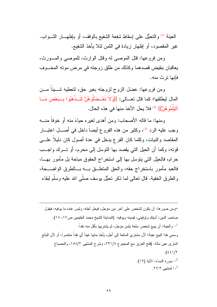العينة <sup>(1)</sup> والتحيُّل على إسقاط شفعة الشفيع بالوقف، أو بإظهـــار الشـــواب. غير المقصود، أو إظهار زيادة في النَّمن لئلا يأخذ الشَّفيع.

ومن فروعها: فَتْلْ الموصَّى له وقتل الوارث، للموصَّى والمسورث، يعاقبان بنقيض قصدهما وكذلك من طلق زوجته في مرض موته المخـــوف فانها تر ٹ منه.

ومن فروعها: عضل الزوج لزوجته بغير حق، لتعطيه شـــيئاً مـــن المال ليطلقها؛ كما قال تعــالى: {{وَلاَ تَعْــضْلُوهُنَّ لِتَــذْهَبُوا بِــبَعْض مَــا آتَيْتُمُو هُنَّ}} <sup>(2)</sup> فلا يحل الأخذ منها في هذه الحال.

ومنها: ما قاله الأصحاب: ومن أهدى لغيره حياءً منه أو خوفاً منسه وجب عليه الرد <sup>(3)</sup>، وكثير من هذه الفروع أيضاً داخل في أصــــل اعتبـــار المقاصد والنيات، وكلما كان الفرع يدخل في عدة أصول كان دليلاً علـــي قونه، وكما أن الحيِّل التي يقصد بها التوسل إلى محرم، أو تـــرك واجـــب حرام، فالحيل التي يتوسل بها إلى استخراج الحقوق مباحة بل مأمور بهــا، فالعبد مأمور باستخراج حقه، والحق المتعلـــق بــــه بــــالطرق الواضــــحة، والطرق الخفية. قال تعالى لما ذكر تحيُّل بوسف صلَّى الله عليه وسلَّم لبقاء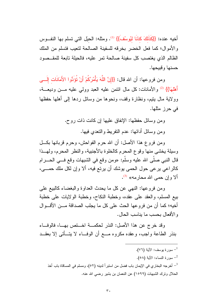أخيه عنده: {{كَذَلِكَ كِدْنَا لِيُوسُفَ}} <sup>(1)</sup>. ومثله: الحيل التي تسلم بها النف وس والأموال؛ كما فعل الخضر بخرقه للسفينة الصالحة لنعيب فتسلم من الملك الظالم الذي يغتصب كل سفينة صالحة تمر عليه، فالحيلة تابعة للمقــصود حسنها وقبيحها.

ومن فروعها: أن الله قال: {{إِنَّ اللَّهَ يَأْمُرُكُمْ أَنْ تُؤَدُّوا الأَمَانَات إِلَـــى أَهْلَهَا}} <sup>(2)</sup> والأمانات: كل مال ائتمن عليه العبد وولى عليه مـــن وديعـــة، وولاية مال يتيم، ونظارة وقف، ونحوها من وسائل ردها إلىي أهلها حفظها في حرز مثلها.

> ومن وسائل حفظها: الإنفاق عليها إن كانت ذات روح. ومن وسائل أدائها: عدم النفريط والنعدي فيها.

ومن فروع هذا الأصل: أن الله حرم الفواحش، وحرم قربانها بكل وسيلة يخشى منها وقوع المحرم كالخلوة بالأجنبية، والنظر المحرم، ولهــذا قال النبي صلَّى الله عليه وسلَّم: «ومن وقع في الشبهات وقع فـــي الـحــــرام كالراعي يرعى حول الحمى يوشك أن يرتع فيه، ألا وإن لكل ملك حمـــي، ألا و ان حمے الله محار مه» <sup>(3)</sup>.

ومن فروعها: النهي عن كل ما يحدث العداوة والبغضاء كالبيع على بيع المسلم، والعقد على عقده، وخطبة النكاح، وخطبة الولايات على خطبة أخيه؛ كما أن من فر و عها الحث على كل ما يجلب الصداقة مـــن الأقـــو ال و الأفعال بحسب ما يناسب الحال.

وقد خرج عن هذا الأصل: النذر الحكمــة اخــنص بهــا، فالوفــاء بنذر الطاعة واجب، وعقده مكروه مـــع أن الوفــاء لا يتـــأتـى إلا بعقــد

- سور ة بوسف: الآبة (٧٦). ـ سورة النساء: الآية (٥٨). أخرجه البخاري في الإيمان باب فضل من استبرأ لدينه (٥٢)، ومسلم في المساقاة باب أخذ  $^{-3}$ الحلال ونزك الشبهات (١٥٩٩) عن النعمان بن بشير رضي الله عنه.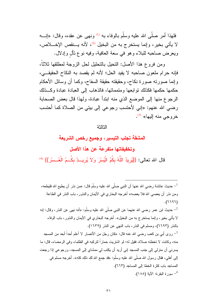فلهذا أمر صلَّى الله عليه وسلَّم بالوفاء به <sup>(1)</sup> ونهى عن عقده، وقال: «إنــــه لا يأتي بخير، وإنما يستخرج به من البخيل <sup>(2)</sup>، لأنه يـــنقص الإخــــلاص، ويعرض صاحبه للبلاء وهو في سعة العافية، وفيه نوع نأل وإدلال.

ومن فروع هذا الأصل: التحيل بالتحليل لحل الزوجة لمطلقها ثلاثاً، فإنه حرام ملعون صاحبه لا يفيد الحل؛ لأنه لم يقصد به النكاح الحقيقـــى، و إنما صور نه صور ة نكاح، وحقيقته حقيقة السفاح، وكما أن وسائل الأحكام حكمها حكمها فكذلك نو ابعها ومتمماتها، فالذهاب إلى العبادة عبادة وكــذلك الرجوع منها إلى الموضع الذي منه ابتدأ عبادة، ولهذا قال بعض الصحابة رضي الله عنهم: «إني لأحتسب رجوعي إلى بيتي من الصلاة كما أحتسب خر وجي منه اليها» <sup>(3)</sup>.

الثالثة

# المشقة تجلب التيسير، وجميع رخص الشريعة وتخفيفاتها متفرعة عن هذا الأصل قال الله تعالى: {{يُرِيدُ اللَّهُ بِكُمُ الْيُسْرَ وَلاَ يُرِيسِدُ بِكُسُمُ الْعُسْرَ}} <sup>(4)</sup>

<sup>1</sup>– حديث عائشة رضمي الله عنها أن النبي صلَّى الله عليه وسلَّم قال: «من نذر أن يطيع الله فليطعه، ومن نذرٍ أن يعصبي الله فلا يعصـه» أخرجه البخاري في الأيمان والنذور ، باب النذر في الطاعة  $(7797)$ حديث ابن عمر رضـي الله عنهما عن النبـي صلَّى الله عليه وسلَّم: «أنـه نـهي عن النذر ، وقال: إنـه – لا يأتي بخير، وإنما يستخرج به من البخيل». أخرجه البخاري في الأيمان والنذور، باب الوفاء بالنذر (٦٦٩٣)، ومسلم في النذر، باب النهي عن النذر (١٦٣٩). روى أبي بن كعب رضي الله عنه قال: «كان رجل من الأنصار لا أعلم أحداً أبعد من المسجد  $^{-3}$ منه، وكانت لا تخطئه صلاة، فقيل له: لو اشتريت حماراً لتركبه في الظلماء وفي الرمضاء، قال: ما يسرني أن منزلي إلى جنب المسجد إني أريد أن يكتب لي ممشاي إلى المسجد، ورجوعي إذا رجعت إلى أهلي، فقال رسول الله صلَّى الله عليه وسلَّم: «قد جمع الله لك ذلك كله». أخرجه مسلم في المساجد باب كثرة الخطا إلى المساجد (٦٦٢). <sup>4</sup> – سورة البقرة: الآية (١٨٥).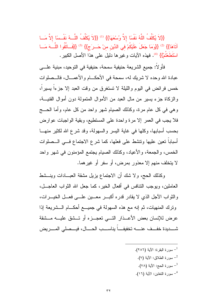{{لاَ يُكَلِّفُ اللَّهُ نَفْسًا إلاَّ وُسْعَهَا}} <sup>(1)</sup> {{لاَ يُكَلِّفُ اللَّــهُ نَفْــسًا إلاَّ مَـــا آتَاهَا}} <sup>(2)</sup> {{وَمَا جَعَلَ عَلَيْكُمْ في الدِّينِ منْ حَــر َج}} <sup>(3)</sup> {{فَــاتَّقُوا اللَّـــهَ مَـــا اسْتَطَعْتُمْ}} <sup>(4)</sup>. فهذه الآيات و غير ها دليل على هذا الأصل الكبير .

فأولاً: جميع الشريعة حنيفية سمحة، حنيفية في التوحيد، مبنية علـــي عبادة الله وحده لا شريك له، سمحة في الأحكـــام والأعمـــال، فالـــصلوات خمس فرائض في اليوم والليلة لا تستغرق من وقت العبد إلا جزءا يسيرا، والزكاة جزء يسير من مال العبد من الأموال المتمولة دون أموال القنيـــة، وهي في كل عام مرة، وكذلك الصيام شهر واحد من كل عام، وأما الحـــج فلا يجب في العمر إلا مرة واحدة على المستطيع، وبقية الواجبات عوارض بحسب أسبابها، وكلَّها في غاية اليسر والسهولة، وقد شرع الله لكثير منهـــا أسباباً نعين عليها ونتشط على فعلها، كما شرع الاجتماع فسى الــصلوات الخمس، والجمعة، والأعياد، وكذلك الصيام يجتمع المؤمنون في شهر واحد لا يتخلف منهم إلا معذور بمرض، أو سفر أو غيرهما.

وكذلك الحج، ولا شك أن الاجتماع بزيل مشقة العبـــادات وبنـــشط العاملين، ويوجب النتافس في أفعال الخير، كما جعل الله الثواب العاجــل، والثواب الآجل الذي لا يقادر قدره أكبـــر معـــين علــــى فعـــل الخيـــرات، ونزك المنهيات، ثم إنه مع هذه السهولة في جميـــع أحكــــام الـــشريعة إذا عرض للإنسان بعض الأعــذار التـــى تعجــزه أو تــشق عليـــه مــشقة شميديدة خفف عنسه تخفيفاً يناسسب الحسال، فيسصلى المسريض

- ـ سورة البقرة: الآبة (٢٨٦). سورة الطلاق: الآية (٧).  $^{-2}$ - سورة الحج: الآية (٧٨).
- <sup>4</sup>– سورة التغابن: الآية (١٦).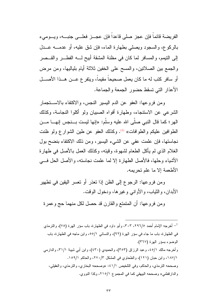الفريضة قائماً فإن عجز صلى قاعداً فإن عجـــز فعلـــي جنبـــه، ويـــوميء بالركوع، والسجود ويصلبي بطهارة الماء، فإن شق عليه، أو عدمــــه عـــدل إلى النيمم، والمسافر لما كان في مظنة المشقة أبيح لـــه الفطـــر والقـــصر والجمع بين الصلاتين، والمسح على الخفين ثلاثة أيام بلياليها، ومن مرض أو سافر كتب له ما كان يعمل صحيحاً مقيماً، ويتفرع عـــن هـــذا الأصــــل الأعذار التي تسقط حضور الجمعة والجماعة.

ومن فروعها: العفو عن الدم اليسير النجس، والاكتفاء بالاستجمار الشرعى عن الاستنجاء، وطهارة أفواه الصبيان ولو أكلوا النجاسة، وكذلك المير ؛ كما قال النبي صلى الله عليه وسلم: «إنها ليست بـــنجس إنهــــا مــــن الطوافين عليكم والطوافات» <sup>(1)</sup>. وكذلك العفو عن طين الشوارع ولو ظنت نجاستها، فإن علمت عفي عن الشيء البسبر ، ومن ذلك الاكتفاء بنضح بول الغلام الذي لم يأكل الطعام لشهوة، وقيئه، وكذلك العمل بالأصل في طهارة الأشياء وحلها، فالأصل الطهارة إلا لما علمت نجاسته، والأصل الحل فسي الأطعمة إلا ما علم تحريمه.

ومن فروعها: الرجوع إلى الظن إذا نعذر أو نعسر اليقين في نطهير الأبدان، والنياب، والأواني وغيرها، ودخول الوقت.

ومن فروعها: أن المتمتع والقارن قد حصل لكل منهما حج وعمرة

<sup>1</sup>– أخرجه الإمام أحمد ٢٩٦/٥، ٣٠٣، وأبو داود في الطهارة، باب سؤر الهرة (٧٥)، والترمذي في الطهارة، باب ما جاء في سؤر الهرة (٩٢)، والنسائي ٥٥/١، وابن ماجه في الطهارة، باب الوضوء بسؤر الهرة (٣٦٧). وأخرجه مالك ٤٥/١، وعبد الرزاق (٣٥٣)، والحميدي (٤٣٠)، وابن أبي شيبة ٣١/١، والدارمي ١٨٧/١، وابن حبان (١٢١)، والطحاوي في المشكل ٢٧٠/٣، والحاكم ١٥٩/١. وصححه الترمذي، والحاكم، وفي التلخيص ١/١؛: «وصححه البخاري، والترمذي، والعقيلي، والدار قطني» وصححه البيهقي كما في المجموع ٢١٥/١، وكذا النووي.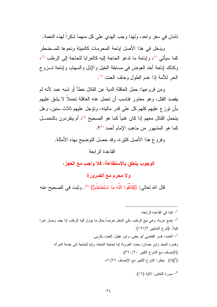نامان في سفر واحد، ولهذا وجب الهدي على كل منهما شكراً لهذه النعمة.

ويدخل في هذا الأصل إباحة المحرمات كالمبتة ونحوها للمسضطر كما سيأتي (1)، وإباحة ما ندعو الحاجة إليه كالعرايا للحاجة إلى الرطب (2)، وكذلك إباحة أخذ العوض في مسابقة الخيل والإبل والسهام، وإباحة تــزوج الحر للأمة إذا عدم الطول وخاف العنت <sup>(3)</sup>.

ومن فروعها: حمل العاقلة الدية عن القاتل خطأ أو شبه عمد لأنه لم يقصد القتل، وهو معذور فناسب أن تحمل عنه العاقلة تحملاً لا يشق عليهم بأن نوز ع عليهم كلُّهم كلِّ على قدرٍ ماليته، ونؤجل عليهم ثلاثٌ سنين، وهل يتحمل القاتل معهم إذا كان غنياً كما هو الصحيح <sup>(4)</sup>، أم ينفردون بالتحمـــل كما هو المشهور من مذهب الإمام أحمد 9<sup>(5)</sup>.

وفروع هذا الأصل كثيرة، وقد حصل النوضيح بهذه الأمثلة.

## القاعدة الر ايعة

الوجوب يتعلق بالاستطاعة، فلا واجب مع العجز ،

ولا محرم مع الضرورة

قال الله تعالى: {{فَاتَّقُوا اللَّهَ مَا اسْتَطَعْتُمْ}} (6). وثبت في الصحيح عنه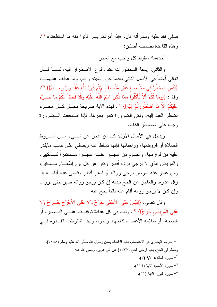صلَّى الله عليه وسلَّم أنه قال: «إذا أمرنكم بأمر فأتوا منه ما استطعتم» <sup>(1)</sup>. و هذه القاعدة تضمنت أصلبن:

أحدهما: سقوط كل واجب مع العجز .

والثاني: إباحة المحظورات عند وقوع الاضطرار إليه، كمـــا قـــال نعالى أيضاً في الأصل الثاني بعدما حرم الميتة والدم، وما عطف عليهمـــا: {{فَمَنِ اضْطُرَّ فِي مَخْمَصَة غَيْرَ مُتَجَانِف لِإِثْمِ فَإِنَّ اللَّهَ غَفُــورٌ رَحـــيمٌ}} <sup>(2)</sup>، وقال: {{وَمَا لَكُمْ أَلاَّ تَأْكُلُوا ممَّا ذُكِرَ اسْمُ اللَّه عَلَيْه وَقَدْ فَصلَّ لَكُمْ مَا حَسرَّمَ عَلَيْكُمْ إِلاَّ مَا اضْطُرِرْتُمْ إِلَيْهِ}} (3). فهذه الآية صريحة بحل كل محــرم اضطر العبد إليه، ولكن الضرورة نقدر بقدرها، فإذا انــدفعت الــضرورة وجب على المضطر الكف.

ويدخل في الأصل الأول: كل من عجزٍ عن شـــيء مـــن شـــروط الصلاة أو فر و ضبها، و و اجباتها فإنها تسقط عنه و بصلبي علي حسب مايقدر عليه من لوازمها، والصوم من عجـــز عنـــه عجـــزاً مـــستمراً كـــالكبير ، والمريض الذي لا يرجى برؤه أفطر وكفر عن كل يوم إطعـــام مـــسكين، ومن عجز عنه لمرض برجي زواله أو لسفر أفطر وقضى عدة أيامــــه إذا زال عذره، والعاجز عن الحج ببدنه إن كان يرجو زواله صبر حتى يزول، وإن كان لا يرجو زواله أقام عنه نائباً يحج عنه.

وقال تعالى: {{لَيْسَ عَلَى الأَعْمَى حَرَجٌ وَلاَ عَلَى الأَعْرَجِ حَـــرَجٌ وَلاَ عَلَى الْمَرِيضِ حَرَجٌ}} <sup>(4)</sup>. وذلك في كل عبادة توقفــت علـــي البــصرِ ، أو الصحة، أو سلامة الأعضاء كالجهاد ونحوه، ولهذا اشترطت القــدرة فـــي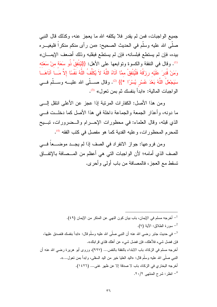جميع الواجبات، فمن لم يقدر فلا يكلفه الله ما يعجز عنه، وكذلك قال النبي صلَّى الله عليه وسلَّم في الحديث الصحيح: «من رأى منكم منكراً فليغيـــره بيده، فإن لم يستطع فبلسانه، فإن لم يستطع فبقلبه وذلك أضعف الإيمــــان» <sup>(1)</sup>. وقال في النفقة والكسوة وتوابعها على الأهل: {{لَيُنْفِقْ ذُو سَعَة منْ سَعَتَه وَمَنْ قُدرَ عَلَيْه رِزِقُهُ فَلْيُنْفقْ ممَّا آتَاهُ اللَّهُ لاَ يُكَلِّفُ اللَّهُ نَفْسًا إلاَّ مَــا آتَاهَــا سَيَجْعَلُ اللَّهُ بَعْدَ عُسْرٍ يُسْرًا \*}} <sup>(2)</sup>. وقال صــــلّـى الله عليــــه وســـلّم فــــي الواجبات المالية: «ابدأ بنفسك ثم بمن تعول» <sup>(3)</sup>.

ومن هذا الأصل: الكفارات المرتبة إذا عجز عن الأعلى انتقل إلـــي ما دونه، وأعذار الجمعة والجماعة داخلة في هذا الأصل كما دخلــت فـــي الذي قبله، وقال العلماء: في محظورات الإحسرام والسضرورات، تبـــبح للمحرم المحظورات، وعليه الفدية كما هو مفصل في كتب الفقه <sup>(4)</sup>.

ومن فروعها: جواز الانفراد في الصف إذا لم يجــد موضـــعاً فـــي الصف الذي أمامه؛ لأن الواجبات التي هي أعظم من المــصافة بالإتفــاق نسقط مع العجز، فالمصافة من باب أولى وأحرى.

أحرجه مسلم في الإيمان، باب بيان كون النهي عن المنكر من الإيمان (٤٩). ـ سورة الطلاق: الآبة (٧). في حديث جابر رضمي الله عنه أن النبي صلَّى الله عليه وسلَّم قال: «ابدأ بنفسك فتصدق عليها،  $^{-3}$ فإن فضل شيء فلأهلك، فإن فضل شيء عن أهلك فلذي قرابتك». أخرجه مسلم في الزكاة، باب الابنداء بالنفقة بالنفس... (٩٩٧)، وروى أبو هريرة رضيي الله عنه أن النبي صلَّى الله عليه وسلَّم قال: «اليد العليا خير من اليد السفلي، وابدأ بمن نـعول...». أخرجه البخاري في الزكاة، باب لا صدقة إلا عن ظهر غني... (١٤٢٦). <sup>4</sup>– انظر: شرح المنتهى ٢٠/٢.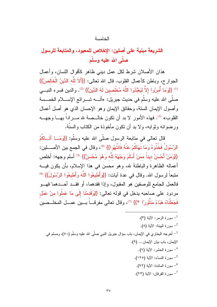### لأخامسة

## الشريعة مبنية على أصلين: الإخلاص للمعبود، والمتابعة للرسول صلَّى الله عليه وسلَّم

هذان الأصلان شرط لكل عمل ديني ظاهر كأقوال اللسان، وأعمال الجوار ح، وباطن كأعمال القلوب. قال الله تعالى: {{أَلاَ للَّه الدِّينُ الْخَالصُ}} <sup>(1)</sup> {{وَمَا أُمرُوا إِلاَّ لِيَعْبُدُوا اللَّهَ مُخْلِصينَ لَهُ الدِّينَ}} <sup>(2)</sup>. والدين فسره النب*ـــى* صلَّى الله عليه وسلَّم في حديث جبريل: «أنــــه شــــرائع الإســــلام الخمـــسة وأصول الإيمان السنة، وحقائق الإيمان وهو الإحسان الذي هو أصل أعمال القلوب» <sup>(3)</sup>. فهذه الأمور لا بد أن تكون خالــصة لله مـــراداً بهـــا وجهـــه ور ضو انه و ثو ابه، و لا بد أن نكون مأخوذة من الكتاب و السنَّة.

قال تعالى في متابعة الرسول صلَّى الله عليه وسلَّم: {{وَمَــا آتَــاكُمُ الرَّسُولُ فَخُذُو هُ وَمَا نَهَاكُمْ عَنْهُ فَانْتَهُوا}} (4) ، وقال في الجمع بين الأصطين: {{وَمَنْ أَحْسَنُ ديناً ممَنْ أَسْلَمَ وَجْهَهُ للّه وَهُوَ مُحْسنٌ}} (3) أسلم وجهه: أخلص أعماله الظاهرة والباطنة لله، وهو محسن في هذا الإسلام، بأن يكون فيه متبعاً لرسول الله. وقال في عدة آيات: {{وَأَطْيِعُوا اللَّهَ وَأَطْيِعُوا الرَّسُولَ}} (6) فالعمل الجامع للوصفين هو المقبول، وإذا فقدهما، أو فقــد أحـــدهما فهـــو مردود على صاحبه يدخل في قوله نعالى: {{وَقَدِمْنَا إِلَى مَا عَملُوا مِنْ عَمَل فَجَعَلْنَاهُ هَبَاءً مَنْثُورًا \*}} (7)، وقال تعالى مفرقـــاً بـــين عمـــل المخلـــصين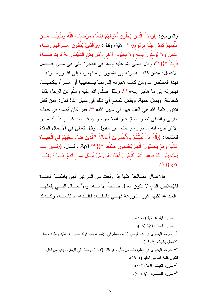والمرائين: {{وَمَثَلُ الَّذِينَ يُنْفَقُونَ أَمْوَالَهُمُ ابْتَغَاءَ مَرْضَاتِ اللَّهِ وَتَثْبِيتَــا مـــنْ أَنْفُسهمْ كَمَثَل جَنَّة برَبْوَة}} <sup>(1)</sup> الآية، وقال: {{وَالَّذِينَ يُنْفقُونَ أَمْــوَالَهُمْ رئَـــاءَ النَّاس وَلاَ يُؤْمِنُونَ بِاللَّه وَلاَ بِالْيَوْمِ الآخرِ وَمَنْ يَكُنِ الشَّيْطَانُ لَهُ قَرِيناً فَــسَاءَ قَرِيناً \*}} <sup>(2)</sup>، وقال صلَّى الله عليه وسلَّم في الـهجرة النّي هي مــــن أفـــضل الأعمال: «فمن كانت هجرته إلى الله ورسوله فهجرته إلى الله ورسـوله ـــ فهذا المخلص \_ ومن كانت هجرته إلى دنيا يـــصيبها أو امــــرأة ينكحهـــا، فهجرنه إلى ما هاجر إليه» <sup>(3)</sup>. وسُئل صلَّى الله عليه وسلَّم عن الرجل يقاتل شجاعة، ويقاتل حمية، ويقاتل للمغنم أي ذلك في سبيل الله؟ فقال: «من قاتل لتكون كلمة الله هي العليا فهو في سبيل الله» <sup>(4)</sup>. فمن كان قصده في جهاده القولي والفعلي نصر الحق فهو المخلص، ومن قــصد غيـــر ذلــك مـــن الأغراض، فله ما نوى، وعمله غير مقبول. وقال نعالى في الأعمال الفاقدة للمتابعة: {{قُلْ هَلْ نُنَبِّئُكُمْ بِالأَخْسَرَينِ أَعْمَالاً \*الَّذينَ ضلَّ سَعْيُهُمْ في الْحَيَــاة الدُّنْيَا وَهُمْ يَحْسَبُونَ أَنَّهُمْ يُحْسِنُونَ صُنْعًا \*}} <sup>(5)</sup> الآية. وقــال: {{فَــالِنْ لَــمْ يَسْتَجِيبُوا لَكَ فَاعْلَمْ أَنَّمَا يَتَّبِعُونَ أَهْوَاءَهُمْ وَمَنْ أَضلَّ ممَنِ اتَّبَعَ هَــوَاهُ بِغَيْــر هُديً}} <sup>(6)</sup>.

فالأعمال الصالحة كلها إذا وقعت من المرائين فهي باطلـــة فاقـــدة للإخلاص الذي لا يكون العمل صالحاً إلا بـــه، والأعمـــال التـــي يفعلهـــا العبد لله لكنها غير مشروعة فهبي باطلة؛ لفقــدها المتابعــة، وكــذلك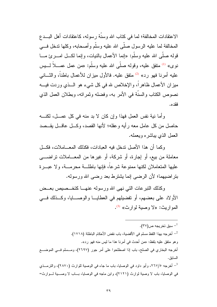الاعتقادات المخالفة؛ لما في كتاب الله وسنَّة رسوله، كاعتقادات أهل البــدع المخالفة لما عليه الرسول صلَّى الله عليه وسلَّم وأصحابه، وكلَّها ندخل فـــي قوله صلَّى الله عليه وسلَّم: «إنما الأعمال بالنيات، وإنما لكـــل امـــر ئ مــــا نوي» <sup>(1)</sup> متفق عليه، وقوله صلَّى الله عليه وسلَّم: «من عمل عمـــلاً لـــبِس عليه أمرنا فهو رد» <sup>(2)</sup> متفق عليه. فالأول ميزان للأعمال باطناً، والثـــانـي ميزان الأعمال ظاهراً، والإخلاص لله في كل شيء هو الـــذي وردت فيـــه نصوص الكتاب والسنة في الأمر به، وفضله وثمراته، وبطلان العمل الذي فقدم.

وأما نية نفس العمل فهذا وإن كان لا بد منه في كل عمـــل، لكنــــه حاصل من كل عامل معه رأيه و عقله؛ لأنها القصد، وكـــل عاقـــل يقـــصد العمل الذي بباشره وبعمله.

وكما أن هذا الأصل ندخل فيه العبادات، فكذلك المعـــاملات، فكـــل معاملة من بيع، أو إجارة، أو شركة، أو غيرها من المعـــاملات تراضــــى عليها المتعاملان لكنها ممنوعة شرعاً، فإنها باطلَّــة محرمـــة، ولا عبـــرة بتراضيهما؛ لأن الرضي إنما يشترط بعد رضي الله ورسوله.

وكذلك النبرعات النبى نهى الله ورسوله عنهــا كتخــصيص بعــض الأو لاد علي بعضهم، أو تفضيلهم في العطايسا والوصسايا، وكــذلك فـــى المواريث: «لا وصية لوارث» <sup>(3)</sup>.

ـ سبق تخريجه ص $^{-1}$ ). أخرجه بهذا اللفظ مسلم في الأقضية، باب نقض الأحكام الباطلة (١٧١٨).  $^{-2}$ وهو منفقٍ عليه بلفظ: «من أحدث في أمرنا هذا ما ليس منه فهو رد». أخرجه البخاري في الصلح، باب إذا اصطلحوا على أمر جور (٢٦٩٧)، ومـــسلم فـــي الموضــــع السابق. <sup>3</sup>– أخرجه ٢٦٧/٥، وأبو داود في الوصايا، باب ما جاء في الوصية للوارث (٢٨٧٠)، والترمــذي في الوصايا، باب لا وصية لوارث (٢١٢١)، وابن ماجه في الوصايا، بــاب لا وصـــية لــوارث=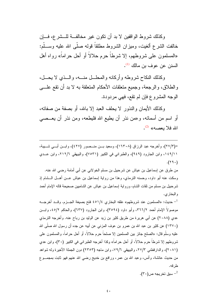وكذلك شروط الواقفين لا بد أن نكون غير مخالفة للسشرع، فسان خالفت الشرع ألغيت، وميزان الشروط مطلقاً قوله صلَّى الله عليه وســلَّم: «المسلمون على شروطهم، إلا شرطاً حرم حلالاً أو أحل حراماً» رواه أهل السنن عن عوف بن مالك <sup>(1)</sup>.

وكذلك النكاح شروطه وأركانه والمحلسل منسه، والسذى لا يحسل، والطلاق، والرجعة، وجميع متعلقات الأحكام المتعلقة به لا بد أن نقع علـــي الوجه المشروع فإن لم نقع، فهي مردودة.

وكذلك الأيمان والنذور لا يحلف العبد إلا بالله، أو بصفة من صفاته، أو اسم من أسمائه، و«من نذر أن يطيع الله فليطعه، ومن نذر أن يعـــصــي الله فلا بعصه» (2).

=(٢٧/٣)، وأخرجه عبد الرزاق (١٦٣٠٨)، وسعيد بــن منــصور (٤٢٧)، وابــن أبـــى شـــيبة، ١٤٩/١١، وابن الجارود (٩٤٩)، والطبراني في الكبير (٧٥٣١)، والبيهقي ٢١٢/٦، وابن عــدي  $.(\Upsilon$  ۹.)

من طرق عن إسماعيل بن عياش عن شرحبيل بن مسلم الخولاني عن أبي أمامة رضي الله عنه. وسكت عنه أبو داود، وحسنه النرمذي، وهذا من رواية اِسماعيل بن عياش عـــن أهـــل الـــشام إذ شرحبيل بن مسلم من ثقات الشام، ورواية إسماعيل بن عياش عن الشاميين صحيحة قاله الإمام أحمد و البخار ي.

حديث: «المسلمون عند شروطهم» علقه البخاري ٤٥١/٤ فتح بصيغة الجـــزم. وقـــد أخرجــــه -موصولاً الإمام أحمد ٣٦٦/٢، وأبو داود (٣٥٩٤)، وابن الجارود (٦٣٧)، والحاكم ٤٥/٢، وابــن عدي (٢٠٨٨) عن أبي هريرة من طريق كثير بن زيد عن الوليد بن رباح عنه. وأخرجه الترمذي (١٣٧٠) عن كثير بن عبد الله بن عمرو بن عوف المزنى عن أبيه عن جده أن رسول الله صلَّى الله عليه وسلَّم قال: «الصلح جائز بين المسلمين إلا صلحاً حرم حلالاً، أو أحل حراماً، والمسلمون علي شر وطهم إلا شرطاً حرم حلالاً، أو أحل حر اماً» وكذا أخرجه الطبر إني في الكبير (٣٠)، و ابن عدي (٢٠٨١)، والدار قطني ٢٧/٣، والبيهقي ٧٩/٦، وابن ماجه (٢٣٥٣) دون الجملة الأخير ة وله شواهد من حديث عائشة، وأنس، وعبد الله بن عمر، ورافع بن خديج رضـي الله عنـهم فـهو ثابت بمـجمـــوع طر قه.

. سبق تخريجه ص $^{-2}$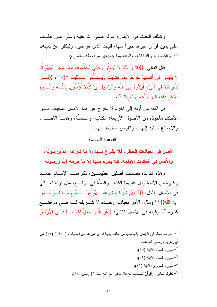وكذلك الحنث في الأيمان؛ لقوله صلَّى الله عليه وسلَّم: «من حلَّــف على يمين فرأى غيرها خيراً منها، فليأت الذي هو خير، وليكفر عن يمينه» (!). والقضاء، والبينات، ونوابعهما جميعها مربوطة بالشرع.

قال تعالى: {{فَلاَ وِرَبِّكَ لاَ يُؤْمِنُونَ حَتَّى يُحَكِّمُوكَ فيمَا شَجَرَ بَيْنَهُمْ ثُمَّ لاَ يَجِدُوا في أَنْفُسهمْ حَرَجًا ممَّا قَضَيْتَ وَيُـسلِّمُوا تَـسلْيمًا \*}} (2)، {{فَـإِنْ تَنَازَعْتُمْ في شَيْء فَرُدُّوهُ إِلَى اللَّه وَالرَّسُول إِنْ كُنْتُمْ تُؤْمِنُونَ بِاللَّـــه وَالْيَـــوم الآخر ذَلَكَ خَيْرٌ وَأَحْسَنُ تَأْوِيلاً (3).

بل الفقه من أوله إلى آخره لا يخرج عن هذا الأصل المحيط، فسإن الأحكام مأخوذة من الأصول الأربعة: الكتاب، والــسنَّة، وهمـــا الأصـــل، والإجماع مستند إليهما، والقياس مستنبط منهما.

#### القاعدة السادسة

الأصل في العبادات الحظر ، فلا يشرع منها إلا ما شرعه الله ورسوله ، والأصل في العادات الإباحة، فلا يحرم منها إلا ما حرمه الله ورسوله

وهذه القاعدة نضمنت أصلين عظيمـــين، ذكرهمــــا الإمــــام أحمـــد وغيره من الأئمة ودل عليهما الكتاب والسنَّة في مواضع، مثل قوله تعـــالـي فى الأصل الأول: {{أَمْ لَهُمْ شُرِكَاءُ شَرَعُوا لَهُمْ منَ السدِّينِ مَسا لَسمْ يَسأُذَنْ به اللَّهُ}} <sup>(4)</sup> ومثل: الأمر بعبادته وحـــده لا شــــريك لــــه فــــى مواضــــع كثيرة <sup>(5)</sup>. وقوله في الأصل الثاني: {{هُوَ الَّذي خَلَقَ لَكُمْ مَــا فـــى الأَرْض

<sup>1</sup>– أخرجه مسلم في الأيمان باب ندب من حلف يميناً فرأى غيرها خيراً منها... (١٦٥٠) (١٢) عن أبي هريرة رضبي الله عنه. <sup>2</sup>– سورة النساء: الآية (٦٥). ـ سورة النساء: الآية (٥٩). <sup>4</sup>– سورة الشورى: الآية (٢١). <sup>5</sup>– كقوله تعالى: {}{وَأَنَّ الْمَسَاجِدَ لِلَّهِ فَلاَ تَدْعُوا مَعَ اللَّهِ أَحَدًا \*} [الجن: ١٨].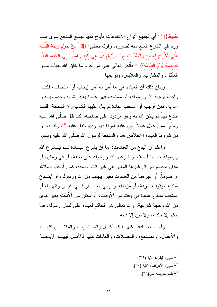جَميعًا}} (1) أي لجميع أنواع الانتفاعات فأباح منها جميع المنافع سوى مـــا ورد في الشرع المنع منه لضرره، وقوله تعالى: {{قُلْ مَنْ حَرَّمَ زِينَةَ اللَّـــه الَّتي أَخْرَجَ لعبَاده وَالطَّيِّبَات منَ الرِّزْقِ قُلْ هيَ للَّذينَ آمَنُوا في الْحَيَاة الدُّنْيَا خَالِصَةً يَوْمَ الْقِيَامَة}} <sup>(2)</sup> فأنكر تعالى على من حرم ما خلق الله لعباده مـــن المأكل، والمشارب، والملابس، ونوابعها.

وبيان ذلك أن العبادة هي ما أُمرٍ به أمرٍ إيجابٍ أو استحبابٍ، فكـــل واجب أوجبه الله ورسوله، أو مستحب فهو عبادة يعبد الله به وحده ويـــدان الله به، فمن أوجب أو استحب عبادة لم يدل عليها الكتاب ولا الــسنَّة، فقــد ابندع ديناً لم يأذن الله به وهو مردود على صاحبه؛ كما قال صلَّى الله عليه وسلم: «من عمل عملا ليس عليه أمرنا فهو رد» منفق عليه <sup>(3</sup>). ونقـــدم أن من شروط العبادة الإخلاص لله، والمتابعة لرسول الله صلَّى الله عليه وسلَّم.

واعلم أن البدع من العبادات: إما أن يشرع عبـــادة لـــم يـــشرع الله ورسوله جنسها أصلاً، أو شرعها الله ورسوله على صفة، أو في زمان، أو مكان مخصوص ثم غيرها المغير إلى غير تلك الصفة، كمن أوجب صلاةً، أو صوماً، أو غيرهما من العبادات بغير إيجاب من الله ورسوله، أو ابتـــدع مبتدع الوقوف بعرفة، أو مزدلفة أو رمي الجمـــار فـــي غيـــر وقتهـــا، أو استحب مبتدع عبادة في وقت من الأوقات، أو مكان من الأمكنة بغير هدى من الله وحجة شرعية، والله نعالمي هو الحاكم لعباده على لسان رسوله، فلا حكم إلا حكمه، و لا دين إلا دينه.

و أمـــا العـــادات كلهـــا كالمآكـــل و المـــشار ب، و الملابـــس كلهـــا، والأعمال، والصنائع، والمعاملات، والعادات كلها فالأصل فيهــا الإباحـــة

> ـ سورة اللقرة: الآلة (٢٩). <sup>2</sup>- سورة الأعراف: الآية (٣٢). . تقدم تخريجه ص $^{-3}$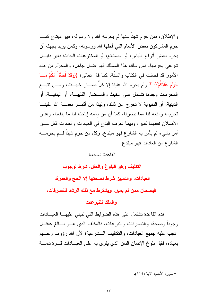والإطلاق، فمن حرم شيئاً منها لم يحرمه الله ولا رسوله، فهو مبتدع كمـــا حرم المشركون بعض الأنعام التي أحلها الله ورسوله، وكمن بريد بجهله أن يحرم بعض أنواع اللباس، أو الصنائع، أو المخترعات الحادثة بغير دليــل شرعي يحرمها، فمن سلك هذا المسلك فهو ضال جاهل، والمحرَّم من هذه الأمور قد فصلت في الكتاب والسنَّة، كما قال تعالى؛ {{وَقَدْ فَصَّلَ لَكُمْ مَــا حَرَّمَ عَلَيْكُمْ}} <sup>(1)</sup> ولم يحرم الله علينا إلا كلِّ ضــــار خبيـــث، ومـــن نتبـــع المحرمات وجدها تشتمل على الخبث والمــضار القلبيـــة، أو البدنيـــة، أو الدينية، أو الدنيوية لا تخرج عن ذلك، ولهذا من أكبـــر نعمـــة الله علينـــا تحريمه ومنعه لنا مما يضرنا، كما أن من نعَمه إباحته لنا ما ينفعنا، و هذان الأصلان نفعهما كبير، وبهما تعرف البدع في العبادات والعادات فكل مـــن أمر بشيء لم يأمر به الشارع فهو مبتدع، وكل من حرم شيئاً لـــم يحرمــــه الشارع من العادات فهو مبتدع.

#### القاعدة السابعة

التكليف وهو البلوغ والعقل، شرط لوجوب

العبادات، والتمييز شرط لصحتها إلا الحج والعمرة،

فيصحان ممن لم يميز ، ويشترط مع ذلك الرشد للتصرفات ،

#### والملك للتبرعات

هذه القاعدة نتثنتمل على هذه الضوابط التبى نتبنى عليهـا العبــادات وجوبا وصحة، والنصرفات والنبرعات، فالمكلف الذي هــو بـــالغ عاقـــل تجب عليه جميع العبادات، والتكاليف الـــشر عية؛ لأن الله رؤوف رحـــبم بعباده، فقبل بلوغ الإنسان السن الذي يقوى به على العبــادات قـــوة تامــــة

سورة الأنعام: الآبة (١١٩).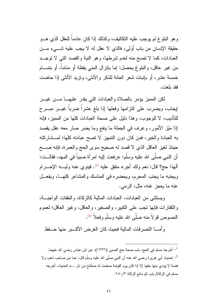و هو البلوغ لم يوجب عليه التكاليف، وكذلك إذا كان عادماً للعقل الذي هــو حقيقة الإنسان من باب أولى، فالذي لا عقل له لا يجب عليه شــــىء مـــن العبادات، كما لا نصح منه لعدم شرطها، وهو النية والقصد التي لا نوجــد من غير عاقل، والبلوغ يحصل: إما بإنزال المنبي يقظة أو مناماً، أو بتمـــام خمسة عشر، أو بإنبات شعر العانة للذكر والأنثي، ونزيد الأنثي إذا حاضت فقد بلغت.

لكن المميز يؤمر بالصلاة والعبادات التي يقدر عليهــا مـــن غيـــر ليجاب، ويضرب على النزامها وفعلها إذا بلغ عشرا ضربا غيـــر مبـــرح للتأديب، لا للوجوب، وهذا دليل على صحة العبادات كلها من المميز، فإنه إذا مَيَّز الأمور، وعرف في الجملة ما ينفع وما يضر صار معه عقل يقصد به العبادة والخير، فمن كان دون التمييز لا تصح عبادته كلها؛ لمـــشاركته حينئذ لغير العاقل الذي لا قصد له صحيح سوى الحج والعمرة، فإنه صـــح أن النبي صلَّى الله عليه وسلَّم: «رفعت إليه امرأة صبيباً في المـهد، فقالــت: ألهذا حج؟ قال: نعم ولك أجر» متفق عليه <sup>(1)</sup>. فينوي عنه وليـــه الإحــــرام ويجنبه ما يجنب المحرم، ويحضره في المناسك والمشاعر كلهــا، ويفعــل عنه ما يعجز عنه، مثل: الرمي.

وبستثنى من العبادات، العبادات المالية كالزكاة، والنفقات الواجيسة، و الكفار ات فإنها تجب على الكبير ، و الصغير ، و العاقل، و غير العاقل؛ لعمو م النصوص قولاً منه صلَّى الله عليه وسلَّم وفعلاً <sup>(2)</sup>.

وأمسا التصرفات المالية فحيث كان الغرض الأكسبر منها حسفظ

أخرجه مسلم في الحج، باب صحة حج الصبي (١٣٣٦)، عن ابن عباس رضي الله عنهما.  $^{-1}$ لحديث أبي هريرة رضيي الله عنه أن النبي صلَّى الله عليه وسلَّم قال: «ما من صاحب ذهب ولا  $^{-2}$ فضـة لا يؤدي منها حقها إلا إذا كان يوم القيامة صفحت له صفائح من نار …» الحديث، أخرجه مسلم في الزكاة/ باب إثم مانع الزكاة ١٨٠/٢.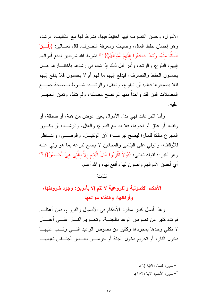الأموال، وحسن التصرف فيها احتيط فيها، فشرط لها مع النكليف: الرشد، وهو إحسان حفظ المال، وصيانته ومعرفة التصرف. قال نعـــالـي: {{فَـــاٍنْ آنَسْتُمْ مِنْهُمْ رُسّْدًا فَادْفَعُوا إِلَيْهِمْ أَمْوَالَهُمْ}} <sup>(1)</sup> فشرط الله شرطين لدفع أموالهم الِبِهِم: الْبَلْوِغِ، والرِّشْدِ، وأَمْرِ قَبْلَ ذَلَكَ إِذَا شَكَ في رشْدِهِم بِاخْتَبِــارِهِم هَـــل يحسنون الحفظ والتصرف، فيدفع إليهم ما لهم أم لا يحسنون فلا يدفع إليهم لَئلًا بِضيعوها فعلم: أن البلوغ، والعقل، والرشـــد: شــــرط لـــصحة جميــــع المعاملات فمن فقد واحداً منها لم تصح معاملته، ولم نتفذ، وتعين الحجـــر علبه.

وأما التبرعات فهي بذل الأموال بغير عوض من هبة، أو صدقة، أو وقف، أو عنقٍ أو نحوها، فلا بد مع البلوغ، والعقل، والرشـــد: أن يكـــون المنبرع مالكاً للمال؛ ليصح نبر عــــه؛ لأن الوكيــــل، والوصـــــي، والنــــاظر للأوقاف، والولَّى على البنامي والمجانين لا يصح نبرعه بما هو ولي عليه وهو لغيره؛ لقوله تعالى: {{وَلاَ تَقْرَبُوا مَالَ الْيَتِيمِ إلاَّ بِالَّتِي هِيَ أُحْـسَنُ}} <sup>(2)</sup> أى أحسن لأموالهم وأصون لها وأنفع لها، والله أعلم.

الثامنة

الأحكام الأصولية والفروعية لا تتم إلا بأمرين: وجود شروطها، و أركانها، و انتفاع مو انعها

وهذا أصل كبير مطرد الأحكام في الأصول والفروع، فمن أعظــم فوائده كثير من نصوص الوعد بالجنسة، وتحسريم النسار علسى أعمسال لا تكفى وحدها بمجردها وكثير من نصوص الوعيد التسى رتــب عليهـــا دخول النار، أو تحريم دخول الجنة أو حرمـــان بعــض أجنـــاس نعيمهـــا

- سورة النساء: الآية (٦).  $^{-1}$
- <sup>2</sup>– سورة الأنعام: الآية (١٥٢).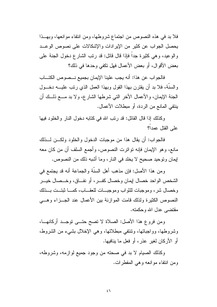فلا بد في هذه النصوص من اجتماع شروطها، ومن انتفاء موانعها، وبهــذا يحصل الجواب عن كثير من الإيرادات والإشكالات على نصوص الوعــد والوعيد، وهي كثيرة جدا فإذا قال قائل: قد رتب الشارع دخول الجنة على بعض الأقوال، أو بعض الأعمال فهل تكفي وحدها في ذلك؟

فالجو اب عن هذا: أنه يجب علينا الإيمان بجميع نــصوص الكتــاب والسنَّة، فلا بد أن يقترن بهذا القول وبهذا العمل الذي رتب عليـــه دخـــول الْجِنَّة الإيمان، والأعمال الأخر الَّتي شرطها الشَّارع، ولا بد مـــع ذلـــك أن بِنتفي المانع من الردة، أو مبطلات الأعمال.

وكذلك إذا قال القائل: قد رتب الله في كتابه دخول النار والخلود فيها على القتل عمدا؟

فالجواب: أن يقال هذا من موجبات الدخول والخلود ولكـــن لـــذلك مانع، وهو الإيمان فإنه نواترت النصوص، وأجمع السلف أن من كان معه إيمان وتوحيد صحيح لا يخلد في النار، وما أشبه ذلك من النصوص.

ومن هذا الأصل: فإن مذهب أهل السنَّة والجماعة أنه قد يجتمع في الشخص الواحد خصال إيمان وخصال كفسر ، أو نفساق، وخـــصال خيـــر وخصال شر، وموجبات للثواب وموجبات للعقــاب، كمــا ثبتــت بــذلك النصوص الكثير ة ولذلك قامت الموازنة بين الأعمال عند الجــزاء وهـــى مقتضبي عدل الله و حکمته.

ومن فروع هذا الأصل: الصلاة لا تصح حتـــى توجــد أركانهـــا، وشروطها، وواجباتها، ونتنفى مبطلاتها، وهي الإخلال بشيء من الشروط، أو الأركان لغير عذر ، أو فعل ما ينافيها.

وكذلك الصيام لا بد في صحنه من وجود جميع لو از مه، وشر وطه، ومن انتفاء موانعه وهي المفطرات.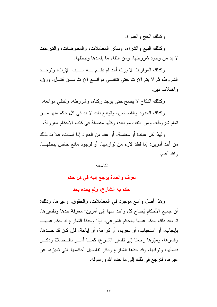وكذلك الحج والعمرة.

وكذلك الببيع والشراء، وسائر المعاملات، والمعاوضات، والنبرعات لا بد من وجود شروطها، ومن انتفاء ما يفسدها ويبطلها.

وكذلك المواريث لا يرث أحد لم يقــم بـــه ســـبب الإرث، وتوجــد الشروط، ثم لا يتم الإرث حتى نتنفــي موانـــع الإرث مـــن قتـــل، ورق، و اختلاف دېن.

وكذلك النكاح لا يصح حتى يوجد ركناه، وشروطه، ونتنفى موانعه.

وكذلك الحدود والقصاص، ونوابع ذلك لا بد في كل حكم منها مـــز، تمام شروطه، ومن انتفاء موانعه، وكلها مفصلة في كتب الأحكام معروفة.

ولَّهذا كلَّ عبادة أو معاملة، أو عقد من العقود إذا فسدت، فلا بد لذلك من أحد أمرين: إما لفقد لازم من لوازمها، أو لوجود مانع خاص ببطلهـــا، و الله أعلم.

التاسعة

العرف والعادة يرجع إليه في كل حكم

حكم به الشارع، ولم يحده بحد

وهذا أصل واسع موجود في المعاملات، والحقوق، وغيرها، وذلك: أن جميع الأحكام يُحتاج كل واحد منها إلى أمرين: معرفة حدها وتفسيرها، ثم بعد ذلك يحكم عليها بالحكم الشرعي، فإذا وجدنا الشارع قد حكم عليهــا بإيجاب، أو استحباب، أو تحريم، أو كراهة، أو إباحة، فإن كان قد حـــدها، وفسرها، ومُتِّزها رجعنا إلى نفسير الشارع، كمـــا أمـــر بالـــصلاة وذكـــر فضلها، وثوابها، وقد حدَّها الشارع وذكر نفاصيل أحكامها التي تميزها عن غيرها، فنرجع في ذلك إلى ما حده الله ورسوله.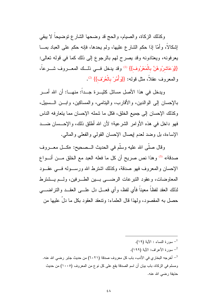وكذلك الزكاة، والصيام، والحج قد وضحها الشارع نوضيحاً لا يبقى إشكالاً، وأمَّا إذا حكم الشارع عليها، ولم يحدها، فإنه حكم على العباد بمـــا يعرفونه، ويعتادونه وقد يصرح لهم بالرجوع إلى ذلك كما في قوله نعالى: {{وَعَاشِرُوهُنَّ بِالْمَعْرُوفِ}} (!) وقد يدخل فــي ذلــك المعـــروف شــــرعاً، والمعروف عقلاً، مثل قوله: {{وَأَمُنْ بِالْعُرْفِ}} <sup>(2)</sup>.

ويدخل في هذا الأصل مسائل كثيـــرة جـــداً: منهــــا: أن الله أمــــر بالإحسان إلى الوالدين، والأقارب، واليتامي، والمساكين، وابـــن الـــسبيل، وكذلك الإحسان إلى جميع الخلق، فكل ما شمله الإحسان مما يتعار فه الناس فهو داخل في هذه الأوامر الشرعية؛ لأن الله أطلق ذلك، والإحـــسان ضــــد الإساءة، بل وضد لعدم إيصال الإحسان القولبي والفعلبي والمالبي.

وقال صلَّى الله عليه وسلَّم في الحديث الــصحيح: «كـــل معــــروف صدقة» <sup>(3)</sup> وهذا نص صريح أن كل ما فعله العبد مع الخلق مـــن أنـــواع الإحسان والمعروف فهو صدقة، وكذلك اشترط الله ورسـوله فـــي عقــود المعاوضات، وعقود النبرعات الرضب بين الطــرفين، ولــم يــشترط لذلك العقد لفظاً معيناً فأي لفظ، وأي فعـــل دل علــــى العقـــد والنز اضـــــى حصل به المقصود، ولهذا قال العلماء: ونتعقد العقود بكل ما دل عليها من

سورة النساء : الآبة (١٩). <sup>2</sup>– سورة الأعراف: الآية (١٩٩). أخرجه البخاري في الأدب، باب كل معروف صدقة (٦٠٢١) من حديث جابر رضي الله عنه. -ومسلم في الزكاة، باب بيان أن اسم الصدقة يقع على كل نوع من المعروف (١٠٠٥) من حديث حذيفة رضي الله عنه.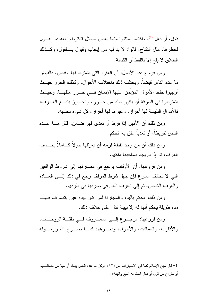قول، أو فعل <sup>(1)</sup>، ولكنهم استثنوا منها بعض مسائل اشترطوا لعقدها القـــول لخطر ها، مثل النكاح، قالو ا: لا بد فيه من إيجاب وقبول بـــالقول، وكـــذلك الطلاق لا يقع إلا باللفظ أو الكتابة.

ومن فروع هذا الأصل: أن العقود التبي اشترط لمها القبض، فالقبض ما عده الناس قبضاً، ويختلف ذلك باختلاف الأحوال، وكذلك الحرز حيــث أوجبوا حفظ الأموال المؤتَمن عليها الإنسان فسي حسرز مثلهسا، وحيست اشترطوا في السرقة أن يكون ذلك من حــــرز، والحـــــرز يتبــــع العــــرف، فالأموال النفيسة لها أحراز، وغيرها لها أحراز، كل شيء بحسبه.

ومن ذلك أن الأمين إذا فرط أو تعدى فهو ضامن، فكل مـــا عـــده الناس تفريطاً، أو تعدياً علق به الحكم.

ومن ذلك أن من وجد لقطة لزمه أن يعرّفها حولاً كـــاملاً بـحــسب العرف، ثم إذا لم يجد صاحبها ملكها.

ومن فروعها: أن الأوقاف يرجع في مصارفها إلى شروط الواقفين التي لا تخالف الشرع فإن جهل شرط الموقف رجع في ذلك إلـــي العـــادة و العرف الخاص، ثم إلى العرف العام في صرفها في طرفها.

ومن ذلك الحكم باليد، والمجار إة لمن كان بيده عين يتصرف فيهــا مدة طويلة يحكم أنها له إلا ببينة ندل على خلاف ذلك.

ومن فروعها: الرجــوع إلـــي المعـــروف فـــي نفقـــة الزوجـــات، والأقارب، والمماليك، والأجراء، ونحــوهم؛ كمـــا صـــرح الله ورســـوله

<sup>1–</sup> قال شيخ الإسلام كما في الاختيار ات ص١٢١: «وكل ما عده الناس بيعاً، أو هبة من متعاقــب، أو منز اخ من قول أو فعل انعقد به البيع والهبة».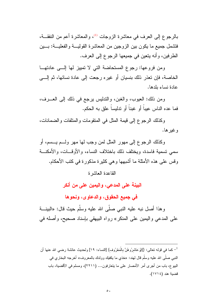بالرجوع إلى العرف في معاشرة الزوجات <sup>(1)</sup>، والمعاشرة أعم من النفقـــة، فتشمل جميع ما يكون بين الزوجين من المعاشرة القوليــــة والفعليـــة: بــــين الطرفين، وأنه ينعين في جميعها الرجوع إلى العرف.

ومن فروعها: رجوع المستحاضة التي لا تمييز لها إلـــي عادتهــا الخاصـة، فإن تعذر ذلك بنسيان أو غيره رجعت إلى عادة نسائها، ثم إلـــي عادة نساء بلدها.

ومن ذلك: العيوب، والغبن، والندليس يرجع في ذلك إلى العــــرف، فما عده الناس عيباً أو غبناً أو ندليساً علق به الحكم.

وكذلك الرجوع إلى قيمة المثل في المنقومات والمنلفات والضمانات، وغير ها.

وكذلك الرجوع إلى مهور المثل لمن وجب لها مهر ولــم يـــسم، أو سمى تسمية فاسدة، ويختلف ذلك باختلاف النساء، والأوقــات، والأمكنـــة وفس على هذه الأمثلة ما أشبهها و هي كثير ة مذكور ة في كتب الأحكام.

القاعدة العاشر ة

# البينـة علـي المدعي، واليمين علـي من أنكر

في جميع الحقوق، والدعاوى، ونحوها

وهذا أصل نبه عليه النبي صلَّى الله عليه وسلَّم حيث قال: «البينـــة على المدعى واليمين على المنكر» رواه البيهقي بإسناد صحيح، وأصله في

<sup>&</sup>lt;sup>1</sup>– كما في قوله تعالى: {}{وَعَاشرُوهُنَّ بِالْمَعْرُوف} [النساء: ١٩] ولـحديث عائشة رضـي الله عنها أن النبي صلَّى الله عليه وسلَّم قال لهند: «خذي ما يكفيك وولدك بالمعروف» أخرجه البخاري في البيوع، باب من أجرى أمر الأمصار على ما يتعارفون... (٢٢١١)، ومسلم في الأقضية، باب قضية هند (١٧١٤).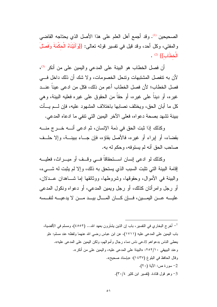الصحيحين <sup>(1)</sup>. وقد أجمع أهل العلم على هذا الأصل الذي يحتاجه القاضي والمُفتى، وكل أحد، وقد قيل في تفسير قوله نعالى: {{وَأَلْتَيْنَاهُ الْحَكْمَةُ وَفَصْلَ  $\cdot$  (2)  $\{ \{\Box \} \}$ 

أن فصل الخطاب هو البينة على المدعى واليمين على من أنكر <sup>(3)</sup>، لأن به نتفصل المشتبهات ونتحل الخصومات، ولا شك أن ذلك داخل فسى فصل الخطاب؛ لأن فصل الخطاب أعم من ذلك، فكل من ادعى عيناً عنـــد غيره، أو ديناً على غيره، أو حقاً من الحقوق على غيره فعليه البينة، وهي كل ما أبان الحق، ويختلف نصابها باختلاف المشهود عليه، فإن لـــم يـــأت ببينة تشهد بصحة دعواه، فعلى الآخر اليمين التي نتفي ما ادعاه المدعى.

وكذلك إذا ثبت الحق في ذمة الإنسان، ثم ادعى أنـــه خـــرج منــــه بقضاء، أو إبراء أو غير ه، فالأصل بقاؤ ه، فإن جـــاء ببينـــة، وإلا حلــف صاحب الحق أنه لم يستوفه، وحكم له به.

وكذلك لو ادعى إنسان اســـتحقاقاً فـــى وقــف أو ميـــراث، فعليـــه إقامة البينة التي نتبت السبب الذي يستحق به ذلك، وإلا لم يثبت له شـــيء، و البينة في الأمو ال، وحقوقها، وشروطها، ووثائقها إما شــاهدان عــدلان، أو رجل وامرأتان كذلك، أو رجل ويمين المدعى، أو دعواه ونكول المدعى علبـــه عـــن البمـــبن، فـــان كـــان المـــال ببـــد مـــن لا بدعبـــه لنفــسه

أخرج البخاري في التفسير، باب إن الذين يشتَرون بعهد الله... (٤٥٥٢)، ومسلم في الأقضية،  $^{-1}$ باب اليمين على المدعى عليه (١٧١١)، عن ابن عباس رضي الله عنهما ولفظه عند مسلم: «لو يعطي الناس بدعواهم لادعى ناس دماء رجال وأموالهم، ولكن اليمين على المدعى عليه». وعند البيهقي ٢٥٢/١٠: «البينة على المدعى عليه، واليمين على من أنكر». وقال الحافظ في البلوغ (١٤٣٧): «باسناد صحيح». 2- سورة ص: الآية (٢٠). 3- وهو قول قتادة. (تفسير ابن كثير ٣٠/٤).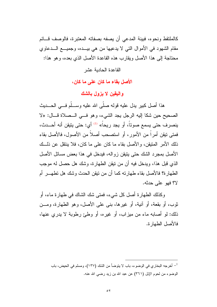كالملتقط ونحو ه، فيبنة المدعى أن بصفه بصفاته المعتبر ة، فالوصف قـــائم مقام الشهود في الأموال التي لا يدعيها من هي بيـــده، وجميـــع الـــدعاوي محتاجة إلى هذا الأصل ويقارب هذه القاعدة الأصل الذي بعده، و هو هذا:

القاعدة الحادبة عشر

الأصل بقاء ما كان على ما كان،

والبقين لا بزول بالشك

هذا أصل كبير يدل عليه قوله صلَّى الله عليه وســـلَّم فــــى الحـــديث الصحيح حين شكا إليه الرجل يجد الشيء، وهو في الــصلاة قـــال: «لا ينصرف حتى يسمع صوتاً، أو يجد ريحاً» <sup>(1)</sup> أي: حتى يتيقن أنه أحـــدث، فمتى نيقن أمراً من الأمور، أو استصحب أصلاً من الأصول، فالأصل بقاء ذلك الأمر المنبقن، والأصل بقاء ما كان على ما كان، فلا بنتقل عن ذلــك الأصل بمجرد الشك حتى يتيقن زواله، فيدخل في هذا بعض مسائل الأصل الذي قبل هذا، ويدخل فيه أن من نيقن الطهارة، وشك هل حصل له موجب الطهارة؟ فالأصل بقاء طهارته كما أن من نيقن الحدث وشك هل نطهـــر أم لا؟ فهو على حدثه.

وكذلك الطهارة أصل كل شيء، فمتى شك الشاك في طهارة ماء، أو ثوب، أو بقعة، أو آنية، أو غيرها، بني على الأصل، وهو الطهارة، ومـــن ذلك: لو أصابه ماء من ميزاب، أو غيره، أو وطئ رطوبة لا يدري عنها، فالأصل الطهار ة.

<sup>1</sup>– أخرجه البخاري في الوضوء، باب لا يتوضأ من الشك (١٣٧)، ومسلم في الحيض، باب الوضوءِ من لحوم الإبل (٣٦١) عن عبد الله بن زيد رضي الله عنه.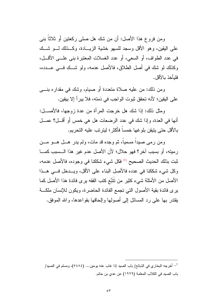ومن فروع هذا الأصل: أن من شك هل صلبي ركعتبن أو ثلاثًا بنبي على اليقين، وهو الأقل وسجد للسهو خشية الزيـــادة، وكـــذلك لــــو شـــك في عدد الطواف، أو السعي، أو عدد الغسلات المعتبرة بني علــي الأقـــل، وكذلك لو شك في أصل الطلاق، فالأصل عدمه، ولو شك في عـــدده، فليأخذ بالأقل.

ومن ذلك: من عليه صلاة متعددة أو صيام، وشك في مقداره بنسي على اليقين؛ لأنه تحقق ثبوت الواجب في ذمته، فلا يبرأ إلا بيقين.

ومثل ذلك: إذا شك هل خرجت المرأة من عدة زوجها، فالأصــــل: أنها في العدة، وإذا شك في عدد الرضعات هل هي خمس أو أقـــل؟ عمـــل بالأقل حتى يتيقن بلوغها خمساً فأكثر ؛ ليترتب عليه التحريم.

ومِن رمي صيداً مسمياً، ثم وجده قد مات، ولم يدر هـــل هـــو مـــن رميته، أو بسبب آخر؟ فهو حلال؛ لأن الأصل عدم غير هذا الـــسبب كمـــا ثبت بذلك الحديث الصحيح <sup>(1)</sup> فكل شيء شككنا في وجوده، فالأصل عدمه، وكل شيء شككنا في عدده فالأصل البناء على الأقل، ويسدخل فسي هــذا الأصل من الأمثلة شيء كثير من نَتَبَّع كتب الفقه يرى فائدة هذا الأصل كما يرى فائدة بقية الأصول التي تجمع الفائدة الحاضرة، ويكون للإنسان ملكة يقتدر بها على رد المسائل إلى أصولها وإلحاقها بقواعدها، والله الموفق.

<sup>&</sup>lt;sup>1</sup>– أخرجه البخاري في الذبائح/ باب الصيد إذا غاب عنه يومين… (٥٤٨٤)، ومسلم في الصيد/ باب الصيد في الكلاب المعلمة (١٩٢٩) عن عدي بن حاتم.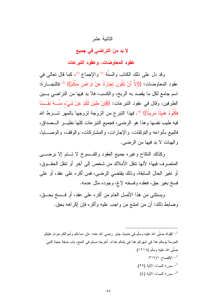## الثانية عشر

# لا بد من التراضى فى جميع

## عقود المعاوضات، و عقود التير عات

وقد دل على ذلك الكتاب والسنَّة <sup>(1)</sup> والإجماع <sup>(2)</sup>، كما قال تعالى في عقود المعاوضات: {{إِلاَّ أَنْ تَكُونَ تجَارَةً عَنْ تَرَاضٍ مِنْكُمْ}} <sup>(3)</sup> فالتجـــارة: اسم جامع لكل ما يقصد به الربح، والكسب، فلا بد فيها من النراضي بــين الطرفين، وقال في عقود النبرعات: {{فَإِنْ طَبْنَ لَكُمْ عَنْ شَيْءٍ منْـــهُ نَفْــسًا فَكُلُوهُ هَنيئًا مَريئًا}} <sup>(4)</sup>. فهذا النبر ع من الزوجة لزوجها بالمهر شـــرط الله فيه طيب نفسها وهذا هو الرضي، فجميع النبرعات كلها نظيـــر الـــصداق، فالبيع بأنواعه والنوثقات، والإجارات، والمشاركات، والوقف، والوصــــايا، و الهبات لا بد فيها من الرضي.

وكذلك النكاح وغيره جميع العقود والفسوخ لا نستم إلا برضي المتصرف فيها؛ لأنها نتقل الأملاك من شخص إلى آخر أو نتقل الحقــوق، أو تغير الحال السابقة، وذلك يقتضي الرضيي، فمن أكره على عقد، أو على فسخ بغير حق، فعقده وفسخه لاغ، وجوده مثل عدمه.

ويستثنى من هذا الأصل العام من أكره على عقد، أو فــسخ بحــق، وضابط ذلك: أن من امنتع من واجب عليه وأكره فإن إكراهه بحق.

<sup>1</sup>– كقوله صلَّى الله عليه وسلَّم في حديث جابر رضـي الله عنـه: «إن دماءكم وأموالكم حرام عليكم كحرمة يومكم هذا في شهركم هذا في بلدكم هذا». أخرجه مسلم في الحج، باب صفة حجة النبي صلَّى الله عليه وسلَّم (١٢١٨). . الافصاح ٢١٧/١. سورة النساء: الآبة (٢٩). <sup>4</sup>– سورة النساء: الآية (٤).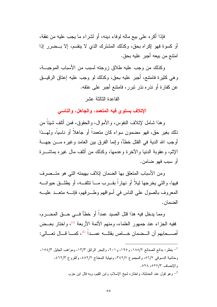فإذا أكره على بيع ماله لوفاء دينه، أو لشراء ما يجب عليه من نفقة، أو كسوة فهو إكراه بحق، وكذلك المشترك الذي لا ينقسم، إلا بــضرر إذا امنتـم من بيعه أجبر عليه بحق.

وكذلك من وجب عليه طلاق زوجته لسبب من الأسباب الموجبـــة، و هي كثير ة فامتتع، أُجِبر عليه بحق، وكذلك لو وجب عليه إعتاق الرقيبــق عن كفارة أو نذره نذر نبرر، فامتنع أجبر على عتقه.

## القاعدة الثالثة عشر

الإتلاف يستوى فيه المتعمد، والجاهل، والناسي

و هذا شامل لإتلاف النفوس، و الأمو ال، و الحقوق، فمن أتلف شيئاً من ذلك بغير حق، فهو مضمون سواء كان متعمداً أو جاهلاً أو ناسياً، ولمهــذا أوجب الله الدية في القتل خطأ، وإنما الفرق بين العامد وغيره مـــن جهـــة الإثم، وعقوبة الدنيا والأخرة وعدمها، وكذلك من أنلف مال غيره بماشـــرة أو سبب فهو ضامن.

ومن الأسباب المتعلق بها الضمان إتلاف بهيمته التي هو متــصرف فيها، والتي يخرجها ليلاً أو نهاراً بقـــرب مــــا نتلفـــه، أو يطلـــق حيوانــــه المعروف بالصول على الناس في أسواقهم وطـــرقهم، فإنــــه منعـــد عليــــه الضمان.

ومما يدخل فيه هذا قتل الصيد عمداً أو خطأ فـــى حـــق المحـــرم، ففيه الجزاء عند جمهور العلماء، ومنهم الأئمة الأربعة <sup>(1)</sup>، واختار بعــض أصــــحابهم أن الـــضمان خــــاص بقتلــــه عمـــداً <sup>(2)</sup>، كمــــا قـــال تعـــالـي:

<sup>&</sup>lt;sup>1</sup> - ينظر : بدائع الصنائع ١٨٨/٢، و ١٩٥، و ٢٠١، والبحر الرائق ١٣/٣، ومواهب الجليل ١٥٤/٣، وحاشية الدسوقي ٢/٢٥، والمجموع ٣٤٢/٧، ونهاية المحتاج ٤٥٢/٢، والفروع ٤٦٢/٣، والإنصاف ٢٧/٣ه، ٥٢٨. وهو قول عند الحنابلة، واختاره شيخ الإسلام، وابن القيم، وبه قال ابن حزم.  $^{-2}$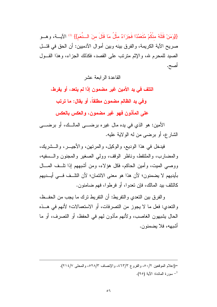{{وَمَنْ قَتَلَهُ مِنْكُمْ مُتَعَمِّدًا فَجَزَاءٌ مِثْلُ مَا قَتَلَ مِنَ السُّعَم}} <sup>(1)</sup> الآيسة، وهسو صريح الآية الكريمة، والفرق بينه وبين أموال الآدميين: أن الحق في قتـــل الصيد للمحرم لله، والإثم مترتب على القصد، فكذلك الجزاء، وهذا القـول أصبح.

القاعدة الر ايعة عشر

التلف في يد الأمين غير مضمون إذا لم يتعد، أو يفرط،

وفي يد الظالم مضمون مطلقاً، أو يقال: ما ترتب

على المأذون فهو غير مضمون، والعكس بالعكس

الأمين: هو الذي في يده مال غير ه بر ضــــي المالــك، أو بر ضــــي الشارع، أو برضبي من له الولاية عليه.

فيدخل في هذا الوديع، والوكيل، والمرتهن، والأجيـــر، والـــشريك، والمضارب، والملتقط، وناظر الوقف، وولى الصغير والمجنون والسسفيه، ووصبي الميت، وأمين الحاكم، فكل هؤ لاء، ومن أشبههم إذا تلــف المـــال بأيديهم لا يضمنون؛ لأن هذا هو معنى الائتمان؛ لأن التلُّــف فـــى أيـــديهم كالتلف بيد المالك، فإن تعدوا، أو فرطوا، فهم ضامنون.

والفرق بين التعدي والنفريط: أن النفريط نرك ما يجب من الحفــظ، والنعدي: فعل ما لا يجوز من النصرفات، أو الاستعمالات؛ لأنهم في هــذه الحال يشبهون الغاصب، ولأنهم مأذون لهم في الحفظ، أو التصرف، أو ما أشبهه، فلا بضمنون.

> =(إعلام الموقعين ٥٠/٢، والفروع ٤٦٣/٣، والإنصاف ٥٢٨/٣، والمحلي ٢١٤/٧. سور ة المعائدة: الآية (٩٥).  $^{-1}$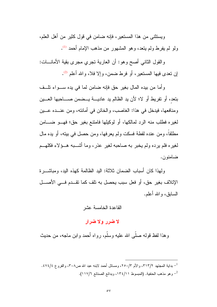ويستثنى من هذا المستعير، فإنه ضامن في قول كثير من أهل العلم، ولو لم يفرط ولم يتعد، وهو المشهور من مذهب الإمام أحمد <sup>(1)</sup>.

والقول الثانبي أصح وهو: أن العارية نجري مجرى بقية الأمانـــات: إن نعدى فيها المستعير، أو فرط ضمن، وإلا فلا، والله أعلم <sup>(2)</sup>.

و أما من بيده المال بغير حقٍّ فإنه ضامن لما في يده ســـواء تلــف بتعد، أو تفريط أو لا؛ لأن يد الظالم يد عاديـــة يـــضمن صــــاحبها العـــين ومنافعها، فيدخل في هذا: الغاصب، والخائن في أمانته، ومن عنــده عـــين لغيره فطلب منه الرد لمالكها، أو لوكيلها فامنتع بغير حق؛ فهـــو ضـــــامن مطلقاً، ومن عنده لقطة فسكت ولم يعر فها، ومن حصل في بيته، أو يده مال لغبر ه فلم بر ده ولم بخبر به صاحبه لغبر عذر ، وما أشـــبه هـــؤ لاء فكلهـــم ضامنون.

ولهذا كان أسباب الضمان ثلاثة: البد الظالمة كهذه البد، ومباشــر ة الإتلاف بغير حق، أو فعل سبب يحصل به نلف كما نقــدم فـــى الأصـــل السابق، و الله أعلم.

#### القاعدة الخامسة عشر

## لا ضرر ولا ضرار

وهذا لفظ قوله صلَّى الله عليه وسلَّم، رواه أحمد وابن ماجه، من حديث

- بداية المجتهد ٣١٣/٢، والأم ٢٥٠/٣، ومسائل أحمد لابنه عبد الله ص٣٠٨، والفروع ٤٧٤/٤. وهو مذهب الحنفية. (المبسوط ١٣٤/١٦، وبدائع الصنائع ١١٧/٦).  $^{-2}$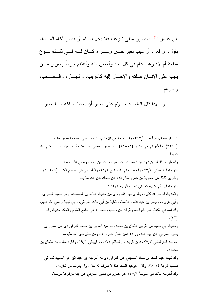ابن عباس <sup>(1)</sup>. فالضرر منفي شرعاً، فلا يحل لمسلم أن يضر أخاه المـــسلم بقول، أو فعل، أو سبب بغير حقَّ وسـواء كـان لـــه فـــى ذلــك نـــو ع منفعة أم لا؟ وهذا عام في كل أحد وأخص منه وأعظم جرماً إضرار مـــن يجب على الإنسان صلته والإحسان إليه كالقريب، والجـــار، والـــصـاحب، ونحوهم.

و لــــهذا قال العلماء: حـــر ّم على الجار ٍ أن يحدث بملكه مــــا يضر ِ

أخرجه الإمام أحمد ٣١٣/١، وابن ماجه في الأحكام، باب من بني بحقه ما يضر جار ه $^{-1}$ (٢٣٤١)، والطبر اني في الكبير (١١٨٠٦)، عن جابر الجعفي عن عكرمة عن ابن عباس رضي الله عنهما. وله طريق ثانية عن داود بن الحصين عن عكر مة عن ابن عباس رضي الله عنهما. أخرجه الدار فطني ٧٧/٢، والخطيب في الموضح ٥٢/٢، والطبر اني في المعجم الكبير (١١٥٧٦). وطريق ثالثة عن معاوية بن عمرو ثنا زائدة عن سماك عن عكرمة به. أخرجه ابن أبي شيبة كما في نصب الراية ٣٨٤/٤. والحديث له شواهد كثيرة، يتقوى بها، فقد روى من حديث عبادة بن الصامت، وأبي سعيد الخدري، وأبـي هريرة، وجابر بن عبد الله، وعائشة، وثعلبة بن أبـي مالك القرظـي، وأبـي لبـابـة رضـي الله عنـهم. وقد استوفى الكلام على شواهده وطرقه ابن رجب رحمه الله في جامع العلوم والحكم حديث رقم  $(\tau \tau)$ وحديث أبـي سعيد من طريق عثمان بن محمد، ثنا عبد العزيز بن محمد الدراوردي عن عمرو بن يحيى المازنبي عن أبيه عنه، وزاد: «من ضار ضر ه الله، ومن شاق شق الله عليه». أخرجه الدار قطني ٧٧/٣، دون الزيادة، و الحاكم ٥٧/٢، و البيهقي ٦٩/٦، وقال: «تفرد به عثمان بن محمد». وقد تابعه عبد الملك بن معاذ النصيبي عن الدر اوردي به أخرجه ابن عبد البر في التمهيد كما في نصب الرابة ٢٨٥/٤، وقال: «وعبد الملك هذا لا يعرف له حال، ولا يعرف من ذكره».

وقد أخرجه مالك في الموطأ ٢٤٥/٢ عن عمرو بن يحيى المازني عن أبيه مرفوعاً مرسلاً.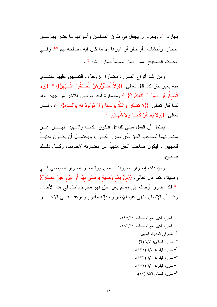بجار ه <sup>(1)</sup>، ويحرم أن يجعل في طرق المسلمين وأسواقهم ما يضر بهم مـــن أحجار، وأخشاب، أو حفر أو غيرها إلا ما كان فيه مصلحة لهم <sup>(2)</sup>. وفسى الحديث الصحيح: «من ضار مسلماً ضبار ه الله» <sup>(3)</sup>.

ومن أشد أنواع الضرر: مضارة الزوجة، والنضبيق عليها لنفتــدي منه بغير حق كما قال تعالى: {{وَلاَ تُضَاَرِوُهُنَّ لتُضبِّقُوا عَلَــبِيْهِنَّ}} <sup>(4)</sup> {{وَلاَ نُمْسكُوهُنَّ ضرَارًا لتَعْتَدُوا}} <sup>(5)</sup> ومضارة أحد الوالدين للأخر من جهة الولد كما قال تعالى: {{لاَ تُضَاّرَ وَالدَةُ بولَدهَا وَلاَ مَوَلُودٌ لَهُ بولَــده}} (6)، وقـــال نعالى: {{وَلاَ يُضَأَرَّ كَاتِبٌ وَلاَ شَهِيدٌ}} (7).

يحتمل أن الفعل مبنى للفاعل فيكون الكاتب والشهيد منهيـــين عـــن مضارنهما لصاحب الحق بأي ضرر يكــون، ويحتمــل أن يكــون مبنيـــاً للمجهول، فيكون صاحب الحق منهياً عن مضارته لأحدهما، وكـــل ذلـــك صحيح.

ومن ذلك إضرار المورث لبعض ورثته، أو إضرار الموصبي فسي وصيته، كما قال تعالى: {{منْ بَعْد وَصيَّة يُوصِيَ بِهَا أَوْ دَيْنٍ غَيْرَ مُضَآرٍّ}} <sup>(8)</sup> فكل ضرر أوصله إلى مسلم بغير حق فهو محرم داخل في هذا الأصل. وكما أن الإنسان منهى عن الإضرار، فإنه مأمور ومرغب فــي الإحــسان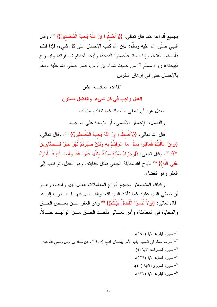بجميع أنواعه كما قال تعالى: {{وَأَحْسِنُوا إِنَّ اللَّهَ يُحبُّ الْمُحْسِنِينَ}} <sup>(1)</sup>. وقال النبي صلَّى الله عليه وسلَّم: «إن الله كنب الإحسان على كل شيء، فإذا قتلتم فأحسنوا القتلة، وإذا ذبحتم فأحسنوا الذبحة، وليحد أحدكم شـــفرته، وليـــرح ذبيحته» رواه مسلم <sup>(2)</sup> من حديث شداد بن أوس، فأمر صلّى الله عليه وسلّم بالإحسان حتى في إز هاق النفوس.

القاعدة السادسة عشر

العدل واجب في كل شيء، والفضل مسنون

العدل هو : أن تعطي ما لديك كما تطلب ما لك.

والفضل: الإحسان الأصلي، أو الزيادة على الواجب.

قال الله تعالى: {{وَأَقْسطُوا إِنَّ اللَّهَ يُحبُّ الْمُقْسطينَ}} <sup>(3)</sup>. وقال تعالى: {{وَإِنْ عَاقَبْتُمْ فَعَاقَبُوا بِمثْل مَا عُوقَبْتُمْ بِه وَلَئَنْ صِبَرِتُمْ لَهُوَ خَيْرٌ لِلْــصَّابِرِينَ \*}} (4). وقال تعالى: {{وَجَزَاءُ سَبِّئَةٌ سَبِّئَةٌ مثَّلُهَا فَمَنْ عَفَا وَأَصْــلَحَ فَــأَجْرُهُ عَلَى اللَّه}} (5) فأباح الله مقابلة الجانبي بمثل جنايته، وهو العدل، ثم ندب إلى العفو وهو الفضل.

وكذلك المتعاملان بجميع أنواع المعاملات العدل فيها واجب، وهــو أن نعطي الذي عليك كما نأخذ الذي لك، والفــضل فيهـــا منـــدوب إليــــه. قال تعالى: {{وَلاَ تَتْسَوَا الْفَضلَ بَيْنَكُمْ}} ® وهو العفو عـــن بعـــض الحـــق والمحاباة في المعاملة، وأمر تعــالى بأخــذ الحــق مــن الواجــد حـــالاً،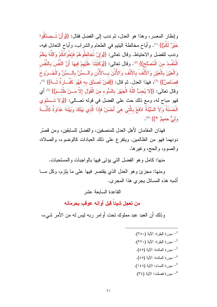وإنظار المعسر، وهذا هو العدل، ثم ندب إلى الفضل فقال: {{وَأَنْ تَــصَدَّقُوا خَيْرٌ لَكُمْ}} (!). وأباح مخالطة البِتيم في الطعام والشراب، وأباح النعادل فيه، وندب للفضل والاحتياط. وقال تعالى: {{وَإِنْ تُخَالِطُوهُمْ فَإِخْوَانُكُمْ وَاللَّهُ يَعْلَمُ الْمُفْسدَ منَ الْمُصلْح}} <sup>(2)</sup>. وقال تعالى: {{وكَتَبْنَا عَلَيْهِمْ فِيهَا أَنَّ النَّفْسَ بِالنَّفْس وَالْعَيْنَ بِالْعَيْنِ وَالأَنْفَ بِالأَنْفِ وَالأُذُنَ بِسَالأُذُنِ وَالسِّسِّنَّ بِالسِّسِّنِّ وَالْجُسرُوحَ قصاَصٍّ}} <sup>(3</sup>)، فهذا العدل. ثم قال: {{فَمَنْ تَصدَّقَ بِه فَهُوَ كَفَّــارَةً لَـــهُ}} <sup>(4)</sup>. وقال تعالى: {{لاَ يُحبُّ اللَّهُ الْجَهْرَ بِالسُّوءِ منَ الْقَوْلِ إلاَّ مَـــنْ ظُلــمَ}} <sup>(5)</sup> أي فهو مباح له، ومع ذلك حث على الفضل في قوله تعـــالى: {{وَلاَ تَــسْتُوي الْحَسَنَةُ وَلاَ السَّيِّئَةُ ادْفَعْ بِالَّتي هيَ أَحْسَنُ فَإِذَا الَّذي بَيْنَكَ وَبَيْنَهُ عَدَاوَةً كَأَنَّــهُ وَلَّيٌّ حَمَيْمٌ \*}} (6).

فهذان المقامان لأهل العدل للمنصفين، والفضل للسابقين، ومن قصَّر دونهما فهو من الظالمين. ويتفرع على ذلك العبادات كالوضوء، والصلاة، والصوم، والحج، وغيرها.

منها: كامل وهو الفضل التي يؤتي فيها بالواجبات والمستحبات.

ومنها: مجزئ وهو العدل الذي يقتصر فيها على ما يلزم، وكل مـــا أشبه هذه المسائل يجري هذا المجرى.

القاعدة السابعة عشر

من تعجل شبِئاً قبِل أوانه عوقبٍ بحرمانه

وذلك أن العبد عبد مملوك نحت أوامر ربه ليس له من الأمر شيء،

- سورة البقرة: الآية (٢٨٠). ـ سورة البقرة: الآية (٢٢٠). $^{-2}$ سورة المائدة: الآبة (٤٥).  $^{-3}$ <sup>4</sup>– سورة المائدة: الآية (٤٥). - سورة النساء: الآية (١٤٨). <sup>6</sup>– سورة فصلت: الآية (٣٤).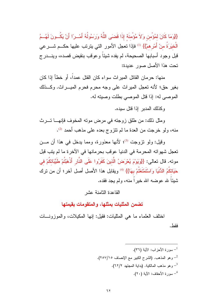{{وَمَا كَانَ لَمُؤْمِنٍ وَلاَ مُؤْمِنَةٍ إِذَا قَضَبَى اللَّهُ وَرَسُولُهُ أَمْــراً أَنْ بَكُــونَ لَهُــمُ الْخيَرَةُ منْ أَمْرِ همْ}} <sup>(1)</sup> فإذا تعجل الأمور التي يترتب عليها حكـــم شــــرعي قبل وجود أسبابها الصحيحة، لم يفده شيئاً وعوقب بنقيض قصده، وينـــدرج تحت هذا الأصل صور عديدة:

منها: حر مان القاتل المير اث سو اء كان القتل عمداً، أو خطأ إذا كان بغير حق؛ لأنه تعجل الميراث على وجه محرم فحرم الميــــراث. وكـــذلك الموصى له: إذا قُتل الموصىي بطلت وصيته له.

وكذلك المدبر إذا قتل سيده.

ومثل ذلك: من طلق زوجته في مرض موته المخوف فإنهــا تـــرث منه، ولو خرجت من العدة ما لم تتزوج بعده على مذهب أحمد (2).

وقيل: ولمو نزوجت <sup>(3)</sup>؛ لأنها معذورة، ومما يدخل في هذا أن مـــن تعجل شهواته المحرمة في الدنيا عوقب بحرمانها في الآخرة ما لم يتب قبل موته. قال تعالى: {{وَيَوْمَ يُعْرَضُ الَّذِينَ كَفَرُوا عَلَى النَّارِ أَذْهَبْتُمْ طَيِّبَاتكُمْ في حَيَاتِكُمُ الدُّنْيَا وَاسْتَمْتَعْتُمْ بِهَا}} <sup>(4)</sup> ويقابل هذا الأصل أصل آخر ؛ أن من ترك شببًا لله عوضه الله خيراً منه، ولم يجد فقده.

القاعدة الثامنة عشر

تضمن المثليات بمثلها، والمتقومات بقيمتها

اختلف العلماء ما هي المثليات: فقيل: إنها المكيلات، والموزونـــات فقط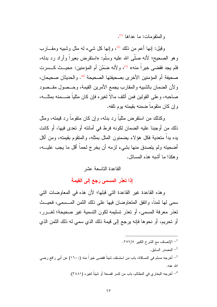والمتقومات: ما عداها <sup>(1)</sup>.

وقيل: إنها أعم من ذلك <sup>(2)</sup>، وإنها كل شيء له مثل وشبيه ومقـــارب وهو الصحيح؛ لأنه صلَّى الله عليه وسلَّم: «استقرض بعيراً وأراد رد بدله، فلم يجد فقضبي خير اً منه» <sup>(3)</sup>، و لأنه ضَمَّنَ أم المؤمنين: «حيـــث كـــسريت صحيفة أم المؤمنين الأخر ي بصحيفتها الصحيحة <sup>(4)</sup>. و الحديثان صحيحان، ولأن الضمان بالشبيه والمقارب يجمع الأمرين القيمة، وحــصول مقــصود صاحبه، وعلى القولين فمن أنلف مالاً لغيره فإن كان مثلياً ضـــمنه بمثلـــه، و ان کان منقوماً ضمنه بقیمته بوم تلفه.

وكذلك من استقرض مثلباً رد بدله، وإن كان متقوماً رد قبمته، ومثل ذلك من أوجبنا عليه الضمان لكونه فرط في أمانته أو تعدى فيها، أو كانت يده يداً متعدية فكل هؤلاء يضمنون المثل بمثله، والمنقوم بقيمته، ومن أكل أضحيته ولم يتصدق منها بشيء لزمه أن يخرج لحماً أقل ما يجب عليـــه، وهكذا ما أشبه هذه المسائل.

القاعدة التاسعة عشر

إذا تعذر المسمى رجع إلى القيمة

وهذه القاعدة غير القاعدة التي قبلها؛ لأن هذه في المعاوضات التي سمي لها ثمناً، وانفق المتعاوضان فيها على ذلك الثمن المـــسمي، فحيـــث تعذر معرفة المسمى، أو تعذر تسليمه لكون التسمية غير صحيحة؛ لغـــر ر ، أو تحريم، أو نحوها فإنه يرجع إلى قيمة ذلك الذي سمي له ذلك الثمن الذي

لإنصاف مع الشرح الكبير ٢٥٧/٥.  $^{-1}$ لمصدر السابق. $^{-2}$ أخرجه مسلم في المساقاة، باب من استسلف شيئاً فقضي خيراً منه (١٦٠٠) عن أبي رافع رضي  $^{-3}$ الله عنه. <sup>4</sup>– أخرجه البخاري في المظالم، باب من كسر قصعة أو شيئاً لغيره (٢٤٨١).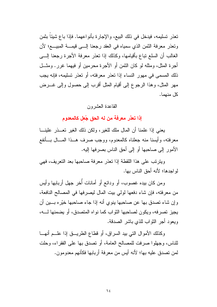تعذر تسليمه، فيدخل في ذلك البيع، والإجارة بأنواعهما. فإذا باع شيئاً بثمن ونعذر معرفة النَّمن الذي سمياه في العقد رجعنا إلـــي فيمـــة المبيـــع؛ لأن الغالب أن السلع نباع بأقيامها، وكذلك إذا نعذر معرفة الأجرة رجعنا إلـــي أجرة المثل، ومثله لو كان الثمن أو الأجرة محرمين أو فيهما غرر . ومثـــل ذلك المسمى في مهور النساء إذا نعذر معرفته، أو نعذر تسليمه، فإنه يجب مهر المثل، وهذا الرجوع إلى أقيام المثل أقرب إلى حصول وإلى غـــرض كل منهما.

## القاعدة العشرون

إذا تعذر معرفة من له الحق جُعل كالمعدوم

يعني إذا علمنا أن المال ملك للغير ، ولكن ذلك الغير تعـــذر علينــــا معرفته، وأيسنا منه جعلناه كالمعدوم، ووجب صرف هــذا المـــال بـــأنفع الأمور إلى صاحبها أو إلى أحق الناس بصرفها إليه.

ويترتب على هذا اللقطة إذا تعذر معرفة صاحبها بعد التعريف، فهي لو احدها؛ لأنه أحق الناس بها.

ومن كان بيده غصوب، أو ودائع أو أمانات أُخر جهل أربابها وأيس من معرفته، فإن شاء دفعها لولي بيت المال ليصرفها في المصالح النافعة، وإن شاء تصدق بها عن صاحبها ينوي أنه إذا جاء صاحبها خيّره بــــين أن يجيز تصرفه، ويكون لصاحبها الثواب كما نواه المتصدق، أو يضمنها لــــه، وبعود أجر النَّواب للذي باشر الصدقة.

وكذلك الأموال التي بيد السراق، أو قطاع الطريـــق إذا علـــم أنهـــا للناس، وجهلوا صرفت للمصالح العامة، أو نصدق بها على الفقراء، وحلت لمن تصدق عليه بها؛ لأنه أيس من معرفة أربابها فكأنهم معدومون.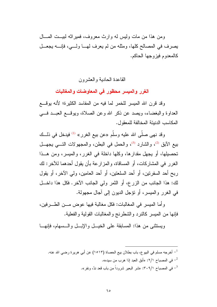ومن هذا من مات وليس له وارث معروف، فمير اثه ليبت المسال يصرف في المصالح كلها، ومثله من لم يعرف لهـــا ولــــى، فإنــــه يجعـــل كالمعدوم فيزوجها الحاكم.

القاعدة الحادية و العشر ون

الغرر والميسر محظور فى المعاوضات والمغالبات

وقد قرن الله الميسر للخمر لما فيه من المفاسد الكثيرة؛ لأنه يوقع العداوة والبغضاء، ويصد عن ذكر الله وعن الصلاة، ويوقَّــع العبــد فـــي المكاسب الدنيئة المخالفة للمعقول.

وقد نهي صلَّى الله عليه وسلَّم «عن بيع الغرر» <sup>(1)</sup> فيدخل في ذلـــك بيع الأبق <sup>(2)</sup>، والشارد <sup>(3)</sup>، والحمل في البطن، والمجهولات التـــي يجهـــل تحصيلها، أو يجهل مقدارها، وكلها داخلة في الغرر، والميسر، ومن هــذا الغرر في المشاركات، أو المساقاة، والمزارعة بأن يقول أحدهما للآخر: لك ربح أحد السفرنين، أو أحد السلعنين، أو أحد العامين، ولي الآخر، أو يقول لك: هذا الجانب من الزرع، أو الثمر ولى الجانب الآخر. فكل هذا داخــل في الغرر والميسر، أو نؤجل الديون إلى أجال مجهولة.

وأما المبسر في المغالبات: فكل مغالبة فيها عوض مـــن الطــــرفين، فإنها من المبسر كالنرد والشطرنج والمغالبات القولية والفعلية.

ويستثنى من هذا: المسابقة على الخيــل والإبــل والــسهام، فإنهــا

أخرجه مسلم في البيو ع، باب بطلان بيع الحصاة (١٥١٣) عن أبي هرير ة رضي الله عنه.  $^{-1}\,$ في المصباح ٢/١: «أبق العبد إذا هرب من سيده». في المصباح ٣٠٩/١: «شر البعير شروداً من باب قعد ندًّ، ونفر».  $^{-3}$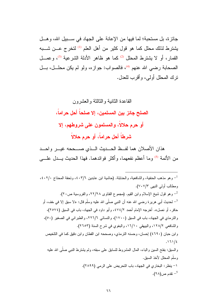جائزة، بل مستحبة؛ لما فيها من الإعانة على الجهاد في سـبيل الله، وهـل يشترط لذلك محلل كما هو قول كثير من أهل العلم لك لتخرج عـــن شـــبه القمار، أو لا يشترط المحلل <sup>(2)</sup>كما هو ظاهر الأدلة الشرعية <sup>(3</sup>)، وع*مــ*ل الصحابة رضى الله عنهم <sup>(4)</sup>، فالصواب: جوازه، ولو لم يكن محلـــل، بـــل نرك المحلل أولى، وأقرب للعدل.

# القاعدة الثانية والثالثة والعشرون الصلح جائز بين المسلمين، إلا صلحاً أحل حراماً، أو حرم حلالاً، والمسلمون على شروطهم، إلا شرطاً أحل حراماً، أو حرم حلالاً

هذان الأصلان هما لفظ الحــديث الــذي صـــححه غيـــر واحـــد من الأئمة <sup>(5)</sup> وما أعظم نفعهما، وأكثر فوائدهما. فهذا الحديث بـــدل علــــى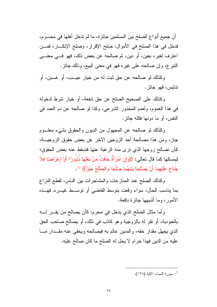أن جميع أنواع الصلح بين المسلمين جائزة، ما لم ندخل أهلها في محـــرم، فدخل في هذا الصلح في الأموال: صلح الإقرار، وصلح الإنكـــار، فمـــن اعترف لغيره بعين، أو دين، ثم صالحه عن بعض ذلك، فهو فـــي معنــــي النبر ع، وإن صـالحـه علـى غير ه فـهو فـى معنـى البيـع، وذلك جائز .

وكذلك لو صالحه عن حق ثبت له من خيار عيــب، أو غـــبن، أو تدليس، فهو جائز.

وكذلك على الصحيح الصلح عن حق شفعة، أو خيار شرط لدخوله في هذا العموم، ولعدم المحذور الشرعي، وكذا لو صالحه عن دم العمد في النفس، أو ما دونها فكله جائز .

وكذلك لو صالحه عن المجهول من الديون والحقوق بشيء معلـــوم جاز، ومن هذا مصالحة أحد الزوجين الآخر عن بعض حقوق الزوجيـــة، كأن تصالح زوجها الذي نرى منه الرغبة عنها فتسقط عنه بعض الحقوق؛ ليمسكها كما قال تعالى: {{وَإِن امْرَأَةٌ خَافَتٌ منْ بَعْلَهَا نُشُورْاً أَوْ إعْرَاضِاً فَلاَ جُنَاحَ عَلَيْهِمَا أَنْ يُصلْحَا بَيْنَهُمَا صلُلْحًا وَالصُّلْحُ خَيْرٌ}} (1).

وكذلك الصلح عند المنازعات والمشاجرات بين الناس، لقطع النزاع بما يناسب الحال، سواء وقعت بتوسط القاضبي أو نوســط غيـــره. فهـــذه الأمور ، وما أشبهها جائزة نافعة.

وأما مثال الصلح الذي يدخل في محرم: كأن يصالح من يقـــر لــــه بالعبودية، أو نقر له بالزوجية وهو كاذب في ذلك، أو يصالح صاحب الحق الذي يجهل مقدار حقه، والمدين عالم به فيصالحه ويخفى عنه مقدار ما عليه من الدين فهذا حرام لا يحل له الصلح ما كان صالح عليه.

<sup>-</sup> سورة النساء: الآية (١٢٨).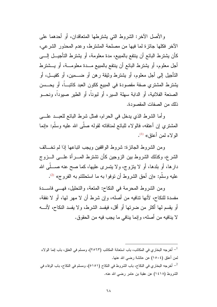والأصل الأخر: الشروط التي يشترطها المتعاقدان، أو أحدهما على الأخر فكلها جائزة لما فيها من مصلحة المشترط، وعدم المحذور الشرعبي، كأن يشترط البائع أن ينتفع بالمبيع، مدة معلومة، أو يشترط التأجيــل إلــــى أجل معلوم، أو يشترط البائع أن ينتفع بالمبيع مـــدة معلومـــة، أو يـــشترط النَّأجيل إلى أجل معلوم، أو يشترط وثيقة رهن أو ضــــمين، أو كفيـــل، أو يشترط المشتري صفة مقصودة في المبيع ككون العبد كانبـــاً، أو يحـــسن الصنعة الفلانية، أو الدابة سهلة السير، أو لبوناً، أو الطير صبوداً، ونحـــو ذلك من الصفات المقصودة.

وأما الشرط الذي يدخل في الحرام، فمثل شرط البائع للعبــد علـــي المشتري إن أعتقه، فالولاء للبائع لمنافاته لقوله صلى الله عليه وسلم: «إنما الو لاء لمن أعتق» (1).

ومن الشروط الجائزة: شروط الواقفين ويجب انباعها إذا لم نخــالف الشرع، وكذلك الشروط بين الزوجين كأن نشترط المسرأة علسى السزوج دارها، أو بلدها، أو لا ينزوج، ولا يتسرى عليها، كما صح عنه صــــلّـى الله عليه وسلَّم: «إن أحق الشروط أن توفوا به ما استحللتم به الفروج» <sup>(2)</sup>.

ومن الشروط المحرمة في النكاح: المتعة، والتحليل، فهـــي فاســـدة مفسدة للنكاح، لأنها نتافيه من أصله، وإن شرط أن لا مهر لها، أو لا نفقة، أو يقسم لها أكثر من ضرتها أو أقل، فيفسد الشرط، ولا يفسد النكاح، لأنسه لا ينافيه من أصله، و إنما ينافي ما يجب فيه من الحقوق.

أخرجه البخاري في المكاتب، باب استعانة المكاتب (٢٥٦٣)، ومسلم في العتق، باب إنما الولاء  $^{-1}$ لمن أعتق (١٥٠٤) عن عائشة رضبي الله عنها. أخرجه البخاري في النكاح، باب الشروط في النكاح (٥١٥١)، ومسلم في النكاح، باب الوفاء في  $^{-2}$ الشروط (١٤١٨) عن عقبة بن عامر رضبي الله عنه.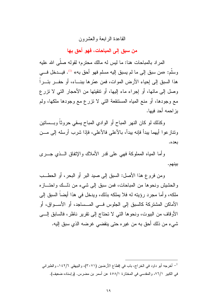## القاعدة الر ابعة و العشر ون

من سبق إلى المباحات، فهو أحق بها

المر اد بالمباحات هنا: ما لبس له مالك محتر م؛ لقوله صلَّى الله علبه وسلم: «من سبق إلى ما لم يسبق إليه مسلم فهو أحق به» (1). فيـــدخل فــــى هذا السبق إلى إحياء الأر ض الموات، فمن عمّر ها ببنـــاء، أو حفــر ۖ بئــر ا وصل إلى مائها، أو إجراء ماء إليها، أو نتقيتها من الأحجار التي لا نزرع مع وجودها، أو منع المياه المستنقعة التبي لا نزرع مع وجودها ملكها، ولم يز احمه أحد فيها.

وكذلك لو كان النهر المباح أو الوادي المباح يسقى حروثاً وبـــساتين ونتازعوا أيهما ببدأ فإنه ببدأ، بالأعلى فالأعلى، فإذا شرب أرسله إلى مـــن بعده.

وأما المباه المملوكة فهي على قدر الأملاك والإتفاق السذى جسري بينهم.

ومن فروع هذا الأصل: السبق إلى صيد البر أو البحر ، أو الحطــب و الحشيش ونحو ها من المباحات، فمن سبق إلى شيء من ذلــك و احتـــاز ه ملكه، وأما مجرد رؤيته له فلا يملكه بذلك، ويدخل في هذا أيضاً السبق إلى الأماكن المشتركة كالسبق إلى الجلوس فسي المسساجد، أو الأســـواق، أو الأوقاف من البيوت، ونحوها التي لا تحتاج إلى نقرير ناظر، فالسابق إلـــي شيء من ذلك أحق به من غير ه حتى ينقضي غرضه الذي سبق إليه.

<sup>&</sup>lt;sup>1</sup>– أخرجه أبو داود في الخراج، باب في إقطاع الأرضين (٣٠٧١)، والبيهقي ١٤٢/٦، والطبراني في الكبير ٧٦/١، والمقدسي في المختارة ٤٥٨/١ عن أسمر بن مضرس. (وإسناده ضعيف).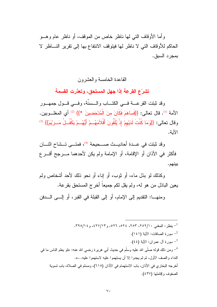و أما الأوقاف التي لمها ناظر خاص من الموقف، أو ناظر عام و هــو الحاكم للأو قاف التي لا ناظر لها فيتو قف الانتفاع بها إلى نقر ير النساظر لا بمجر د السبق.

#### القاعدة الخامسة والعشرون

تشرّع القرعة إذا جهل المستحق، وتعذرت القسمة

وقد ثبتت القرعــــة فــــى الكتــــاب والــــسنَّة، وفــــى قـــول جمهـــور الأمة <sup>(1)</sup>. قال تعالى: {{فَسَاهَمَ فَكَانَ منَ الْمُدْحَضينَ \*}} <sup>(2)</sup> أي المغلــوبين. وقال تعالى: {{وَمَا كُنْتَ لَدَيْهِمْ إِذْ يُلْقُونَ أَقْلاَمَهُـمْ أَيُّهُـمْ يَكْفُـلُ مَــرِيْمَ}} (3) الآبة.

وقد ثبتت في عــدة أحاديـــث صـــحيحة (4)، فمتـــي تـــشاح اثنـــان فأكثر في الأذان أو الإقامة، أو الإمامة ولم يكن لأحدهما مــــرجح أقــــر ع بينهم.

وكذلك لو بذل ماء، أو ثوب، أو إناء أو نحو ذلك لأحد أشخاص ولم يعين الباذل من هو له، ولم يقل لكم جميعاً أخر ج المستحق بقرعة.

ومنهـــا: النقديم إلى الإمام، أو إلى القبلة في القبر، أو إلـــي الـــدفن

- ينظر: المغنى ٢٥٢/١٠، ٢٥٣، ٢٥٢، ٢٩٥، ٢٩٥/١٣، و٢١/٥٢٤. سورة الصافات: الآية (١٤١). <sup>3</sup>– سورة آل عمران: الآية (٤٤). <sup>4</sup>– ومن ذلك قولـه صلَّى الله عليه وسلَّم في حديث أبي هريرة رضـي الله عنـه: «لو يعلم النـاس مـا في النداء و الصف الأول، ثم لم يجدو ا إلا أن يستهمو ا عليه لاستهمو ا عليه...». أخرجه البخاري في الأذان، باب الاستهمام في الأذان (٦١٥)، ومسلم في الصلاة، باب تسوية الصفوف وإقامتها (٤٣٧).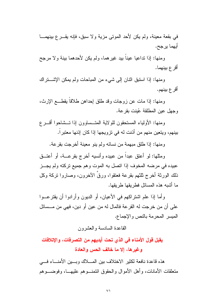في بقعة معينة، ولم يكن لأحد الموتى مزية ولا سبق، فإنه يقـــرع بينهمـــا أيهما يرجح.

ومنها: إذا نداعيا عينا بيد غير هما، ولم يكن لأحدهما بينة ولا مرجح أقر ع ببنهما.

ومنها: إذا استبق اثنان إلى شيء من المباحات ولم يمكن الإشتراك أقرع بينهم.

ومنها: إذا مات عن زوجات وقد طلق إحداهن طلاقا يقطـــع الإرث، وجهل عين المطلقة عُينت بقر عة.

ومنها: الأولياء المستحقون للو لاية المتسساوون إذا تسشاحوا أقسر ع بينهم، ويتعين منهم من أذنت له في تزويجها إذا كان إذنها معتبراً.

ومنها: إذا طلق مبهمة من نسائه ولم ينو معينة أخرجت بقرعة.

ومثلها: لو أعتق عبداً من عبيده وأنسيه أخرج بقرعــــة، أو أعتـــق عبيده في مرضه المخوف إذا انصل به الموت وهم جميع نركته ولم يجــز ذلك الورثة أخرج ثلثهم بقرعة فعنقوا، ورقٌ الآخرون، وصاروا نركة وكل ما أشبه هذه المسائل فطر بقها طر بقها.

وأما إذا علم اشتراكهم في الأعيان، أو الديون وأرادوا أن يقترعــوا على أن من خرجت له القرعة فالمال له من عين أو دين، فهي من مـــسائل الميسر المحرمة بالنص والإجماع.

القاعدة السادسة والعشرون

يقبل قول الأمناء في الذي تحت أيديهم من التصرفات، والإتلافات وغير ها، إلا ما خالف الحس والعادة

هذه قاعدة نافعة لكثير الاختلاف بين المسلاك وبسين الأمنساء فسي منعلقات الأمانات، وأهل الأموال والحقوق ائتمنـــوهم عليهـــا، وفوضــــوهم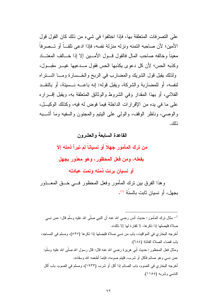على التصرفات المتعلقة بها، فإذا اختلفوا في شيء من ذلك كان القول قول الأمين؛ لأن صاحبه ائتمنه ونزله منزلة نفسه، فإذا ادعى تلف ً أو تــصرفاً معينا وخالفه صاحب المال فالقول قسول الأمسين إلا إذا خسالف المعتساد وكذبه الحس؛ لأن كل دعوى بكذبها الحس فقول مــدعبها غبــر مقبــول، ولذلك يقبل قول الشريك والمضارب في الربح والخــسارة ومــا اشــتراه لنفسه، أو للمضاربة والشركة، ويقبل قوله: إنه باعــــه نـــسيئة، أو بالنقـــد الفلانبي، أو بـهذا المقدار وفي الشروط والوثائق المتعلقة بـه، ويقبل إقــــرار ه على ما في يده من الإقرارات الداخلة فيما فوض له فيه، وكذلك الوكيــل، والوصبي، وناظر الوقف، والولبي على البنيع والمجنون والسفيه وما أشـــبه ذلك.

#### القاعدة السابعة والعشرون

من ترك المأمور جهلاً أو نسياناً لم تبرأ ذمته إلا

# بفعله، ومن فعل المحظور ، وهو معذور بجهل

أو نسيان برئت ذمته وتمت عبادته

وهذا الفرق بين نرك المأمور وفعل المحظور فسي حــق المعـــذور يجهل، أو نسيان ثابت بالسنّة <sup>(1)</sup>.

مثال ترك المأمور : حديث أنس رضبي الله عنه أن النبي صلَّى الله عليه وسلَّم قال: «من نسي  $^{-1}$ صلاة فليصلها إذا ذكر ها، لا كفار ة لها إلا ذلك». أخرجه البخاري في المواقيت، باب من نسى صلاة فليصلها إذا ذكرها (٥٩٧)، ومسلم في المساجد، باب قضاء الصلاة الفائتة (٢٨٤). ومثال فعل المحظور : حديث أبي هر ير ة رضبي الله عنه قال: قال رسول الله صلَّى الله عليه وسلَّم: «من نسبي و هو صـائـم فأكل أو شر ب، فلبتم صومه، فإنمـا أطـعمـه الله وسقاه». أخرجه البخاري في الصوم، باب الصائم إذا أكل أو شرب (١٩٣٣)، ومسلم في الصوم، باب أكل الناسي وشربه (١١٥٥).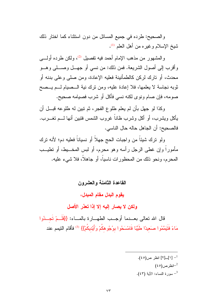والصحيح: طرده في جميع المسائل من دون استثناء كما اختار ذلك شيخ الإسلام وغير ه من أهل العلم <sup>(1)</sup>.

والمشهور من مذهب الإمام أحمد فيه نفصيل <sup>(2)</sup>، ولكن طرده أولــــى و أقرب إلى أصول الشريعة. فمن ذلك: من نسبي أو جهــل وصـــلـي و هـــو محدث، أو تار ك لر كن كالطمأنينة فعليه الإعادة، و من صلى و على بدنه أو ثوبه نجاسة لا يعلمها، فلا إعادة عليه، ومن نرك نية الــصيام لـــم يـــصح صومه، فإن صام ونوى لكنه نسي فأكل أو شرب فصيامه صحيح.

وكذا لو جهل بأن لم يعلم طلوع الفجر، ثم نبين له طلوعه قبـــل أن يأكل ويشرب، أو أكل وشرب ظاناً غروب الشمس فتبين أنها لـــم تغـــرب. فالصحيح: أن الجاهل حاله حال الناسي.

ولو نزك شيئاً من واجبات الحج جهلاً أو نسياناً فعليه دم؛ لأنه نزك مأموراً وإن غطى الرجل رأسه وهو محرم، أو لبس المخـــبط، أو تطيـــب المحرم، ونحو ذلك من المحظورات ناسياً، أو جاهلاً، فلا شيء عليه.

القاعدة الثامنة والعشرون

يقوم البدل مقام المبدل،

# ولكن لا يصار إليه إلا إذا تعذر الأصل

قال الله تعالى بعــدما أوجــب الطهــارة بالمــاء: {{فَلَــمْ تَجــدُوا مَاءً فَتَيَمَّمُوا صَعِيدًا طَيِّبًا فَامْسَحُوا بوُجُوهكُمْ وَأَيْدِيكُمْ}} <sup>(3)</sup> فأقام النيمم عند

> .  $(50)(\omega)$  انظر ص $(51)$ . انظر ص $^{-2}$ ـ سورة النساء: الآية (٤٣).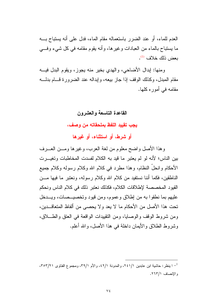العدم للماء، أو عند الضرر باستعماله مقام الماء، فدل على أنه بستباح بــه ما يستباح بالماء من العبادات وغيرها، وأنه يقوم مقامه في كل شيء وفسي يعض ذلك خلاف <sup>(1)</sup>.

ومنها: اِبدال الأضاحي، والهدى بخير منه يجوز، ويقوم البدل فيسه مقام المبدل، وكذلك الوقف إذا جاز بيعه، وإبداله عند الضرور ة قسام بدلسه مقامه في أموره كلها.

# القاعدة التاسعة والعشرون

يجب تقييد اللفظ بملحقاته من وصف،

أو شرط، أو استثناء، أو غيرها

وهذا الأصل واضح معلوم من لغة العرب، وغيرها ومـــن العــــرف بين الناس؛ لأنه لو لم يعتبر ما قيد به الكلام لفسدت المخاطبات وتغيـــرت الأحكام وانحلَّ النظام، وهذا مطرد في كلام الله وكلام رسوله وكلام جميع الناطقين، فكما أننا نستفيد من كلام الله وكلام رسوله، ونعتبر ما فيها مـــن القيود المخصصة لإطلاقات الكلام، فكذلك نعتبر ذلك في كلام الناس ونحكم عليهم بما نطقوا به من إطلاق وعموم، ومن قيود وتخصيــصات، ويـــدخل تحت هذا الأصل من الأحكام ما لا يعد ولا يحصبي من ألفاظ المتعاقـــدين، ومن شروط الوقف والوصابا، ومن النقيبدات الواقعة في العنق والطـــلاق، وشروط الطلاق والأيمان داخلة في هذا الأصل، والله أعلم.

<sup>-</sup> ا ينظر : حاشية ابن عابدين ٢٤١/١، والمدونة ٤٢/١، والأم ٣٩/١، ومجموع الفتاوي ٣٥٣/٢١، والإنصاف ٢٦٣/١.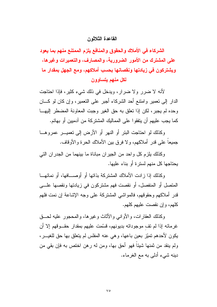#### القاعدة الثلاثه ن

الشركاء في الأملاك والحقوق والمنافع يلزم الممتنع منهم بما يعود على المشترك من الأمور الضرورية، والمصارف، والتعميرات وغيرها، ويشتركون في زيادتها ونقصانها بحسب أملاكهم، ومع الجهل بمقدار ما لكل منهم يتساوون

لأنه لا ضرر ولا ضرار، ويدخل في ذلك شيء كثير، فإذا احتاجت الدار إلى نعمير وامنتع أحد الشركاء أجبر على النعمير، وإن كان لو كـــان وحده لم يجبر، لكن إذا تعلق به حق الغير وجبت المعاونة المضطر إليهــا كما يجب عليهم أن يتفقوا على المماليك المشتركة من آدميين أو بهائم.

وكذلك لو احتاجت البئر أو النهر أو الأرض إلى تعميـــر عمروهـــا جميعا على قدر أملاكهم، و لا فرق بين الأملاك الحرة و الأوقاف.

وكذلك يلز م كل و احد من الجير إن مباناة ما بينهما من الجدر إن التي يحتاجها كل منهم لسترة أو بناء عليها.

وكذلك إذا زادت الأملاك المشتركة بذاتها أو أوصـــافها، أو نمائهــا المتصل أو المنفصل، أو نقصت فهم مشتركون في زيادتها ونقصها علـــي قدر أملاكهم وحقوقهم، فالمواشى المشتركة على وجه الإشاعة إن نمت فلهم كلهم، وإن نقصت عليهم كلهم.

وكذلك العقارات، والأوانبي والأثاث وغيرها، والمحجور عليه لحــق غرمائه إذا لم نف موجوداته بديونهم، فسَّمت عليهم بمقدار حقــوقهم إلا أن يكون لأحدهم تميّز بعين باعها، وهي عنه المفلس لم يتعلق بها حق للغيـــر، ولم ينقد من ثمنها شيئاً فهو أحق بها، ومن له رهن اختص به فإن بقي من دينه شيء أدلي به مع الغرماء.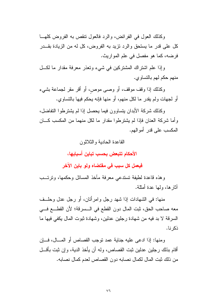وكذلك العول في الفر ائض، والرد فالعول نتقص به الفروض كلهــا كل على قدر ما يستحق والرد نزيد به الفروض، كل له من الزيادة بقـــدر فرضه، كما هو مفصل في علم المواريث.

وإذا علم اشتراك المشتركين في شيء وتعذر معرفة مقدار ما لكل منهم حكم لهم بالتساوي.

وكذلك إذا وقف موقف، أو وصبي موص، أو أقر مقر لجماعة بشيء أو لجهات ولم يقدر ما لكل منهم، أو منها فإنه يحكم فيها بالتساوي.

وكذلك شركة الأبدان بتساوون فيما بحصل إذا لم بشترطوا التفاضل، وأما شركة العنان فإذا لم يشترطوا مقدار ما لكل منهما من المكسب كـــان المكسب على قدرٍ أمو الهم.

القاعدة الحادية و الثلاثون

الأحكام تتبعض بحسب تباين أسبابها،

فيعمل كل سبب في مقتضاه ولو باين الآخر

وهذه قاعدة لطيفة تستدعى معرفة مأخذ المسائل وحكمها، وترتــب أثار ها، وليها عدة أمثلة.

منها: في الشهادات إذا شهد رجل وامرأتان، أو رجل عدل وحلَّــف معه صاحب الحق، ثبت المال دون القطع في الـــسرقة؛ لأن القطـــع فـــي السرقة لا بد فيه من شهادة رجلين عدلين، وشهادة ثبوت المال يكفي فيها ما ذكر نا.

ومنها: إذا ادعى عليه جناية عمد نوجب القصاص أو المسال، فسان أقام بذلك رجلين عدلين ثبت القصاص، وله أن يأخذ الدية، و إن ثبت بأقـــل من ذلك ثبت المال لكمال نصابه دون القصاص لعدم كمال نصابه.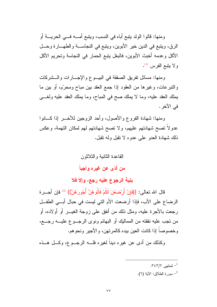ومنها: قالوا الولد بِتبع أباه في النسب، ويتبع أمــــه فـــي الحريــــة أو الرق، ويتبع في الدين خير الأبوين، ويتبع في النجاســـة والطهـــارة وحـــل الأكل وعدمه أخبث الأبوين، فالبغل يتبع الحمار في النجاسة وتحريم الأكل و لا بنيع الفرس (1).

ومنها: مسائل نفريق الصفقة في البيـــوع والإجــــارات والـــشركات والنبرعات، وغيرها من العقود إذا جمع العقد بين مباح ومحرّم، أو بين ما بِمِلْكِ الْعَقْدِ عَلَيْهِ، وَمَا لا يَمْلُكَ صَبَّحَ في الْمَبَاحِ، وَمَا يَمْلُكَ الْعَقْدِ عَلَيْهِ ولغسي في الآخر .

ومنها: شهادة الفروع والأصول، وأحد الزوجين للأخــــر إذا كــــانوا عدولاً نصح شهادتهم عليهم، ولا نصح شهادتهم لهم لمكان النهمة، وعكس ذلك شهادة العدو على عدوه لا نقبل وله نقبل.

القاعدة الثانية و الثلاثون

من أدّى عن غيره واجباً

بنية الرجوع عليه رجع، وإلا فلا

قال الله تعالى: {{فَإِنْ أَرْضِبَعْنَ لَكُمْ فَآتُو هُنَّ أُجُو رَهُنَّ}} <sup>(2)</sup> فإن أجـــر ة الرضاع على الأب، فإذا أرضعت الأم التي ليست في حبال أبـــي الطفــل رجعت بالأجرة عليه، ومثل ذلك من أنفق على زوجة الغيـــر أو أولاده، أو من نجب عليه نفقته من المماليك أو البهائم ونوى الرجـــوع عليــــه رجــــع، وخصوصاً إذا كانت العين بيده كالمرتهن، والأجير ونحوهم.

وكذلك من أدى عن غيره ديناً لغيره فلـــه الرجـــوع، وكـــل هـــذه

- $.757/7$  لمنتهى 7\7.7.
- سورة الطلاق: الآبة (٦).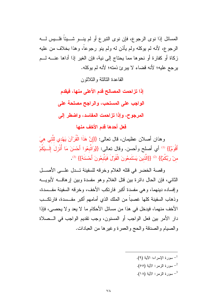المسائل إذا نوى الرجوع، فإن نوى النبرع أو لم ينسو شسيئاً فلسيس لسه الرجوع، لأنه لم يوكله ولم يأذن له ولم ينو رجوعاً، وهذا بخلاف من عليه زكاة أو كفارة أو نحوها مما يحتاج إلى نية، فإن الغير إذا أداها عنــــه لـــم يرجع عليه؛ لأنه قضاء لا يبرئ ذمته؛ لأنه لم يوكله.

القاعدة الثالثة والثلاثون

إذا تزاحمت المصالح قدم الأعلى منها، فيقدم

الواجب على المستحب، والراجح مصلحة على

المرجوح، وإذا تزاحمت المفاسد، واضطر إلى

فعل أحدها قدم الأخف منها

وهذان أصلان عظيمان، قال تعالى: {{إِنَّ هَذَا الْقُرْآنَ يَهْدي للَّتي هيَ أَقْوَمُ}} <sup>(1)</sup> أي أصلح وأحسن. وقال نعالى: {{وَاتَّبِعُوا أَحْسَنَ مَا أُنْزِلَ إِلَـــبْكُمْ منْ رِبِّكُمْ}} <sup>(2)</sup> {{الَّذِينَ يَسْتَمعُونَ الْقَوْلَ فَيَتَّبِعُونَ أَحْسَنَهُ}} <sup>(3)</sup>.

وقصة الخضر في قتله الغلام وخرقه للسفينة تــدل علـــي الأصـــل الثاني، فإن الحال دائرة بين قتل الغلام وهو مفسدة وبين إرهاقــــه لأبويــــه وإفساده دينهما، وهي مفسدة أكبر فارتكب الأخف، وخرقه السفينة مفــسدة، وذهاب السفينة كلها غصباً من الملك الذي أمامهم أكبر مفــسدة، فارتكــب الأخف منهما، فيدخل في هذا من مسائل الأحكام ما لا يعد ولا يحصبي، فإذا دار الأمر بين فعل الواجب أو المسنون، وجب نقديم الواجب في الــصلاة والصيام والصدقة والحج والعمرة وغيرها من العبادات.

> ـ سورة الإسراء: الآية (٩). ـ سورة الزمر : الآبة (٥٥). <sup>3</sup>– سورة الزمر: الآية (١٨).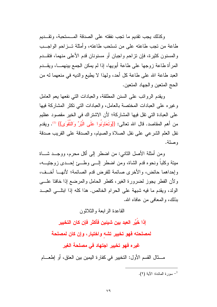وكذلك يجب نقديم ما نجب نفقته على الصدقة المسستحبة، ونقسديم طاعة من تجب طاعته على من تستحب طاعته، وأمثلة تــز احم الواجــب والمسنون كثيرة، فإن نزاحم واجبان أو مسنونان قدم الأعلى منهما، فتقـــدم المرأة طاعة زوجها على طاعة أبويها، إذا لم يمكن الجمع بينهمـــا، ويقـــدم العبد طاعة الله على طاعة كل أحد، ولهذا لا يطيع والديه في منعهما له من الحج المتعين والجهاد المتعين.

ويقدم الرواتب على السنن المطلقة، والعبادات التي نفعها يعم العامل و غير م على العبادات المختصة بالعامل، والعبادات التي تكثر المشاركة فيها على العبادة التي تقل فيها المشاركة؛ لأن الاشتراك في الخير مقصود عظيم من أهم المقاصد. قال الله تعالى: {{وَتَعَاوَنُوا عَلَى الْبُرِّ وَالتَّقْوَى}} <sup>(1)</sup>. ويقدم نفل العلم الشرعي على نفل الصلاة والصيام، والصدقة على القريب صدقة وصلة.

ومن أمثلة الأصل الثاني: من اضطر إلى أكل محرم، ووجــد شـــاة ميتة وكلباً ونحوه قدم الشاة، ومن اضطر السبي وطسئ احسدي زوجتيسه، وإحداهما حائض، والأخرى صائمة للفرض قدم الصائمة؛ لأنهــا أخــف، ولأن الفطر يجوز لضرورة الغير، كفطر الحامل والمرضع إذا خافنا علـــي الولد، ويقدم ما فيه شبهة على الحرام الخالص. هذا كله إذا ابتله العبــد بذلك، والمعافى من عافاه الله.

القاعدة الر ابعة و الثلاثون

إِذَا خَيِّرِ الـعبِد بين شبِئين فَأكثر فإن كان التخيير

لمصلحته فهو تخيير تشه واختيار ، وإن كان لمصلحة

غير ه فهو تخيير اجتهاد في مصلحة الغير

مــــثال القسم الأول: التخيير في كفارة اليمين بين العتق، أو اطعــــام

- سورة المائدة: الآية (٢).  $^{-1}$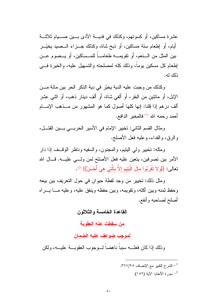عشرة مساكين، أو كسونهم، وكذلك في فديـــة الأذى بـــين صــــيام ثلاثــــة أيام، أو إطعام سنة مساكين، أو ذبح شاة، وكذلك جـــزاء الـــصيد يخيّـــر بين المثل من الـــنعم، أو نقويمــــه طعامــــاً للمـــساكين، أو يـــصوم عـــن إطعام كل مسكين بوماً، وذلك كله لمصلحته والتسهيل عليه، والخير ة فسي ذلك له.

وكذلك من وجبت عليه الدية يخيّر في دية الذكر الحر بين مائة مــن الإبل، أو مائنين من البقر، أو ألفي شاة، أو ألف دينار ذهب، أو اثني عشر ألف درهم إذا قلنا: إنها كلها أصول كما هو المشهور من مــذهب الإمـــام أحمد رحمه الله <sup>(1)</sup> فالمخير الدافع.

ومثال القسم الثاني: تخيير الإمام في الأسير الحربـــي بـــين القتـــل، والرق، والفداء، وعليه فعل الأصلح.

ومثله: تخيير ولي اليتيم، والمجنون، والسفيه وناظر الوقــف إذا دار الأمر بين تصرفين، يتعين عليه فعل الأصلح لمن ولسى عليـــه. قـــال الله تعالى: {{وَلاَ تَقْرِبُوا مَالَ الْيَتِيمِ إِلاَّ بِالَّتِي هِيَ أُحْسَنُ}} <sup>(2)</sup>.

ومثل ذلك: تخيير من وجد لقطة حيوان في حول التعريف بين بيعه و حفظ ثمنه وبين أكله، وتقويمه، وبين حفظه وينفق عليه، و عليه مـــا يـــراه أصلح لصاحبه وأنفع.

القاعدة الخامسة والثلاثون

من سقطت عنه العقوبة

لموجب ضوعف عليه الضمان

و ذلك إذا كان فعلـــه سبباً ناهضاً لـــوجوب العقوبـــة علبـــه، ولكن

- الشرح الكبير مع الإنصاف ٢٦٧/٢٥. <sup>2</sup>– سورة الأنعام: الآية (١٥٢).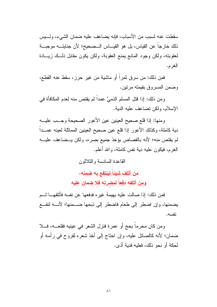سقطت عنه لسبب من الأسباب، فإنه يضاعف عليه ضمان الشيء، ولسبس ذلك خارجا عن القياس، بل هو القيـــاس الـــصـحيح؛ لأن جنايتـــه موجبـــة لعقوبته، ولكن وجود المانع يمنع العقوبة، ولكن يكون مقابل ذلــك زيـــادة الغر م.

فمن ذلك: من سر ق ثمر أ أو ماشية من غير حرز ، سقط عنه القطع، وضمن المسروق بقيمته مرتين.

ومن ذلك: إذا قتل المسلم الذميَّ عمداً لم يقتص منه لعدم المكافأة في الإسلام، ولكن تضاعف عليه الدية.

ومنها: إذا قلع صحيح العينين عين الأعور الصحيحة وجسب عليـــه دية كاملة، وكذلك الأعور إذا قلع عين صحيح العينين المماثلة لعينه عمـــدا لم يقتص منه؛ لأنه بالقصاص يؤخذ جميع بصره، ولكن يــضاعف عليـــه الغر م، فيكون عليه دية نفس كاملة، والله أعلم.

القاعدة السادسة والثلاثون

من أتلف شيئاً لينتفع به ضمنه، ومن أتلفه دفعاً لمضرته فلا ضمان عليه

فمن ذلك: إذا صـالت عليه بـهيمة غير ه فدفعها عن نفسه فأتلفهــــا لــــم يضمنها، وإن اضطر إلى طعام فاضطر إلى ذبحها ضـــمنها؛ لأنــــه لنفـــع نفسه.

ومن كان محرماً بحج أو عمرة فنزل الشعر في عينيه فقلعـــه، فـــلا ضمان؛ لأنه كالصائل عليه، وإن احتاج إلى أخذ شعره لقروح في رأسه أو لحكة أو نحو ذلك، فعلبه فدبة أذى.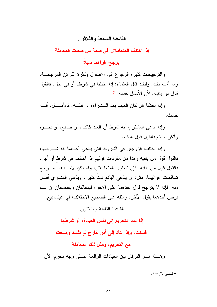## القاعدة السابعة والثلاثون

إذا اختلف المتعاملان في صفة من صفات المعاملة

يرجح أقواهما دليلاً

والنرجيحات كثيرة الرجوع إلى الأصول وكثرة القرائن المرجحـــة، وما أشبه ذلك. ولذلك قال العلماء: إذا اختلفا في شرط، أو في أجل، فالقول قول من ينفيه، لأن الأصل عدمه (!).

و إذا اختلفا هل كان العيب بعد الـــشر اء، أو قبلـــه، فالأصــــل: أنـــه حادث.

وإذا ادعى المشتري أنه شرط أن العبد كاتب، أو صانع، أو نحــوه وأنكر البائع فالقول قول البائع.

وإذا اختلف الزوجان في الشروط التي يدّعي أحدهما أنه شـــرطها، فالقول قول من ينفيه وهذا من مفردات قولهم إذا اختلف في شرط أو أجل، فالقول قول من ينفيه، فإن تساوى المتعاملان، ولم يكن لأحـــدهما مــــرجح تساقطت أقوالهما، مثل: أن يدّعي البائع ثمناً كثيراً، ويدّعي المشترى أقـــل منه، فإنه لا يترجح قول أحدهما على الآخر، فيتحالفان ويتفاسخان إن لـــم يرض أحدهما بقول الآخر ، ومثله على الصحيح الاختلاف في عينالمبيع.

القاعدة الثامنة والثلاثون

إذا عاد التحريم إلى نفس العبادة، أو شرطها

فسدت، وإذا عاد إلى أمر خارج لم تفسد وصحت

# مع التحريم، ومثل ذلك المعاملة

وهسذا هسو الفرقان بين العبادات الواقعة عسلي وجه محرم؛ لأن

. المغنى  $/$ ٢٨٥/٦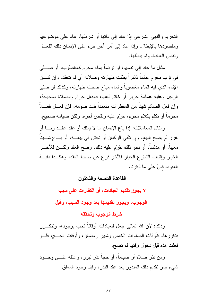النحريم والنهي الشرعي إذا عاد إلى ذاتها أو شرطها، عاد على موضوعها ومقصودها بالإبطال، وإذا عاد إلى أمر آخر حرم على الإنسان ذلك الفعـــل ونقص العبادة، ولم يبطلها.

مثال ما عاد إلى نفسها: لو نوضاً بماء محرم كمغصوُب، أو صطبى في ثوبٍ محرمٍ عالماً ذاكراً بطلت طهارته وصلاته أي لم تنعقد، وإن كـــان الإناء الذي فيه الماء مغصوباً والماء مباح صحت طهارته، وكذلك لو صلى الرجل وعليه عمامة حرير أو خاتم ذهب، فالفعل حرام والصلاة صحيحة، وإن فعل الصائم شيئًا من المفطرات متعمداً فسد صومه، فإن فعــل فعــلاً محرماً أو نكلم بكلام محرم، حرّم عليه ونقص أجره، ولكن صيامه صحيح.

ومثال المعاملات: إذا باع الإنسان ما لا يملك أو عقد عقــد ربــــا أو غرر لم يصح البيع، وإن نلقى الركبان أو نجش في بيعـــه، أو بـــاع شـــيئاً معيباً، أو مدلساً، أو نحو ذلك حُرّم عليه ذلك، وصح العقد ولكـــن للأخــــر الخيار وإثبات الشارع الخيار للأخر فرع عن صحة العقد، وهكــذا بقيـــة العقود، قسْ على ما ذكرنا.

القاعدة التاسعة والثلاثون

لا يجوز. تقديم العبادات، أو الكفارات على سبب

الوجوب، ويجوز تقديمها بعد وجود السبب، وقبل

شرط الوجوب وتحققه

وذلك: لأن الله نعالى جعل للعبادات أوقاتاً نجب بوجودها ونتكـــرر بتكررها، كأوقات الصلوات الخمس وشهر رمضان، وأوقات الحـــج، فلـــو فعلت هذه قبل دخول وقتها لم تصح.

ومن نذر صلاة أو صياماً، أو حجاً نذر نبرر، وعلقه علـــى وجـــود شيء جاز نقديم ذلك المنذور بعد عقد النذر، وقبل وجود المعلق.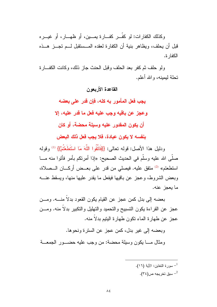وكذلك الكفارات: لو كفَّــر كفـــارة بمـــين، أو ظهـــار، أو غيـــره قبل أن يحلف، ويظاهر بنية أن الكفار ة لعقده المــستقبل لـــم تجـــز هـــذه الكفار ة.

ولو حلف ثم كفر بعد الحلف وقبل الحنث جاز ذلك، وكانت الكف\ر ة تحلة لبمبنه، والله أعلم.

القاعدة الأربعون

يجب فعل المأمور به كله، فإن قدر على بعضه وعجز عن باقيه وجب عليه فعل ما قدر عليه، إلا أن يكون المقدور عليه وسيلة محضة، أو كان بنفسه لا يكون عبادة، فلا يجب فعل ذلك البعض

ودليل هذا الأصل: قوله تعالى: {{فَاتَّقُوا اللَّهَ مَا اسْتَطَعْتُمْ}} <sup>(1)</sup> وقوله صلَّى الله عليه وسلَّم في الحديث الصحيح: «إذا أمرتكم بأمر فأتوا منه مــا استطعتم» <sup>(2)</sup> متفق عليه. فيصلى من قدر على بعــض أركــــان الـــصلاة، وبعض الشر وط، و عجز ٍ عن باقيها فيفعل ما يقدر ٍ عليها منها، ويسقط عنـــه ما يعجز عنه.

بعضه إلى بدل كمن عجز عن القيام يكون القعود بدلا منـــه. ومـــن عجز عن القراءة يكون التسبيح والتحميد والتهليل والتكبير بدلا منه. ومـــن عجز عن طهارة الماء نكون طهارة البنبم بدلاً منه.

وبعضه إلى غير بدل، كمن عجز عن السترة ونحوها. ومثال مــــا يكون وسيلة محضة: من وجب عليه حضـــور الجمعـــة

> - سورة التغابن: الآية (١٦).  $^{-1}$ ـ سبق تخريجه ص $^{-2}$ .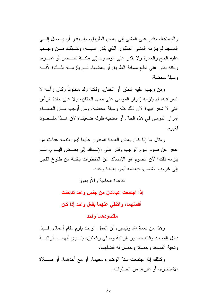والجماعة، وقدر على المشي إلى بعض الطريق، ولم يقدر أن يـــصل إلــــي المسجد لم يلزمه المشي المذكور الذي يقدر عليـــه، وكـــذلك مـــن وجـــب عليه الحج والعمرة ولا يقدر على الوصول إلى مكـــة لـحــصر أو غيـــره، ولكنه يقدر على قطع مسافة الطريق أو بعضها، لــم يلزمـــه ذلــك؛ لأنـــه وسبلة محضة.

ومن وجب عليه الحلق أو الختان، ولكنه ولد مختوناً وكان رأسه لا شعر فيه، لم يلزمه إمرار الموسى على محل الختان، ولا على جلدة الرأس الَّتِي لا شعرٍ فيها؛ لأن ذلك كله وسيلة محضة. ومن أوجب مـــن العلمــــاء إمرار الموسى في هذه الحال أو استحبه فقوله ضعيف؛ لأن هــذا مقــصود لغير ه.

ومثال ما إذا كان بعض العبادة المقدور عليها ليس بنفسه عبادة: من عجز عن صوم اليوم الواجب وقدر على الإمساك إلى بعــض اليــوم، لـــم يلزمه ذلك؛ لأن الصوم هو الإمساك عن المفطرات بالنية من طلوع الفجر إلى غروب الشمس، فبعضه ليس بعبادة وحده.

القاعدة الحادية والأربعون

إذا اجتمعت عبادتان من جنس واحد تداخلت

أفعالهما، واكتفى عنهما بفعل واحد إذا كان

#### مقصودهما وإحد

وهذا من نعمة الله ونبسيره أن العمل الواحد بقوم مقام أعمال، فـــإذا دخل المسجد وقت حضور الرانبة وصلى ركعتين، ينـــوي أنهمــــا الرانبــــة وتحبة المسجد وحصلا وحصل له فضلهما.

وكذلك إذا اجتمعت سنة الوضوء معهما، أو مع أحدهما، أو صــــلاة الاستخارة، أو غيرها من الصلوات.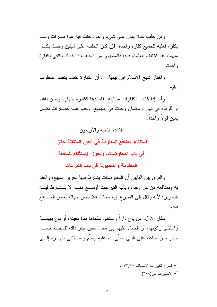ومن حلف عدة أيمان على شيء واحد وحنث فيه عدة مــــرات ولــــم يكفر ، فعليه للجميع كفار ة و احدة، فإن كان الحلف على شيئين و حنث بكـــل منهما، فقد اختلف العلماء فيه: فالمشهور من المذهب <sup>(1)</sup> كذلك يكتفي بكفارة و احدة.

واختار شيخ الإسلام ابن تيمية <sup>(2)</sup>: أن الكفارة تتعدد بتعدد المحلوف علبه.

وأما إذا كانت الكفارات متباينة مقاصدها ككفارة ظهار، ويمين بالله، أو للوطء في نهار رمضان وحنث في الجميع، وجب عليه كفـــارات لكـــل بمبن قو لا و احداً.

القاعدة الثانية والأربعون

استثناء المنافع المعلومة في العين المنتقلة جائز

في باب المعاوضات، ويجوز الاستثناء للمنفعة

المعلومة والمجهولة في باب التبرعات

والفرق بين البابين أن المعاوضات يشترط فيها نحرير المبيع، والعلم به وبمنافعه من كل وجه، وباب النبرعات أوســـع منــــه لا يــــشترط فيــــه التحرير ؛ لأنه ينتقل إلى المتبر ع إليه مجانا، فلا يضر جهالة بعض المنسافع فبه.

مثال الأول: من باع داراً واستثنى سكناها مدة معينة، أو باع بهيمـــة واستثنى ركوبها، أو الحمل عليها إلى محل معين جاز ذلك لقــصـة جمـــل جابر حين «باعه على النبي صلى الله عليه وسلم واســـنثنـي ظهـــره إلــــي

> - الشرح الكبير مع الإنصاف ٥٣٣/٢٧. - الاختيار ات ص $(\mathsf{r} \mathsf{r} \mathsf{\Lambda})$ .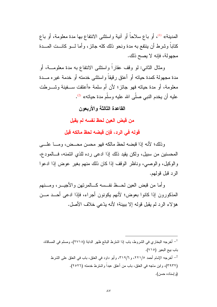المدينة» <sup>(1)</sup>، أو بـاع سلاحاً أو آنية واستثنـى الانتفاع بـها مدة معلومة، أو بـاع كتابا وشرط أن ينتفع به مدة ونحو ذلك كله جائز ، وأما لـــو كانـــت المــــدة مجهولة، فإنه لا يصح ذلك.

ومثال الثاني: لو وقف عقاراً واستثنى الانتفاع به مدة معلومـــة، أو مدة مجهولة كمدة حياته أو أعتق رقيقاً واستثنى خدمته أو خدمة غيره مـــدة معلومة، أو مدة حياته فهو جائز؛ لأن أم سلمة «أعتقت ســـفينة وشــــرطت عليه أن يخدم النبي صلَّى الله عليه وسلَّم مدة حياته» <sup>(2)</sup>.

## القاعدة الثالثة والأربعون

من قبض العين لحظ نفسه لم يقبل

قوله فى الرد، فإن قبضه لحظ مالكه قبل

وذلك؛ لأنه إذا قبضه لحظ مالكه فهو محسن محــض، ومــا علـــى المحسنين من سبيل، ولكن يقيد ذلك إذا ادعى رده للذي ائتمنه، فـالمودع، والوكيل، والوصبي، وناظر الوقف إذا كان ذلك منهم بغير عوض إذا ادعوا الر د قبل قولهم.

و أما من قبض العين لحــظ نفــسه كـــالمر نـهن و الأجيـــر ، و مـــنـهم المذكورون إذا كانوا بعوض؛ لأنهم يكونون أجراء، فإذا ادعى أحــد مـــن هؤلاء الرد لم يقبل قوله إلا ببينة؛ لأنه يدّعي خلاف الأصل.

أخرجه البخاري في الشروط، باب إذا اشترط البائع ظهر الدابة (٢٧١٨)، ومسلم في المساقاة،  $^{-1}$ باب بيع البعير (٧١٥). أخرجه الإمام أحمد ٢٢١/٥، و ٣١٩/٦، وأبو داود في العتق، باب في العتق على الشرط – (٣٩٣٢)، وابن ماجه في العتق، باب من أعتق عبداً واشترط خدمته (٢٥٢٦). (و إسناده حسن).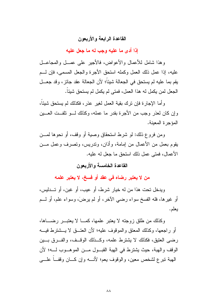## القاعدة الرابعة والأربعون

إذا أدى ما عليه وجب له ما جعل عليه

و هذا شامل للأعمال والأعواض، فالأحير على عصل والمحاعيل عليه، إذا عمل ذلك العمل وكمله استحق الأجرة والجعل المسمى، فإن لسم يقم بما عليه لم يستحق في الجعالة شيئاً؛ لأن الجعالة عقد جائز ، وقد جعـــل الجعل لمن يكمل له هذا العمل، فمتى لم يكمل لم يستحق شيئاً.

وأما الإجارة فإن ترك بقية العمل لغير عذر، فكذلك لم يستحق شيئاً، و إن كان لعذر "وجب من الأجر ة بقدر "ما عمله، وكذلك لـــو تلفــت العـــبن المؤجر ة المعبنة.

ومن فروع ذلك: لو شرط استحقاق وصبة أو وقف، أو نحوها لمسن يقوم بعمل من الأعمال من إمامة، وأذان، وندريس، ونصرف وعمل مـــن الأعمال، فمنى عمل ذلك استحق ما جعل له علبه.

القاعدة الخامسة والأربعون

من لا يعتبر رضاه في عقد أو فسخ، لا يعتبر علمه

ويدخل تحت هذا من له خيار شرط، أو عيب، أو غبن، أو تـــدليس، أو غيرها، فله الفسخ سواء رضي الآخر، أو لم يرضَ، وسواء علم، أو لـــم بعلم.

وكذلك من طلق زوجته لا يعتبر علمها، كمـــا لا يعتبـــر رضـــــاها، أو راجعها، وكذلك المعتق والموقوف عليه؛ لأن العتـــق لا يـــشترط فيـــه رضبي العتيق، فكذلك لا يشترط علمه، وكــذلك الوقــف، والفـــرق بـــبن الوقف و الهبة، حيث يشتر ط في الهبة القبــول مـــن المو هـــوب لــــه؛ لأن الهبة نبرع لشخص معين، والوقوف يعم؛ لأنسه وإن كسان وقفسا علسي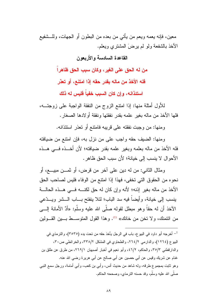معين، فإنه يعمه ويعم من يأتي من بعده من البطون أو الجهات، وللـــشفيع الأخذ بالشفعة ولمو لم برضَ المشترِي ويعلم.

القاعدة السادسة و الأربعون

من له الحق على الغير ، وكان سبب الحق ظاهرا

فله الأخذ من ماله بقدر حقه إذا امتنع، أو تعذر

استئذانـه، وإن كان السبب خفياً فليس لـه ذلك

للأول أمثلة منها: إذا امنتع الزوج من النفقة الواجبة على زوجتــه، فلها الأخذ من ماله بغير علمه بقدر نفقتها ونفقة أولادها الصغار .

ومنها: من وجبت نفقته على قريبه فامنتع أو تعذر استئذانه.

ومنها: الضيف حقه واجب على من نزل به، فإن امنتع من ضيافته فله الأخذ من ماله بعلمه وبغير علمه بقدر ضيافته؛ لأن أخــذه فـــى هــذه الأحوال لا ينسب إلى خيانة؛ لأن سبب الحق ظاهر .

ومثال الثاني: من له دين علي آخر من قرض، أو ثمـــن مبيــــع، أو نحوه من الحقوق التي تخفي، فهذا إذا امتتع من الوفاء فليس لصاحب الحق الأخذ من ماله بغير إذنه؛ لأنه وإن كان له حق لكنـــه فـــي هــذه الحالـــة بنسب إلى خيانة، وأيضاً فيه سد الباب؛ لئلا بنفتح بـــاب الـــشر ويـــدّعبي الآخذ أن له حقاً وهو مبطل لقوله صلَّى الله عليه وسلَّم: «أدِّ الأمانة الِــــى من ائتمنك، ولا تخن من خانك» <sup>(1)</sup>. وهذا القول المتوســط بـــين القـــولين

<sup>&</sup>lt;sup>1</sup>– أخرجه أبو داود في البيو ع، باب في الرجل يأخذ حقه من تحت يده (٣٥٣٥)، والترمذي في البيوع (١٢٦٤)، والدارمي ٢٦٤/٢، والطحاوي في المشكل ٣٣٨/٢، والخرائطي ص٣٠، والدارفطني ٣٥/٣، والحاكم، ٢/٢٤، وأبو نعيم في أخبار أصبهان ٢٦٩/١، من طرق عن طلق بن غنام عن شريك وقيس عن أبي حصين عن أبي صالح عن أبي هريرة رضي الله عنه. وهو ثابت بمجموع طرقه، وله شاهد من حديث أنس، وأبي بن كعب، وأبي أمامة، ورجل سمع النبي صلَّى الله عليه وسلَّم، وقد حسنه النزمذي، وصححه الحاكم.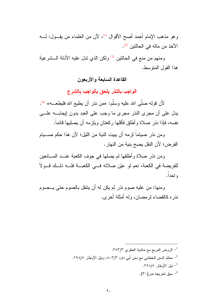وهو مذهب الإمام أحمد أصح الأقوال <sup>(1)</sup>، لأن من العلماء من يقــول: لــــه الأخذ من ماله في الحالتين <sup>(2)</sup>.

ومنهم من منع في الحالتين <sup>(3)</sup> ولكن الذي ندل عليه الأدلة الـــشرعية هذا القول المنوسط.

القاعدة السابعة والأربعون

الواجب بالنذر يلحق بالواجب بالشرع

لأن قوله صلَّى الله عليه وسلَّم: «من نذر أن يطيع الله فليطعـــه» <sup>(4)</sup>. يدل على أن مجرى النذر مجرى ما وجب على العبد بدون إيجابـــه علــــي نفسه، فإذا نذر صلاة وأطلق فأقلها ركعتان ويلزمه أن يصليها قائماً.

ومن نذر صياماً لزمه أن يبيت النية من الليل؛ لأن هذا حكم صــــيام الفرض؛ لأن النفل يصح بنية من النهار .

ومن نذر صلاة وأطلقها لم يصلها في جوف الكعبة عنـــد المــــانـعين للفريضة في الكعبة، نعم لو عيّن صلاته في الكعبــة فلـــه ذلــك قـــولا و احدا.

ومنها: من عليه صوم نذر لم يكن له أن ينتفل بالصوم حتى يــصوم نذره كالقضاء لرمضان، وله أمثلة أخرى.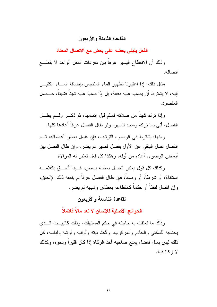#### القاعدة الثامنة والأربعون

الفعل ينبنى بعضه على بعض مع الاتصال المعتاد

وذلك أن الانقطاع اليسير عرفاً بين مفردات الفعل الواحد لا يقطـــع اتصاله.

مثال ذلك: إذا اعتبر نا تطهير الماء المتنجس بإضافة المساء الكثيــر الِيهِ، لا يشترط أن يصب عليه دفعة، بل إذا صبَّ عليه شيئاً فشيئاً، حــصل المقصود.

وإذا نرك شيئًا من صلاته فسلم قبل إتمامها، ثم ذكـــر ولـــم بطـــل الفصل، أتـى بمـا نزكـه وسجد للسهو ، ولو طـال الفصل عرفاً أعادها كلـها.

ومنها: يشترط في الوضوء الترتيب، فإن غسل بعض أعضائه، ثــم انفصل غسل الباقي عن الأول بفصل قصير لم يضر ، وإن طال الفصل بين أبعاض الوضوء، أعاده من أوله، وهكذا كل فعل نعتبر له الموالاة.

وكذلك كل قول يعتبر اتصال بعضه ببعض، فسإذا ألحـــق بكلامــــه استثناءً، أو شرطاً، أو وصفاً، فإن طال الفصل عرفاً لم ينفعه ذلك الإلحاق، و إن انصل لفظاً أو حكماً كانقطاعه بعطاس وشبهه لم يضر .

#### القاعدة التاسعة و الأربعون

الحوائج الأصلية للإنسان لا تعد مالاً فاضلاً

وذلك ما نعلقت به حاجته في حكم المستهلك، وذلك كالبيــت الــذي يحتاجه للسكني والخادم والمركوب، وأثاث بيته وأوانيه وفرشه ولباسه، كل ذلك ليس بمال فاضل يمنع صاحبه أخذ الزكاة إذا كان فقيراً ونحوه، وكذلك لا زكاة فية.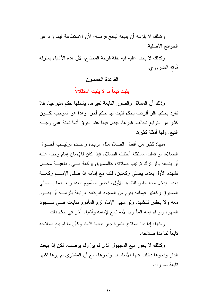وكذلك لا يلزمه أن يبيعه ليحج فرضه؛ لأن الاستطاعة فيما زاد عن الحو ائج الأصلية.

وكذلك لا يجب عليه فيه نفقة قريبة المحتاج؛ لأن هذه الأشياء بمنزلة قُوته الضروري.

القاعدة الخمسون

بِثْبِت تبِعاً ما لا يِثْبِت استقلالاً

وذلك أن المسائل والصور التابعة لغيرها، يشملها حكم متبوعها، فلا تفر د بحكم، فلو أفر دت بحكم لثبت لها حكم آخر . و هذا هو الموجب لكـــون كثير من النوابع نخالف غيرها، فيقال فيها عند الفرق أنها ثابنة على وجـــه النبع. ولها أمثلة كثيرة.

منها: كثير من أفعال الصلاة مثل الزيادة وعــدم نرنيـــب أحـــوال الصلاة، لو فعلت مستقلة أبطلت الصلاة، فإذا كان للإنسان إمام وجب عليه أن بتابعه ولو نرك نرتيب صلاته، كالمسبوق بركعة فسي رباعيـــة محـــل تشهده الأول بعدما يصلبي ركعتين، لكنه مع إمامه إذا صلبي الإمسام ركعسة بعدما يدخل معه جلس للتشهد الأول، فجلس المأموم معه، وبعـــدما بـــصلـي المسبوق ركعتين فإمامه يقوم من السجود للركعة الرابعة بلزمــــه أن يقـــوم معه ولا يجلس للنشهد. ولو سهى الإمام لزم المأموم متابعته فـــي ســـجود السهو، ولو لم يسه المأموم؛ لأنه نابع لإمامه وأشياء أُخر في حكم ذلك.

ومنها: إذا بدا صلاح الثمرة جاز بيعها كلها، وكأن ما لم يبد صلاحه تابعاً لما بدا صلاحه.

وكذلك لا يجوز بيع المجهول الذي لم يرَ ولم يوصف، لكن إذا بيعت الدار ونحوها دخلت فيها الأساسات ونحوها، مع أن المشتري لم يرها لكنها تابعة لما ر أه.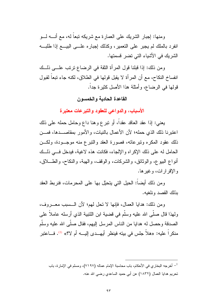ومنها: إجبار الشريك على العمارة مع شريكه تبعاً له، مع أنــــه لــــو انفرد بالملك لم يجبر على النعمير، وكذلك إجباره علـــي البيـــع إذا طلبـــه الشريك في الأشياء التي تضر قسمتها.

ومن ذلك: إذا قبلنا قول المرأة الثقة في الرضاع ترتب علـــي ذلــك انفساخ النكاح، مع أن المرأة لا يقبل قولها في الطلاق، لكنه جاء تبعاً لقبول قولها في الرضاع، وأمثلة هذا الأصل كثيرة جداً.

### القاعدة الحادية والخمسون

الأسباب، والدواعي للعقود والتبرعات معتبرة

يعني: إذا عقد العاقد عقداً، أو نبرع وهنا داع وحامل حمله على ذلك اعتبرنا ذلك الذي حمله؛ لأن الأعمال بالنيات، والأمور بمقاصـــدها، فمـــن ذلك عقود المكره ونبرعاته، فصورة العقد والنبرع منه موجــودة، ولكـــن الحامل له على ذلك الإكراه والإلجاء، فكانت هذه لاغية، فيدخل في ذلك أنو اع البيو ع، و الوثائق، و الشركات، و الوقف، و الهبة، و النكاح، و الطــــلاق، و الإقرار ات، و غير ها.

ومن ذلك أيضاً: الحيل التي يتحيّل بها على المحرمات، فنربط العقد يذلك القصد ونلغيه.

ومن ذلك: هدايا العمال، فإنها لا نحل لهم؛ لأن الـــسبب معــــروف، ولهذا قال صلَّى الله عليه وسلَّم في قضية ابن اللتبية الذي أرسله عاملاً على الصدقة وحصل له هدايا من الناس المرسل إليهم، فقال صلَّى الله عليه وسلَّم منكراً عليه: «هلاً جلس في بينه فينظر أيهــدي إليـــه أم لا؟» <sup>(1)</sup>. فـــاعتبر

<sup>1</sup>– أخرجه البخاري في الأحكام، باب محاسبة الإمام عماله (٧١٩٧)، ومسلم في الإمارة، باب تحريم هدايا العمال (١٨٣٢) عن أبي حميد الساعدي رضـي الله عنه.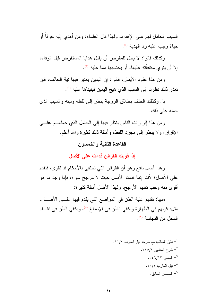السبب الحامل لهم على الإهداء، ولهذا قال العلماء: ومن أهدي إليه خوفاً أو حباءً وجب علبه رد الهدبة (1).

وكذلك قالوا: لا يحل للمقرض أن يقبل هدايا المستقرض قبل الوفاء، إلا أن ينوى مكافأته عليها، أو يحتسبها مما عليه <sup>(2)</sup>.

و من هذا عقود الأيمان، قالوا: إن اليمين يعتبر فيها نية الحالف، فإن تعذر ذلك نظرنا إلى السبب الذي هيج اليمين فبنيناها عليه <sup>(3)</sup>.

بل وكذلك الحلف بطلاق الزوجة ينظر إلى لفظه ونيته والسبب الذي حمله على ذلك.

ومن هذا إقرارات الناس ينظر فيها إلى الحامل الذي حملهــم علـــي الإقرار، ولا ينظر إلى مجرد اللفظ، وأمثلة ذلك كثيرة والله أعلم.

### القاعدة الثانية والخمسون

إذا قويت القرائن قدمت على الأصل

وهذا أصل نافع وهو أن القرائن التي تحتفي بالأحكام قد تقوى، فتقدم على الأصل؛ لأننا إنما قدمنا الأصل حيث لا مرجح سواه، فإذا وجد ما هو أقوى منه وجب نقديم الأرجح، ولهذا الأصل أمثلة كثيرة:

منها: تقديم غلبة الظن في المواضع التي يقدم فيها علـــي الأصـــل، مثل: قولهم في الطهار ة ويكفي الظن في الإسباغ <sup>(4)</sup>، ويكفي الظن في نقـــاء المحل من النجاسة <sup>(5)</sup>.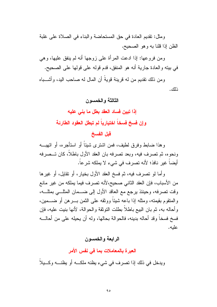ومثل: نقديم العادة في حق المستحاضة والبناء في الصلاة على غلبة الظن إذا قلنا به و هو الصحيح.

ومن فروعها: إذا ادعت المرأة على زوجها أنه لم ينفق عليها، وهي في بيته والعادة جارية أنه هو المنفق، قدم قوله على قولها على الصحيح.

ومن ذلك تقديم من له قرينة قويةً أن المال له صاحب اليد، و أشـــباه ذلك.

#### الثالثة والخمسون

إذا تبين فساد العقد بطل ما بني عليه وإن فسخ فسخاً اختيارياً لم تبطل العقود الطارئة

## قبل الفسخ

و هذا ضباط وفرق لطيف، فمن اشترى شيئاً أو استأجره، أو اتهبـــه ونحوه، ثم تصرف فيه، وبعد تصرفه بان العقد الأول باطلاً، كان تــصرفه أيضاً غير نافذ؛ لأنه تصرف في شيء لا يملكه شرعاً.

وأما لو نصرف فيه، ثم فسخ العقد الأول بخيار، أو نقابل، أو غيرها من الأسباب، فإن العقد الثاني صحيح،لأنه تصرف فيما يملكه من غير مانع وقت تصرفه، وحينئذ برجع مع العاقد الأول إلى ضـــمان المثلـــي بمثلـــه، والمنقوم بقيمته، ومثله إذا باعه شيئًا ووثقه على الثمن بــــرهن أو ضــــمين، وأحاله به، ثم بان البيع باطلا بطلت النوثقة والحوالة، لأنها بنيت عليه، فإن فسخ فسخاً وقد أحاله بدينه، فالحوالة بحالها، وله أن يحيله على من أحالـــه عليه.

## الرابعة والخمسون

العبرة بالمعاملات بما في نفس الأمر

ويدخل في ذلك إذا نصرف في شيء يظنه ملكـــه أو يظنـــه وكـــيلاً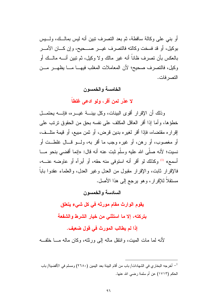أو بنبي على وكالة ساقطة، ثم بعد النصرف نبين أنه ليس بمالــك، ولــــبس بوكيل، أو قد فسخت وكالته فالتصرف غيـــر صــــحيح، وإن كــــان الأمــــر بالعكس بأن تصرف ظاناً أنه غير مالك ولا وكيل، ثم تبين أنــــه مالـــك أو وكيل، فالتصرف صحيح؛ لأن المعاملات المغلب فيهــا مــا يظهــر مــن التصر فات.

### الخامسة والخمسون

لا عذر لمن أقر، ولو ادعى غلطاً

وذلك أن الإقرار أقوى البينات، وكل بينسة غيسره، فإنسه يحتمسل خطؤها، وأما إذا أقر العاقل المكلف على نفسه بحق من الحقوق ترتب على إقراره مقتضاه، فإذا أقر لغيره بدين قرض، أو ثمن مبيع، أو قيمة متلَّــف، أو مغصوب، أو رهن، أو غيره وجب ما أقر به، ولــو قــال غلطــت أو نسيت؛ لأنه صلَّى الله عليه وسلَّم ثبت عنه أنه قال: «إنما أقضبي بنحو مـــا أسمع» <sup>(1)</sup> وكذلك لو أقر أنه استوفى منه حقه، أو أبرأه أو عاوضه عنـــه، فالإقرار ثابت، والإقرار مقبول من العدل وغير العدل، والعلماء عقدوا باباً مستقلاً للإقرار، وهو يرجع إلى هذا الأصل.

السادسة والخمسون

يقوم الوارث مقام مورثه فى كل شىء يتعلق

بتركته، إلا ما استثنى من خيار الشرط والشفعة

إذا لم يطالب المورث في قول ضعيف.

لأنه لما مات المبت، واننقل ماله إلى ورثته، وكان ماله مـــا خلفــه

<sup>&</sup>lt;sup>1</sup>– أخرجه البخاري في الشهادات/ باب من أقام البينة بعد اليمين (٢٦٨٠) ومسلم في الأقضية/ باب الحكم (١٧١٣) عن أم سلمة رضبي الله عنها.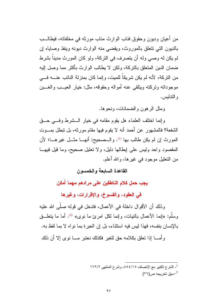من أعبان وديون وحقوق فناب الوارث مناب مورثه في مخلفاته، فبطالــب بالديون التي نتعلق بالموروث، ويقضى منه الوارث ديونه وينفذ وصاياه إن لم يكن له وصبي وله أن يتصرف في التركة، ولو كان المورث مديناً بشرط ضمان الدين المتعلق بالتركة، ولكن لا يطالب الوارث بأكثر مما وصل إليه من التركة، لأنه لم يكن شريكاً للميت، وإنما كان بمنزلة النائب عنــــه فــــى موجوداته وتركته وبتلقى عنه أمواله وحقوقه، مثل: خيار العيــب والغــبن و التدليس .

ومثل الر هون و الضمانات، ونحو ها.

و إنما اختلف العلماء هل يقوم مقامه في خيار السشرط وفي حق الشفعة؟ فالمشهور ٍ عن أحمد أنه لا يقوم فيها مقام مورثه، بل تبطل بمـــوت المورث إن لم يكن طالب بها <sup>(1)</sup>. والــصحيح: أنهـــا مثـــل غيرهـــا؛ لأن المقصود واحد وليس على إبطالها دليل، ولا تعليل صحيح، وما قيل فيها من التعليل موجود في غيرها، والله أعلم.

القاعدة السابعة والخمسون

يجب حمل كلام الناطقين على مرادهم مهما أمكن

في العقود، والفسوخ، والإقرارات، وغيرها

وذلك أن الأقوال داخلة في الأعمال، فتدخل في قوله صلَّى الله عليه وسلم: «إنما الأعمال بالنيات، وإنما لكل امرئ ما نوى» <sup>(2)</sup>. أما ما بتعلَّــق بالإنسان بنفسه، فهذا ليس فيه استثناء، بل إن العبرة بما نواه لا بما لفظ به.

و أمــــا إذا تعلق بكلامه حقٍّ للغير ۖ فكذلك نعتبر ۖ مــــا نو ي إلا أن ذلك

1\_ الشرح الكبير مع الإنصاف ٤٥٤/١٥، وشرح المنتهى ١٧٢/٢ سبق تخريجه ص $^{-2}$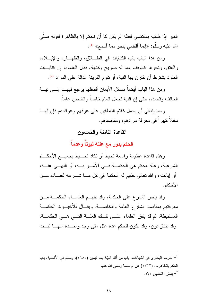الغير إذا طالبه بمقتضى لفظه لم يكن لنا أن نحكم إلا بالظاهر؛ لقوله صلَّى الله عليه وسلَّم: «إنما أقضى بنحو مما أسمع» <sup>(1)</sup>.

ومن هذا الباب باب الكنايات في الطـــلاق، والظهــار، والإيـــلاء، والعنق، ونحوها كالوقف مما له صريح وكناية، فقال العلماء: إن كنايـــات العقود يشترط أن تقترن بها النية، أو تقوم القرينة الدالة على المراد <sup>(2)</sup>.

ومن هذا الباب أيضاً مسائل الأيمان ألفاظها برجع فيهـــا إلــــى نيــــة الحالف وقصده، حتى إن النية تجعل العام خاصاً والخاص عاماً.

ومما بنبغي أن يحمل كلام الناطقين على عرفهم وعوائدهم فإن لهــا دخلاً كبيرٍ اً في معرفة مرادهم، ومقاصدهم.

القاعدة الثامنة والخمسون

الحكم يدور مع علته ثبوتاً وعدماً

وهذه قاعدة عظيمة واسعة نحيط أو نكاد نحــــيط بجميــــع الأحكــــام الشرعية، وعلة الحكم هي الحكمـــة فـــي الأمــــر بــــه، أو النهـــي عنــــه، أو إباحته، والله نعالى حكيم له الحكمة في كل مـــا شــــــرعه لعبــــاده مــــن الأحكام.

وقد ينص الشارع على الحكمة، وقد يفهــم العلمـــاء الحكمـــة مـــن معرفتهم بمقاصد الشارع العامة والخاصــة. ويقــال للأخيـــرة: الحكمـــة المستنبطة، ثم قد يتفق العلماء على نلَّك العلَّــة النَّـــى هـــى الحكمـــة، وقد ينتازعون، وقد يكون للحكم عدة علل متى وجد واحــدة منهـــا ثبــت

أخرجه البخاري في الشهادات، باب من أقام البيّنة بعد اليمين (٢٦٨٠)، ومسلم في الأقضية، باب $^{-1}$ الحكم بالظاهر ... (١٧١٣) عن أم سلمة رضبي الله عنها . بنظر: المنتهى ٢/٢.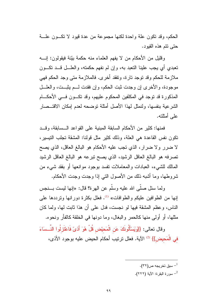الحكم، وقد نكون علة واحدة لكنها مجموعة من عدة قيود لا نكسون علسة حتي نتم هذه القيو د.

وقليل من الأحكام من لا يفهم العلماء منه حكمة بيّنة فيقولون: إنــــه نعبدي أي يجب علينا النعبد به، وإن لم نفهم حكمته، والعلـــل قـــد نكـــون ملازمة للحكم وقد نوجد نارة، ونفقد أخرى. فالملازمة متى وجد الحكم فهي موجودة، والأخرى إن وجدت ثبت الحكم، وإن فقدت لــم يثبــت، والعلـــل المذكورة قد توجد في المكلفين المحكوم عليهم، وقد تكـون فــي الأحكــام الشرعية بنفسها، ولنمثل لهذا الأصل أمثلة نوضحه لعدم إمكان الاقتــصار على أمثلته.

فمنها: كثير من الأحكام السابقة المبنية على القواعد الــسابقة، وقــد نكون نفس القاعدة هي العلة، وذلك كثير مثل قولنا: المشقة تجلب التيسير ، لا ضرر ولا ضرار، الذي نجب عليه الأحكام هو البالغ العاقل، الذي يصح تصرفه هو البالغ العاقل الرشيد، الذي يصح نبرعه هو البالغ العاقل الرشيد المالك للشيء، العبادات والمعاملات نفسد بوجود موانعها أو بفقد شيء من شروطها، وما أشبه ذلك من الأصول النبي إذا وجدت وجدت الأحكام.

ولما سئل صلَّى الله عليه وسلَّم عن الـهرة؟ قال: «إنـها ليست بــــنـجس إنها من الطوافين عليكم والطوافات» <sup>(1)</sup>. فعلل بكثرة دورانها ونرددها على الناس، وعظم المشقة فيها لو نجست، فدل على أن هذا ثابت لها، ولما كان مثلها، أو أولى منها كالحمر والبغال، وما دونها في الخلقة كالفأر ونحوه.

وقال تعالى: {{وَيَسْأَلُونَكَ عَنِ الْمَحِيْضِ قُلْ هُوَ أَذِيَّ فَاعْتَزِلُوا النِّــسَاءَ في الْمَحيض}} <sup>(2)</sup> الآية. فعلل ترتيب أحكام الحيض عليه بوجود الأذي،

> سبق تخر يجه ص $^{-1}$ . <sup>2</sup>– سورة البقرة: الآية (٢٢٢).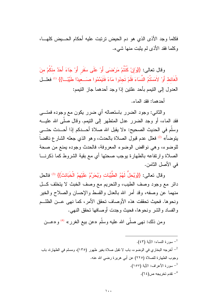فكلما وجد الأذى الذى هو دم الحيض ترتبت عليه أحكام الحــــيض كلهــــا، وكلما فقد الأذى لم يثبت منها شيء.

وقال تعالى: {{وَإِنْ كُنْتُمْ مَرْضَى أَوْ عَلَى سَفَرٍ أَوْ جَاءَ أَحَدٌ مِنْكُمْ مِنَ الْغَائِطِ أَوْ لاَمَسْتُمُ النِّسَاءَ فَلَمْ تَجِدُوا مَاءً فَتَيَمَّمُوا صَــعِيدًا طَيِّبَــا}} (1) فعلــل العدول إلى النتيمم بأحد علنتين إذا وجد أحدهما جاز النتيمم:

أحدهما: فقد الماء.

والثاني: وجود الضرر باستعماله أي ضرر يكون مع وجوده فمتـــي فقد الماء، أو وجد الضرر عدل المتطهر إلى النيمم. وقال صلَّى الله عليـــه وسلَّم في الحديث الصحيح: «لا يقبل الله صلاة أحـــدكم إذا أحـــدث حتــــي يتوضأ» <sup>(2)</sup> فعلل عدم قبول الصلاة بالحدث، وهو الذي جعله الشارع ناقضاً للوضوء، وهي نواقض الوضوء المعروفة، فالحدث وجوده يمنع من صحة الصلاة وارتفاعه بالطهارة يوجب صحتها أي مع بقية الشروط كما ذكرنسا في الأصل الثامن.

وقال تعالى: {{وَيُحِلُّ لَهُمُ الطِّيِّبَاتِ وَيُحَرِّمُ عَلَيْهِمُ الْخَبَائِثَ}} <sup>(3)</sup> فالحل دائر مع وجود وصف الطيب، والتحريم مع وصف الخبث لا يتخلف كل منهما عن وصفه، وقد أمر الله بالعدل والقسط والإحسان والصلاح والخير ونحوها. فحيث تحققت هذه الأوصاف تحقق الأمر، كما نهى عـــن الظلـــم والفساد والشر ونحوها، فحيث وجدت أوصافها تحقق النهي.

ومن ذلك: نهى صلَّى الله عليه وسلَّم «عن بيع الغرر» <sup>(4)</sup> و «عـــن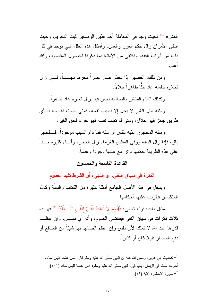الغش» <sup>(1)</sup> فحيث وجد في المعاملة أحد هذين الوصفين ثبت التحريم، وحيث انتفى الأمران زال حكم الغرر والغش، وأمثال هذه العلل التبي نوجد في كل باب من أبواب الفقه، ونكتفي من الأمثلة بما ذكرنا لحصول المقصود، والله أعله.

ومن ذلك: العصير إذا تخمَّر صار خمراً محرماً نجــساً، فـــإن زال تخمّر ه بنفسه عاد خلّا طاهر اً حلالاً.

وكذلك الماء المنغير بالنجاسة نجس فإذا زال نغيره عاد طاهرا.

ومثله مال الغير لا يحل إلا بطيب نفسه، فمتى طابت نفــسه بـــأى طريق جائز فهو حلال، ومتى لم نطب نفسه فهو حرام لحق الغير .

ومثله المحجور عليه لفلس أو سفه فما دام السبب موجوداً، فـــالحجر باق، فإذا ز إل السفه ووفى المفلس الغرماء ز إل الحجر ، و أشياء كثير ة جـــداً علمي هذه الطريقة حكمها دائر مع علتها وجوداً وعدماً.

## القاعدة التاسعة والخمسون

النكرة في سياق النفي، أو النهي، أو الشرط تفيد العموم

ويدخل في هذا الأصل الجامع أمثلة كثيرة من الكتاب والسنَّة وكلام المتكلمين فبتر تب علبها أحكامها.

مثال ذلك: قوله تعالى: {{يَوْمَ لاَ تَمْلُكُ نَفْسٌ لنَفْسٍ شَــبِيَّا}} <sup>(2)</sup> فهـــذه ثلاث نكرات في سياق النفي فيقتضى العموم، وأنه أي نفــس، وإن عظــم قدرها عند الله لا تملك لأى نفس وإن عظم اتصـالـها بـها شيئاً من المنـافـع أو دفع المضار قليلاً كان أو كثيراً.

حديث أبي هر بر ۃ ر ضبي الله عنه أن النبي صلّى الله عليه وسلّم قال: «من غشّنا فليس منّا». " أخرجه مسلم في الإيمان، باب قول النبي صلَّى الله عليه وسلَّم: «من غشَّنا فليس منَّا» (١٠١). <sup>2</sup>– سورة الانفطار: الآية (١٩).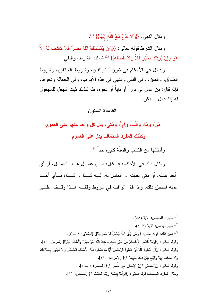ومثال النهي: {{وَلاَ تَدْعُ مَعَ اللَّه إِلَهًا}} (1).

ومثال الشرط قوله نعالى: {{وَإِنْ يَمْسَسْكَ اللَّهُ بِضُرٍّ فَلاَ كَاشِفَ لَهُ إِلاَّ هُوَ وَإِنْ يُرِدْكَ بِخَيْرٍ فَلاَ رَادَّ لفَضلْه}} <sup>(2)</sup> شملت الشرط، والنفي.

ويدخل في الأحكام في شروط الواقفين، وشروط الحالفين، وشروط الطلاق، والعنق، وفي النفي والنهي في هذه الأبواب، وفي الجعالة ونحوها، فإذا قال: من عمل لمي داراً أو باباً أو نحوه، فله كذلك ثبت الجعل للمجعول له إذا عمل ما ذكر .

القاعدة الستون

مَنْ، ومَا، وألْـــ، وأيٍّ، ومَتَى، يدل كل واحد منـها على الـعموم، وكذلك المفرد المضاف يدل على العموم

و أمثلتها من الكتاب و السنّة كثير ة جدا<sup>ً (3)</sup>.

ومثال ذلك في الأحكام: إذا قال: مــن عمــل هــذا العمــل، أو أي أحد عمله، أو منني عملته أو العامل له، لـــه كــذا أو كــذا، فــأى أحــد عمله استحق ذلك، وإذا قال الواقف في شروط وقف هم هـذا وقـف علـــي

سورة القصص: الآية (٨٨). ـ سور ة يونس: الآية (١٠٧). <sup>3</sup>– فمن ذلك: قوله تعالى: {{وَمَنْ بَنَّقِ اللَّهَ يَجْعَلْ لَهُ مَخْرِجًا}} [الطلاق: ٢ ـــ ٣]. وقوله تعالى: {}{وَمَا تُقَدِّمُوا لأَنْفُسكُمْ منْ خَيْرٍ تَجدُوهُ عنْدَ اللَّه هُوَ خَيْرًا وَأَعْظَمَ أجْرًا} [المزمل: ٢٠]. وقوله تعالى: {{قُلْ ادْعُوا اللَّهَ أَوْ 'ادْعُوا الرَّحْمَانَ أَيًّا مَا تَدْعُوا فَلَهُ الأَسْمَاءُ الْحُسْنَى وَلاَ تَجْهَرْ بِصلاَتكَ وَلاَ تُخَافِتْ بهَا وَابْتَغِ بَيْنَ ذَلَكَ سَبِيلاً \*}} [الإسراء: ١١٠]. وقوله تعالى: {{وَالْعَصْلِ \*إِنَّ الإِنْسَانَ لَفي خُسْرٍ \*}} [العصر: ١ \_ ٢]. ومثال المفرد المضاف قوله تعالى: {}{وَأَمَّا بِنعْمَة رَبِّكَ فَحَدِّثْ \*} [الضحى: ١١].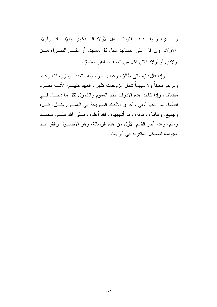ولــــدي، أو ولــــد فـــــلان شـــــمل الأولاد الـــــذكور ، والإنـــــاث وأولاد الأولاد، وإن قال على المساجد شمل كل مسجد، أو علـــي الفقـــراء مـــن أو لادي أو أو لاد فلان فكل من اتصف بالفقر استحق.

وإذا قال: زوجتي طالق، وعبدي حر، وله متعدد من زوجات وعبيد ولم ينو معيناً ولا مبهماً شمل الزوجات كلهن والعبيد كلهـــم؛ لأنــــه مفـــرد مضاف، وإذا كانت هذه الأدوات نفيد العموم والشمول لكل ما دخــل فـــي لفظها، فمن باب أولى وأحرى الألفاظ الصريحة في العمــوم مثــل: كــل، وجميع، وعامة، وكافة، وما أشبهها، والله أعلم، وصلى الله علـــى محمـــد وسلم، وهذا أخر القسم الأول من هذه الرسالة، وهو الأصـــول والقواعـــد الجوامع للمسائل المنفرقة في أبوابها.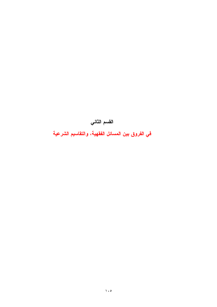القسم الثاني

في الفروق بين المسائل الفقهية، والتقاسيم الشرعية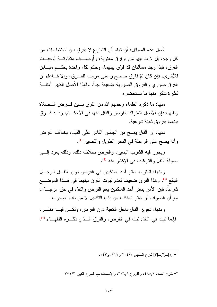أصل هذه المسائل: أن تعلم أن الشار ع لا يفرق بين المتشابهات من كل وجه، بل لا بد فيها من فوار ق معنوية، و أوصــــاف متفاوتـــة أوجيـــت الفرق، فإذا وجد مسألتان قد فرّق بينهما، وحكم لكل واحدة بحكــم مبــــاين للأخرى، فإن كان ثمّ فارق صحيح ومعنى موجب للفـــرق، وإلا فــــاعلم أن الفرق صورى والفروق الصورية ضعيفة جداً، ولهذا الأصل الكبير أمثلـــة كثير ة نذكر منها ما نستحضر ه.

منها: ما ذكره العلماء رحمهم الله من الفرق بسين فسرض السصلاة ونفلها، فإن الأصل اشتراك الفرض والنفل منها في الأحكـــام، وقـــد فـــرتق ببنهما بفر و ق ثابتة شر عبة.

منها: أن النفل يصح من الجالس القادر على القيام، بخلاف الفرض و أنه بصبح على الراحلة في السفر الطويل والقصبر <sup>(1)</sup>.

ويجوز فيه الشرب اليسير، والفرض بخلاف ذلك، وذلك يعود السبي سهولة النفل والترغيب في الإكثار منه <sup>(2)</sup>.

و منها: اشتر اط ستر أحد المنكبين في الفر ض دون النفـــل للر جـــل البالغ <sup>(3)</sup>، وهذا الفرق ضعيف لعدم ثبوت الفرق بينهما في هــذا الموضــــع شرعا، فإن الأمر بستر أحد المنكبين يعم الفرض والنفل في حق الرجـــال، مع أن الصواب أن ستر المنكب من باب النكميل لا من باب الوجوب.

ومنها: تجويز النفل داخل الكعبة دون الفرض، ولكـــن فيــــه نظـــر ، فإنما ثبت في النفل ثبت في الفرض، والفرق الـذي ذكـره الفقهــاء <sup>(4)</sup>،

. [2]\_[2] شرح المنتهى 2011، و ٢١٢، و ١٤٣.

<sup>4</sup>– شرح العمدة ٤٨٨/٢، والفروع ٣٧٦/١، والإنصاف مع الشرح الكبير ٣٥١/٣.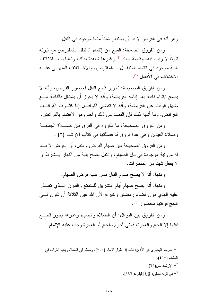و هو أنه في الفر ض لا بد أن بسندبر شبئاً منها موجود في النفل.

ومن الفروق الضعيفة: المنع من إئتمام المنتفل بالمفترض مع ثبوته ثبوتاً لا ريب فيه، وقصة معاذ <sup>(1)</sup> وغيرها شاهدة بذلك، وتعليلهم بـــاختلاف النية موجود في ائتمام المنتفـل بــالمفترض، والاخــنلاف المنهــي عنـــه الاختلاف في الأفعال <sup>(2)</sup>.

ومن الفروق الصحيحة: تجويز قطع النفل لحضور الفرض، وأنه لا يصح ابتداء نافلة بعد إقامة الفريضة، وأنه لا يجوز أن يشتغل بالنافلة مـــع ضيق الوقت عن الفريضة، وأنه لا تقضى النوافس إذا كثـــرت الفوائـــت الفرائض، وما أشبه ذلك فإن القصد من ذلك واحد وهو الاهتمام بالفرائض.

ومن الفروق الصحيحة: ما ذكروه في الفرق بين صــــلاة الجمعـــة وصلاة العيدين وهي عدة فروق قد فصَّلتها في كتاب الإرشاد (٢) .

ومن الفروق الصحيحة بين صبام الفرض والنفل: أن الفرض لا بــد له من نية موجودة في ليل الصيام، والنفل يصح بنية من النهار بــشرط أن لا بفعل شبئاً من المفطر ات.

ومنها: أنه لا يصح صوم النفل ممن عليه فرض الصيام.

ومنها: أنه يصح صيام أيام النشريق للمتمتع والقارن الـــذي تعـــذر عليه الهدي دون قضاء رمضان وغيره؛ لأن الله عين الثلاثة أن نكون فسي الحج فوفتها محصور <sup>(3)</sup>.

ومن الفروق بين النوافل: أن الصلاة والصيام وغيرها يجوز قطـــع نفلها إلا الحج والعمرة، فمتى أحرم بالحج أو العمرة وجب عليه الإتمام.

<sup>1</sup>– أخرجه البخاري في الأذان/ باب إذا طول الإمام (٧٠٠)، ومسلم في الصلاة/ باب القراءة في العشاء (٢٥٥). <sup>2</sup>– الإرشاد ص(٦٨).

في قوله تعالى: {}{} [البقر ة: ١٩٦].  $\,$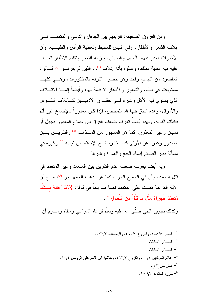ومن الفروق الضعيفة: نفريقهم بين الجاهل والناسبي والمتعصد في إتلاف الشعر والأظفار ، وفي اللبس للمخبط وتغطبة الرأس والطبــب، وأن الأخيرات يعذر فيهما الجهل والنسيان، وإزالة الشعر ونقليم الأظفار تجــب عليه فيه الفدية مطلقاً، وعللوه بأنه إتلاف <sup>(1)</sup>، والذين لم يفرقـــوا <sup>(2)</sup> قـــالوا: المقصود من الجميع واحد وهو حصول النرفه بالمذكورات، وهـ ع كلهـا مستويات في ذلك، والشعور والأظفار لا قيمة لمها، وأيضاً إنمــا الإتـــلاف الذي يستوي فيه الأهل وغيره فسي حقــوق الأدميـــين كـــاتٍلاف النفــوس والأموال، وهذه الحق فيها لله متمحض، فإذا كان معذوراً بالإجماع غير أثم فكذلك الفدية، وبهذا أيضا نعرف ضعف الفرق بين جماع المعذور بجهل أو نسيان وغير المعذور، كما هو المشهور من المـــذهب <sup>(3)</sup> والنفريـــق بـــين المعذور وغيره هو الأولى كما اختاره شبخ الإسلام ابن نيمية <sup>(4)</sup> وغيره في مسألة فطر الصائم إفساد الحج والعمرة وغيرها.

وبه أيضاً يعرف ضعف عدم النفريق بين المتعمد وغير المتعمد في قتل الصيد، وأن في الجميع الجزاء كما هو مذهب الجمهــور <sup>(5)</sup>، مـــع أن الآية الكريمة نصت على المتعمد نصاً صريحاً في قوله: {{وَمَنْ قَتَلَهُ مــنْكُمْ مُتَعَمِّدًا فَجَزَاءٌ مثَّلُ مَا قَتَلَ منَ النَّعَمِ}} <sup>(6)</sup>.

وكذلك نجويز النبي صلَّى الله عليه وسلَّم لرعاة المواشى وسقاة زمـــزم أن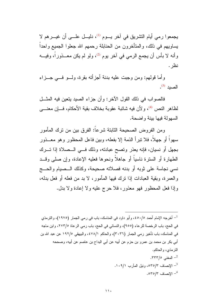يجمعوا رمي أيام التشريق في آخر يـــوم <sup>(1)</sup>، دليـــل علــــي أن غيـــرهم لا يساويهم في ذلك، والمتأخرون من الحنابلة رحمهم الله جعلوا الجميع واحداً وأنه لا بأس أن يجمع الرمي في آخر يوم <sup>(2)</sup>، ولو لم يكن معـــذور ًا، وفيـــه نظر .

و أما قولهم: ومن وجبت عليه بدنة أجز أنه بقر ة، ولـــو فـــي جـــز اء الصبد (3).

فالصواب في ذلك القول الآخر: وأن جزاء الصيد يتعين فيه المثــل لظاهر النص <sup>(4)</sup>، ولأن فيه شائبة عقوبة بخلاف بقية الأحكام، فـــإن معنــــي السهولة فبها ببنة واضحة.

و من الفر و ض الصحيحة الثابتة شر عا: الفر ق بين من نر ك المأمو ر سهواً أو جهلاً، فلا نبرأ الذمة إلا بفعله، وببن فاعل المحظور وهو معـــذور بجهل أو نسيان، فإنه يعذر وتصح عبادته، وذلك فسي السصلاة إذا تسرك الطهار ة أو السنرة ناسباً أو جاهلاً ونحوها فعليه الإعادة، وإن صلى وقــد نسي نجاسة على ثوبه أو بدنه فصلاته صحيحة، وكذلك الــصيام والحـــج و العمر ة، وبقية العبادات إذا نرك فيها المأمور ، لا بد من فعله أو فعل بدله، وإذا فعل المحظور فهو معذور، فلا حرج عليه ولا إعادة ولا بدل.

<sup>1</sup>– أخرجه الإمام أحمد ٤٥٠/٥، وأبو داود في المناسك، باب في رمي الجمار (١٩٧٥)، والترمذي في الحج، باب الرخصة للرعاء (٩٥٥)، والنسائي في الحج، باب رمي الرعاة ٢٧٣/٥، وابن ماجه في المناسك، باب تأخير رمي الجمار (٣٠٣٦)، والحاكم ٤٧٨/١، والبيهقي ١٩٢/٥ عن عبد الله بن أبي بكر بن محمد بن عمرو بن حزم عن أبيه عن أبي البداح بن عاصم عن أبيه، وصححه النر مذي، و الحاكم. . المغني ٢٣٣/٥. <sup>3</sup>– الإنصاف ٣٥/٣٥، ونيل المأرب ٠٩/١.١٠٩. .070/٣ الإنصاف "0.070".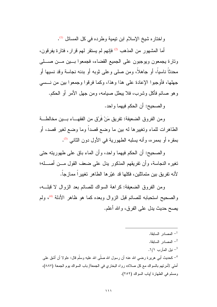واختاره شيخ الإسلام ابن نيمية وطرده في كل المسائل (1).

أما المشهور من المذهب <sup>(2)</sup> فإنهم لم يستقر لهم قرار، فتارة يفرقون، ونارة يجمعون ويوجبون على الجميع القضاء، فجمعوا بسين مسن صسلمي محدثًا ناسياً، أو جاهلاً، ومن صلَّى وعلَّى ثوبه أو بدنه نجاسةً وقد نسيها أو جهلها، فأوجبوا الإعادة على هذا وهذا، وكما فرقوا وجمعوا بين من نـــسى وهو صائم فأكل وشرب، فلا يبطل صيامه، ومن جهل الأمر أو الحكم.

و الصبحيح: أن الحكم فيهما و احد.

ومن الفروق الضعيفة: نفريق مَنْ فَرّق من الفقهـــاء بـــين مخالطـــة الطاهرات للماء وتغييرها له بين ما وضع قصدا وما وضع لغير قصد، أو بمقره أو بممره، وأنه بسلبه الطهورية في الأول دون الثاني <sup>(3)</sup>.

و الصحيح: أن الحكم فيهما و احد، و أن الماء باق على طهوريته حتى نغيره النجاسة، وأن نفريقهم المذكور يدل على ضعف القول مـــن أصــــله؛ لأنه تفريق بين متماثلين، فكلها قد غيّرها الطاهر تغييراً ممازجاً.

ومن الفروق الضعيفة: كراهة السواك للصائم بعد الزوال لا قبلـــه، والصحيح استحبابه للصائم قبل الزوال وبعده كما هو ظاهر الأدلة <sup>(4)</sup>، ولم يصـح حديث يدل علـي الفرق، والله أعلم.

اسمادر السابقة. $^{-1}$ المصادر السابقة. $^{-2}$ <sup>3</sup>- نيل المآرب ١/١. <sup>4</sup>– كحديث أبي هر بر ة ر ضبي الله عنه أن ر سول الله صلَّى الله عليه وسلَّم قال: «لو لا أن أشق علي أمتني لأمرتهم بالسواك مع كل صلاة» رواه البخاري في الجمعة/ باب السواك بوم الجمعة (٨٨٧)، ومسلم في الطهارة /باب السواك (٢٥٢).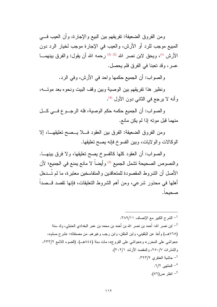ومن الفروق الضعيفة: نفريقهم بين البيع والإجارة، وأن العيب فسي المبيع موجب للرد أو الأرش، والعيب في الإجارة موجب لخيار الرد دون الأرش <sup>(1)</sup>، ويحق لابن نصر الله <sup>(2) (3)</sup> رحمه الله أن يقول: والفرق بينهمـــا عسر ، وقد تعبنا في الفرق فلم بحصل.

و الصو اب: أن الجميع حكمها و احد في الأر ش، و في الر د.

ونظير هذا تفريقهم بين الوصية وبين وقف البيت ونحوه بعد موتـــه، وأنه لا يرجع في الثاني دون الأول <sup>(4)</sup>.

والصواب: أن الجميع حكمه حكم الوصية، فله الرجـوع فــي كــل منهما قبل مونه إذا لم يكن مانع.

ومن الفروق الضعيفة: الفرق بين العقود فـــلا يـــصح تعليقهـــا، إلا الوكالات والولايات، وبين الفسوخ فإنه يصح تعليقها.

والصواب: أن العقود كلها كالفسوخ بصح نعليقها، ولا فرق ببنهـــا. والنصوص الصحيحة تشمل الجميع <sup>(5)</sup> وأيضاً لا مانع يمنع في الجميع؛ لأن الأصل أن الشروط المقصودة للمتعاقدين والمتفاسخين معتبرة، ما لم تـــدخل أهلها في محذور شرعي، ومن أهم الشروط النعليقات، فإنها نقصد قـــصداً صحبحا.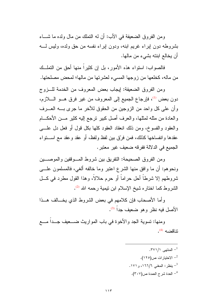ومن الفروق الضعيفة في الأب: أن له النملك من مال ولده ما شـــاء بشروطه دون إبراء غريم ابنه، ودون إبراء نفسه من حق ولده، وليس لــــه أن يخالع ابنته بشيء من مالها.

فالصواب: استواء هذه الأمور ، بل إن كثيراً منها أحق من التملــك من ماله، كخلعها من ز وجها المسيء لعشر تها من مالها؛ لمحض مصلحتها.

ومن الفروق الضعيفة: إيجاب بعض المعروف من الخدمة للبزوج دون بعض <sup>(1)</sup>، فإرجاع الجميع إلى المعروف من غير فرق هـــو الـــــلازم، وأن على كل واحد من الزوجين من الحقوق للأخر ما جرى بــــه العــــرف والعادة من مثله لمثلها، والعرف أصل كبير نرجع إليه كثير مـــن الأحكــــام والعقود والفسوخ، ومن ذلك انعقاد العقود كلها بكل قول أو فعل دل علــــي عقدها وإنفساخها كذلك، فمن فرِّق بين لفظ ولفظ، أو عقد وعقد مع اســـنواء الجميع في الدلالة ففرقه ضعيف غير معتبر .

ومن الفروق الصحيحة: النفريق بين شروط المسوقفين والموصسين ونحوهم: أن ما وافق منها الشرع اعتبر وما خالفه ألغي، فالمسلمون علـــي شروطهم إلا شرطاً أحل حراماً أو حرم حلالاً، وهذا القول مطرد في كلَّ الشروط كما اختاره شيخ الإسلام ابن نيمية رحمه الله <sup>(2)</sup>.

وأما الأصحاب فإن كلامهم في بعض الشروط الذي يخــالف هــذا الأصل فيه نظر وهو ضعيف جداً (3).

ومنها: تسوية الجد والأخوة في باب المواريث ضـــعيف جــداً مـــع نتاقضه <sup>(4)</sup>.

> . المنتهى ١/ ٣٧١. <sup>2</sup>– الاختيار ات ص(١٢٥). . بنظر: المغنى ١٦٦/٦، و ١٧١. <sup>4</sup>– العدة شرح العمدة ص(٢٠٧).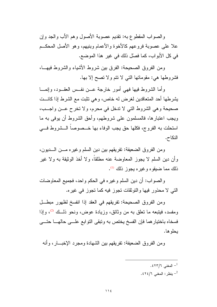والصواب المقطوع به: نقديم عصوبة الأصول وهم الأب والجد وإن علا على عصوبة فروعهم كالأخوة والأعمام وبنيهم، وهو الأصل المحكــم في كل الأبواب، كما فصلٌ ذلك في غيرٍ هذا الموضع.

ومن الفروق الصحيحة: الفرق بين شروط الأشياء والشروط فيهـــا، فشروطها هي: مقوماتها التبي لا نتم ولا نصح إلا بها.

وأما الشروط فيها فهي أمور خارجة عــن نفــس العقــود، وإنمـــا يشرطها أحد المتعاقدين لغرض له خاص، وهي تثبت مع الشرط إذا كانـــت صحيحة وهي الشروط التي لا ندخل في محرم، ولا تخر ح عــن واجــب، ويجب اعتبارها، فالمسلمون على شروطهم، وأحق الشروط أن يوفي به ما استحلت به الفروج، فكلها حق يجب الوفاء بها خــصوصا الــشروط فـــي النكاح.

ومن الفروق الضعيفة: تفريقهم بين دين السلم و غير ه مـــن الــــديون، و أن دين السلم لا يجوز المعاوضة عنه مطلقاً، و لا أخذ الوثيقة به و لا غير ذلك مما ضيقوه و غير ه يجوز ذلك <sup>(1)</sup>.

و الصواب: أن دين السلم و غير ه في الحكم و احد، فجميع المعاوضات التبي لا محذور فيها والنوثقات نجوز فيه كما نجوز في غيره.

ومن الفروق الصحيحة: تفريقهم في العقد إذا انفسخ لظهور مبطــل ومفسد، فيتبعه ما تعلق به من وثائق، وزيادة عوض، ونحو ذلـــك <sup>(2)</sup>، وإذا فسخاه باختيار هما فإن الفسخ يختص به ونبقى النوابع علـــي حالهــــا حتــــي بحلو ها.

ومن الفروق الضعيفة: تفريقهم بين الشهادة ومجرد الإخبـــار ، وأنـه

- . المغنى ٢٣/٦٪.
- ينظر: المغنى ٦/١٤٢٤.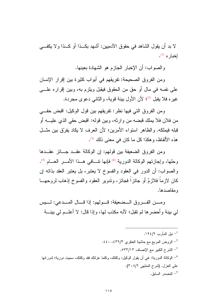لا بد أن يقول الشاهد في حقوق الآدميين: أشهد بكــذا أو كــذا ولا يكفـــي  $\cdot^{(1)}$  اخدار ه

والصواب: أن الإخبار الجازم هو الشهادة بعينها.

ومن الفروق الصحيحة: تفريقهم في أبواب كثيرة بين إقرار الإنسان على نفسه في مال أو حق من الحقوق فيقبل ويلزم به، وبين إقراره علـــي غيره فلا يقبل <sup>(2)</sup>؛ لأن الأول بينة قوية، والثاني دعوى مجردة.

ومن الفروق التي فيها نظر: تفريقهم بين فول الوكيل: اقبض حقـــي من فلان فلا يملك قبضه من وارثه، وبين قوله: اقبض حقى الذي عليـــه أو قبله فيملكه. والظاهر استواء الأمرين؛ لأن العرف لا يكاد يفرِّق بين مثـــل هذه الألفاظ، و هكذا كل ما كان في معنى ذلك (3).

ومن الفروق الضعيفة بين قولهم: إن الوكالة عقــد جــائز عقــدها وحلها، وإجازتهم الوكالة الدورية <sup>(4)</sup> فإنها نتسافى هـذا الأمـــر العــــام <sup>(5)</sup>. والصواب: أن الدور في العقود والفسوخ لا يعتبر، بل يعتبر العقد بذاته إن كان لازما فلازمٌ أو جائزٍا فجائزٍ، وندوير العقود والفسوخ إذهاب لروحهــا ومقاصدها.

ومـــن الفـــروق الـــضعيفة: قـــولهم: إذا قـــال المـــدعى: لــــيس لمي بينة وأحضرها لم تقبل؛ لأنه مكذب لها، وإذا قال: لا أعلــم لـي بينـــة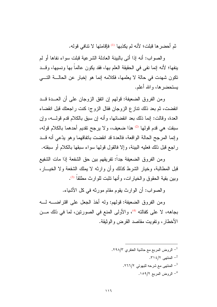ثم أحضر ها قبلت؛ لأنه لم يكذبها <sup>(1)</sup> فإقامتها لا نتافي قوله.

و الصواب: أنه إذا أتى بالبينة العادلة الشرعية قبلت سواء نفاها أو لم ينفها؛ لأنه إنما نفي في الحقيقة العلم بها، فقد يكون عالماً بها ونسيها، وقـــد نكون شهدت في حالة لا يعلمها، فكلامه إنما هو إخبار عن الحالـــة التــــى يستحضرها، والله أعلم.

ومن الفروق الضعيفة: قولهم إن اتفق الزوجان على أن العــدة قــد انقضت، ثم بعد ذلك نتازع الزوجان فقال الزوج: كنت راجعتك قبل انقضاء العدة، وقالت: إنما ذلك بعد انقضائها، وأنه إن سبق بالكلام قدم قولــــه، وإن سبقت هي قدم قولها <sup>(2)</sup> هذا ضعيف، ولا يرجح تقديم أحدهما بالكلام قوله، وإنما المرجح الحالة الواقعة، فالعدة قد انقضت باتفاقهما وهو يدّعى أنه قــد راجع قبل ذلك فعليه البينة، وإلا فالقول قولها سواء سبقها بالكلام أو سبقته.

ومن الفروق الضعيفة جداً: تفريقهم بين حق الشفعة إذا مات الشفيع قبل المطالبة، وخيار الشرط كذلك وأن وارثه لا يملك الشفعة ولا الخيـــار، وبين بقية الحقوق والخيارات، وأنها نتبت للوارث مطلقاً <sup>(3)</sup>.

والصواب: أن الوارث يقوم مقام مورثه في كل الأشياء.

ومن الفروق الضعيفة: قولهم: وله أخذ الجعل على اقتراضــــه لــــه بجاهه، لا على كفالته <sup>(4)</sup>، والأولى المنع في الصورتين، لما في ذلك مــن الأخطار ، و تفويت مقاصد القر ض و الو ثيقة.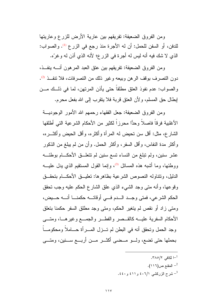ومن الفروق الضعيفة: تفريقهم بين عارية الأرض للزرع وعاريتها للدفن، أو السفن للحمل: أن له الأجرة منذ رجع في الزرع <sup>(1)</sup>. والصواب: الذي لا شك فيه أنه ليس له أجرة في الزرع؛ لأنه الذي أذن له وغرَّه.

ومن الفروق الضعيفة: تفريقهم بين عتق العبد المرهون أنسه ينفــذ، دون التصر ف بوقف الر هن وببعه و غير ذلك من التصر فات، فلا نتف ذ <sup>(2)</sup>. والصواب: عدم نفوذ العتق مطلقاً حتى يأذن المرتهن، لما في ذلــك مـــن إبطال حق المسلم، ولأن العتق قربة فلا يتقرب إلى الله بفعل محرم.

ومن الفروق الضعيفة: جعل الفقهاء رحمهم الله الأمور الوجوديـــة الأغلبية فرقاً فاصلاً وحدًّا محرزاً لكثير من الأحكام الشرعية التي أطلقها الشارع، مثل: أقل سن نحيض له المرأة وأكثره، وأقل الحيض وأكثـــره، وأكثر مدة النفاس، وأقل السفر، وأكثر الحمل. وأن من لم يبلغ من الذكور عشر سنين، ولم تبلغ من النساء تسع سنين لم تتعلـــق الأحكــــام بوطئــــه ووطئها، وما أشبه هذه المسائل <sup>(3</sup>)، وإنما القول المستقيم الذي يدل عليــــه الدليل، ونتتاوله النصوص الشرعية بظاهرها: تعليـــق الأحكــــام بتحقـــق وقوعها، وأنه متى وجد الشيء الذي علق الشارع الحكم عليه وجب تحقق الحكم الشرعي، فمتى وجــد الـــدم فـــى أوقاتـــه حكمنـــا أنـــه حـــيض، ومتى زاد أو نقص لم يتغير الحكم، ومتى وجد مطلق السفر حكمنا بتعلق الأحكام السفرية عليـــه كالقـــصر والفطـــر والجمــــع وغيرهــــا، ومتــــى وجد الحمل وتحقق أنه في البطن لم تـــزل المــــرأة حــــاملاً ومحكومـــاً بحملها حتى تضع، ولـــو مـــضي أكثـــر مـــن أربـــع ســـنين، ومتـــي

- -۱ لکافی ۲۸۰/۲.
- المقنع ص(١١٦).
- شرح الزركشي ٤٠٦/١ و ٤٠١١ و ٤٤٠.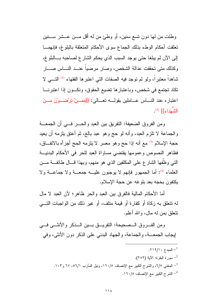وطئت من لمها دون تسع سنين، أو وطئٍ من له أقل مـــن عـــشر ســـنين تعلقت أحكام الوطء بذلك الجماع سوى الأحكام المتعلقة بالبلوغ، فإنهمـــا إلى الآن لم يبلغا حتى يوجد السبب الذي يحكم الشارع لصاحبه بـــالبلوغ، وكذلك متى تحققت عدالة الشخص، وصار مرضيا عنــد النـــاس صــــار شاهداً معتبراً، ولو لم توجد فيه الصفات التي اعتبرها الفقهاء <sup>(1)</sup> التـــي لا تكاد تجتمع في شخص، وباعتبارها تضيع الحقوق، ونكــون إذا اعتبرنـــا اعتباره عند النــــاس عــــاملين بقولــــه تعــــالـي: {{مَمَـــنْ تُرْضَـــوْنَ مــــنَ الشَّهَدَاء}} (2).

ومن الفروق الضعيفة: النفريق بين العبد والحــــر فـــي أن الجمعـــة والجماعة لا نلزم العبد، وأنه لو حج وهو عبد بالـغ، ثم أعتق بلزمه أن يعيد حجة الإسلام <sup>(3)</sup> مع أنه إذا حج و هو معسر لا يلزمه الحج أجزأه بالاتفـــاق، فظاهر النصوص وعمومها يقتضى مساواة العبد للحر في الأحكام البدنيـــة النَّبِي وظَّفَها الشَّارِ ع علي المكلَّفين الذي هو منهم، وبهذا قـــال طائفـــة مـــن العلماء <sup>(4)</sup>: أما الجمهور فإنهم لا يوجبون عليـــه جمعـــة ولا جماعـــة ولا يكتفون بحجه بعد بلوغه عن حجة الإسلام.

أما الأحكام المالية فالفرق بين العبد والحر ظاهر ؛ لأن العبد لا مال له نتعلق به زكاة أو كفارة أو قيمة متلف، أو غير ذلك من الواجبات التــــى نتعلق بمن له مال، و الله أعلم.

ومن الفـــروق الـــصحيحة: النفريـــق بـــين الـــذكر والأنثـــي فـــي لِيجاب الجمعـــة، والجماعة، والجهاد البدني على الذكر دون الأنثي، وفي

> . المبدء ١٩/١٠. ـ سورة البقرة: الآية (٢٨٢). <sup>3</sup>– المعغني 1/0، والشرح الكبير مع الإنصاف ١٦٠/٥، ونيل المأرب ٦/١٥، ٦٧ و١٠٣. <sup>4</sup>– الشرح الكبير مع الإنصاف ١٦٠/٥.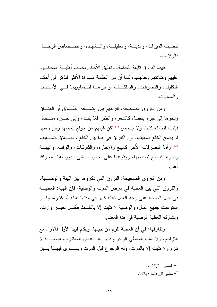نتصبف الميراث، والديسة، والعقيقسة، والسشهادة، واختسصاص الرجسال ىالە لايات.

فهذه الفروق تابعة للحكمة، وتعليق الأحكام بحسب أهليسة المحكسوم عليهم وكفائتهم وحاجتهم، كما أن من الحكمة مساواة الأنثى للذكر في أحكام النكليف، والنصرفات، والنملكـــات، وغيرهــــا لتـــساويهما فــــى الأســــباب و المسببات.

ومن الفروق الصحيحة: تفريقهم بين إضــــافة الطــــلاق أو العتــــاق ونحوها إلى جزء ينفصل كالشعر، والظفر فلا يثبت، وإلى جـــزء متـــصل فيثبت للجملة كلها، ولا يتبعض <sup>(1)</sup> لكن قولهم من خولع بعضها وجزء منها لم يصح الخلع ضعيف، فإن النفريق في هذا بين الخلع والطــــلاق ضــــعيف <sup>(2)</sup>. وأما النصرفات الأخر كالبيع والإجارة، والشركات، والوقف، والهبسة ونحوها فيصح تبعيضها، ووقوعها على بعض الــشيء دون بقيتـــه، والله أعلم.

ومن الفروق الصحيحة: الفروق التي ذكروها بين الهبة والوصـــية، والفروق التي بين العطية في مرض الموت والوصية، فإن الهبة: العطيــة في حال الصحة على وجه العدل ثابتة كلها في وقتها قليلة أو كثيرة، ولسو استوعبت جميع المال، والوصية لا تثبت إلا بالنَّائ فأقسل لغيس وارث، ونشارك العطية الوصية في هذا المعنى.

ونفارقها: في أن العطية نلزم من حينها، ويقدم فيها الأول فالأول مع النَّزلحم، ولا يملك المعطى الرجوع فيها بعد القبض المعتبر، والوصــــية لا تلزم و لا تثبت إلا بالموت، وله الرجوع قبل الموت ويسماوي فيهـــا بـــين

- . المغنى ١٣/١٠.
- . منتهى الإر ادات ٢٣٩/٢.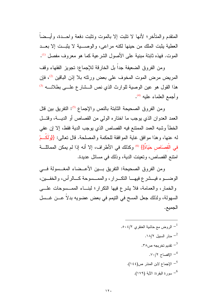المتقدم والمتأخر؛ لأنها لا نثبت إلا بالموت ونثبت دفعة واحـــدة، وأيـــضـاً العطية بِثبت الملك من حينها لكنه مراعي، والوصبية لا بِثبت إلا بعــد الموت. فهذه ثابتة مبنية على الأصول الشرعية كما هو معروف مفصل <sup>(1)</sup>.

ومن الفروق الضعيفة جداً بل الخارقة للإجماع: تجويز الفقهاء وقف المريض مرض الموت المخوف على بعض ورثته بلا إذن الباقين <sup>(2)</sup>، فإن هذا القول هو عين الوصية للوارث الذي نص الـ شارع علــى بطلانـــه (3) وأجمع العلماء عليه <sup>(4)</sup>.

ومن الفروق الصحيحة الثابتة بالنص والإجماع <sup>(5)</sup>: التفريق بين قتل العمد العدوان الذي يوجب ما اختاره الولى من القصاص أو الديــة، وقتـــل الخطأ وشبه العمد الممتنع فيه القصاص الذي يوجب الدية فقط، إلا إن عفي له عنها، و هذا مو افق غاية المو افقة للحكمة و المصلحة. قال تعالى: {{وَلَكُـمْ في الْقصَاص حَيَاةً}} <sup>(6)</sup> وكذلك في الأطراف، إلا أنه إذا لم يمكن المماثلــــة امنتع القصاص، وتعينت الدية، وذلك في مسائل عديدة.

ومن الفروق الصحيحة: النفريق بـــين الأعـــضاء المغــسولة فـــي الوضـــوء فيـــشرع فيهــــا النكـــرار، والممـــسوحة كـــالرأس، والخفـــين، والخمار، والعمامة، فلا يشرع فيها النكرار؛ لبنـــاء الممـــسوحات علــــى السهولة، ولذلك جعل المسح في النيمم في بعض عضويه بدلا عـــن غـــسل الجميع.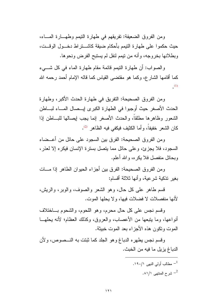ومن الفروق الضعيفة: تفريقهم في طهارة النيمم وطهـــارة المـــاء، حيث حكموا على طهارة التيمم بأحكام ضيقة كاشـــنراط دخـــول الوقــت، وبطلانها بخروجه، وأنه من نيمم لنفل لم يستبح الفرض ونحوها.

والصواب: أن طهارة النيمم قائمة مقام طهارة الماء في كل شـــيء كما أقامها الشار ع، وكما هو مقتضبي القياس كما قاله الإمام أحمد رحمه الله  $(1)$ 

ومن الفروق الصحيحة: النفريق في طهارة الحدث الأكبر، وطهارة الحدث الأصغر حيث أوجبوا في الطهارة الكبرى إيـــصال المــــاء لبــــاطن الشعور وظاهرها مطلقاً، والحدث الأصغر إنما يجب إيصالها للبـــاطن إذا كان الشعر خفيفاً، وأما الكثيف فيكفى فيه الظاهر <sup>(2)</sup>.

ومن الفروق الصحيحة: الفرق بين السجود على حائل من أعــضاء السجود، فلا يجزئ، وعلى حائل مما ينصل بسترة الإنسان فيكره إلا لعذر، وبحائل منفصل فلا يكره، والله أعلم.

و من الفر و ق الصـحبحـة: الفر ق بين أجز اء الـحبو ان الطـاهر اذا مـــات بغير نذكية شرعية، وأنها ثلاثة أقسام:

قسم طاهر علمي كل حال، وهو الشعر والصوف، والوبر، والريش، لأنها منفصلات لا فضلات فبها، ولا بحلها الموت.

وقسم نجس على كل حال محرم، وهو اللحوم، والشحوم بساختلاف أنواعها، وما يتبعها من الأعصاب، والعروق، وكذلك العظام؛ لأنه يحلهـــا الموت وتكون هذه الأجز اء بعد الموت خبيثة.

وقسم نجس يطهره الدباغ وهو الجلد كما ثبتت به النـــصوص، ولأن الدباغ يزيل ما فيه من الخبث.

> مطالب أولى النهي ١٩٠/١. شرح المنتهى ١/١٨١.  $^{-2}$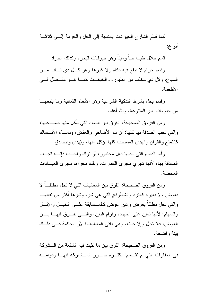كما فسَّم الشارع الحيوانات بالنسبة إلى الحل والحرمة إلـــى ثلاثـــة أنو اع:

قسم حلال طيب حيا ومينا و هو حيو انات البحر ، وكذلك الجراد.

وقسم حرام لا بنفع فيه ذكاة ولا غير ها وهو كــل ذي نـــاب مـــن السباع، وكل ذي مخلب من الطيور، والخبائــث كمـــا هــو مفــصلّ فـــي الأطعمة.

وقسم بحل بشرط التذكية الشرعية وهو الأنعام النمانية وما يتبعهــا من حيو انات البر المنتو عة، و الله أعلم.

ومن الفروق الصحيحة: الفرق بين الدماء التي يأكل منها صــــاحبها، والتي نجب الصدقة بها كلها: أن دم الأضاحي والعقائق، ودمـــاء الأنـــساك كالتمتع والقران والهدي المستحب كلها يؤكل منها، ويُهدى ويتصدق.

و أما الدماء التي سببها فعل محظور ، أو ترك و اجــب فإنـــه تجــب الصدقة بها، لأنها تجري مجرى الكفارات، وتلك مجراها مجرى العبادات المحضة.

ومن الفروق الصحيحة: الفرق بين المغالبات التي لا نحل مطلقــاً لا بعوض ولا بغيره كالنرد والشطرنج التبي هي شر، وشرها أكثر من نفعهـــا والتبي نحل مطلقاً بعوض وغير عوض كالمسسابقة علسي الخيسل والإبسل والسهام؛ لأنها نعين على الجهاد، وقوام الدين، والتـــي يفـــرق فيهــــا بــــين العوض، فلا نحل وإلا حلت، وهي باقي المغالبات؛ لأن الحكمة فـــي ذلـــك بينة واضحة.

ومن الفر و ق الصحيحة: الفر ق بين ما نثبت فيه الشفعة من الـــشر كة في العقارات التي لم نقـــسم؛ لكثـــرة ضــــرر المـــشاركة فيهـــا ودوامــــه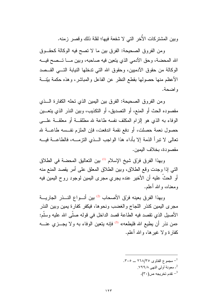وبين المشتركات الأخر التي لا شفعة فيها؛ لقلة ذلك وقصر زمنه.

ومن الفروق الصحيحة: الفرق بين ما لا نصح فيه الوكالة كحقـوق الله المحضة، وحق الأدمي الذي يتعين فيه صاحبه، وبين مـــا تـــصح فيــــه الوكالة من حقوق الآدميين، وحقوق الله التي تدخلها النيابة التسي القسصد الأعظم منها حصولها بقطع النظر عن الفاعل والمباشر، وهذه حكمة بيّنــــة و اضحة.

ومن الفروق الصحيحة: الفرق بين اليمين الذي تحله الكفارة الــذي مقصوده الحث أو المنع، أو التصديق، أو التكذيب، وبين النذر الذي يتعـــين الوفاء به الذي هو الزام المكلف نفسه طاعة لله مطلقـــة أو معلقـــة علــــى حصول نعمة حصلت، أو دفع نقمة اندفعت، فإن الملزم نفــسه طاعـــة لله تعالى لا نبراً الذمة إلا بأداء هذا الواجب الـــذي النزمــــه، فالطاعـــة فيــــه مقصودة، بخلاف اليمين.

وبهذا الفرق فرّق شيخ الإسلام <sup>(1)</sup> بين النعاليق المحضة في الطلاق التبي إذا وجدت وقع الطلاق، وبين الطلاق المعلق على أمر يقصد المنع منه أو الحثّ عليه أن الأخير عنده يجري مجرى اليمين لوجود روح اليمين فيه ومعناه، والله أعلم.

وبهذا الفرق بعينه فرّق الأصحاب <sup>(2)</sup> بين أنـــواع النـــذر الجاريـــة مجرى اليمين كنذر اللجاج والغضب ونحوها، فيكفر كفارة يمين وبين النذر الأصيل الذي نقصد فيه الطاعة قصد الداخل في قوله صلَّى الله عليه وسلَّم: «من نذر أن يطيع الله فليطعه» <sup>(3)</sup> فإنه يتعين الوفاء به ولا يجـــزي عنــــه كفارة ولا غيرها، والله أعلم.

- مجموع الفتاوى ٢٦٨/٣٥ \_ ٣٠٥.
	- <sup>2</sup>ـ معونة أولى النهي ٧٩٩/٨.
		- تقدم تخريجه ص $^{-3}$ .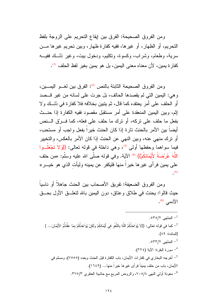ومن الفروق الصحيحة: الفرق بين إيقاع النحريم على الزوجة بلفظ النحريم، أو الظهار، أو غيرها، ففيه كفارة ظهار، وبين نحريم غيرها مـــن سرية، وطعام، وشراب، وكسوة، ونكليم، ودخول بيت، وغير ذلــك ففيـــه كفار ة بمبن، لأن معناه معنى البمبن، بل هو بمبن بغبر لفظ الحلف <sup>(1)</sup>.

ومن الفروق الصحيحة الثابتة بالنص <sup>(2)</sup>: الفرق بين لغــو اليمــين، و هي: اليمين التي لم يقصدها الحالف، بل جرت على لسانه من غير قــصد أو الحلف على أمر يعتقده كما قال، ثم يتبين بخلافه فلا كفارة في ذلـك ولا إثم، وبين اليمين المنعقدة على أمر مستقبل مقصود ففيه الكفارة إذا حنسث بفعل ما حلف على نركه، أو نرك ما حلف على فعله، كما فسرتق السنص أيضا بين الأمر بالحنث تارة إذا كان الحنث خير ا بفعل و اجب أو مستحب، أو نزك منهى عنه، وبين النهى عن الحنث إذا كان الأمر بالعكس، والتخيير فیما سواهما وحفظها أول<sub>ی</sub> <sup>(3)</sup>، وهی داخلة فی قوله تعالی: {{وَلاَ تَجْعَلُــوا اللَّهَ عُرْضَةً لأَيْمَانِكُمْ}} <sup>(4)</sup> الآية. وفي قوله صلَّى الله عليه وسلَّم: «من حلف على يمين فر أي غير ها خير ًا منها فليكفر عن يمينه وليأت الذي هو خيــــر »  $(5)$ 

ومن الفروق الضعيفة: تفريق الأصحاب بين الحنث جاهلاً أو ناسياً حيث قالوا: يحنث في طلاق وعتاق، دون اليمين بالله لنعلَّـــق الأول بحـــق  $\mathcal{N}^{(6)}$  الآدمے

.070/۲ المنتص  $^{-1}$ ح كما في قوله تعالى: {{لاَ يُؤَاخذُكُمُ اللَّهُ بِاللَّغْوِ في أَيْمَانكُمْ ولَكنْ يُؤَاخذُكُمْ بمَا عَقَّدْتُمُ الأَيْمَانَ... } [المائدة: ٨٩]. .0۳۳/۲ المنتهى 7/۳۳/۲. <sup>4</sup>– سورة البقرة: الآية (٢٢٤). <sup>5</sup>– أخرجه البخاري في كفارات الأيمان، باب الكفارة قبل الحنث وبعده (٧٥٥٥)، ومسلم في الأيمان، باب من حلف يميناً فر أي غير ها خير اً منها... (١٦٤٩). <sup>6</sup>– معونة أولـي النـهي ٧٠٨/٨، والروض المربـع مـع حاشية العنقري ٣٧٥/٣.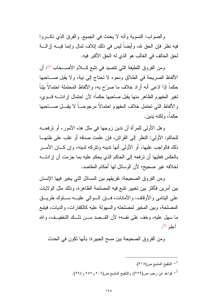والصواب: النسوية وأنه لا يحنث في الجميع. والفرق الذي ذكـروا فيه نظر فإن الحق لله، وأيضا ليس في ذلك إنلاف لمال وإنما فيــــه إزالــــة لحق الحالف في الغالب هو الذي له الحق الأكبر فيه.

ومن الفروق اللطيفة التي تتصيد في تتبع كـــلام الأصــــحاب <sup>(1)</sup>: أن الألفاظ الصريحة في الطلاق ونحوه لا تحتاج إلى نية، ولا يقبل صـــاحبها حكماً إذا ادّعى أنه أراد خلاف ما صرّح به، والألفاظ المحتملة احتمالاً بيّناً لغير المفهوم الظاهر منها يقبل صاحبها حكماً؛ لأن احتمال إرادتـــه قـــوي، و الألفاظ التي تحتمل خلاف المفهوم احتمالاً مرجوحـــاً لا يقبـــل صـــــاحبها حكماً، ولكنه بدين.

وهل الأولى للمرأة أن ندين زوجها في مثل هذه الأمور، أو نرفعـــه للحاكم: الأولى: النظر إلى القرائن، فإن علمت صدقه أو غلب على ظنهــا ذلك فالواجب عليها، أو الأولى أنها ندينه ونتركه لدينه، وإن كـــان الأمـــر بالعكس فعليها أن ترفعه إلى الحاكم الذي يحكم عليه بما جزمت أن إرادتـــه لخلافه غير صحيح؛ لأن الوسائل لها أحكام المقاصد.

ومن الفروق الصحيحة: تفريقهم بين المسائل التي يخير فيها الإنسان بين أمرين فأكثر بين تخيير نتبع فيه المصلحة الظاهرة، وذلك مثل الولايات على البنامي والأوقاف، والأمانات، فإن السوالي عليـــه ســـلوك طريـــق المصلحة، وبين المخير لمصلحته والسهولة عليه كالكفارات، والديات، فيتبع ما سهل عليه، وخف على نفسه؛ لأن القــصد مـــن ذلــك النخفيــف، والله أعلم <sup>(2)</sup>.

ومن الفروق الصحيحة بين مسح الجبيرة: بأنها نكون في الحدث

النتقيح المشبع ص $(\mathsf{r} \mathbin{\backslash} \circ)$ .  $^{-1}$ قواعد ابن رجب ص(٢٢٩)، والنتقيح المشبع ص(٢٠٦ و ٢٥٢ و ٢٩٤).  $\sim$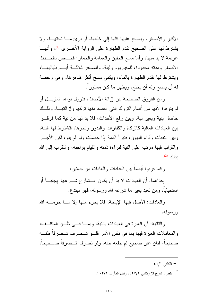الأكبر والأصغر، ويمسح عليها كلها إلى خلعها، أو برئ مـــا نحتهـــا، ولا يشترط لها على الصحيح نقدم الطهارة على الرواية الأخـــرى <sup>(1)</sup>، وأنهـــا عزيمة لا بد منها، وأما مسح الخفين والعمامة والخمار: فخـــاص بالحـــدث الأصغر ومدنه محدودة، للمقيم بوم وليلة، وللمسافر ثلاثـــة أيـــام بلياليهـــا، ويشترط لها نقدم الطهارة بالماء، ويكفى مسح أكثر ظاهرها، وهي رخصة له أن يمسح وله أن يخلع، ويطهر ما كان مستوراً.

ومن الفروق الصحيحة بين إزالة الأخباث، فتزول نواها المزيـــل أو لم ينوها؛ لأنها من أقسام النروك التبي القصد منها نركها وإزالتهـــا، وذلـــك حاصل بنية وبغير نية، وبين رفع الأحداث، فلا بد لها من نية كما فرقــوا بين العبادات المالية كالزكاة والكفارات والنذور ونحوها، فتشترط لها النية، وبين النفقات و أداء الديون، فتبر أ الذمة إذا حصلت ولو لم ينو ، لكن الأجـــر والنواب فيها مرتب على النية لبراءة ذمته والقيام بواجبه، والنقرب إلى الله  $\cdot^{(2)}$  بذلك

وكما فرقوا أيضاً بين العبادات والعادات من جهنين:

لِحداهما: أن العبادات لا بد أن يكون الـــشار ع شــــرعها لِيجابــــا أو استحباباً، ومن نعبد بغير ما شرعه الله ورسوله، فهو مبندع.

والعادات: الأصل فيها الإباحة، فلا يحرم منها إلا مـــا حرمــــه الله ورسوله.

والثانية: أن العبرة في العبادات بالنية، وبمـــا فـــي ظـــن المكلــف، والمعاملات العبرة فيها بما في نفس الأمر فلــو تــصرف تــصرفاً ظنـــه صحيحاً، فبان غير صحيح لم ينفعه ظنه، ولو تصرف تــصرفاً صـــحيحاً،

- الكافى ١/١؛ . $^{-1}$
- ينظر : شرح الزركشي ٤٢٧/٢، ونيل المآرب ١٠٣/٢.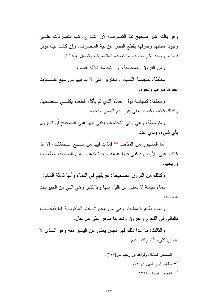وهو يظنه غير صحيح نفذ التصرف؛ لأن الشارع رتب التصرفات علـــي وجود أسبابها وطرقها بقطع النظر عن نية المتصرف، وإن كانت نيته تؤثر فيها من وجه آخر بحسب ما قصده المتصرف وتوسل إليه <sup>(1)</sup>.

ومن الفروق الصحيحة: أن النجاسة ثلاثة أقسام:

مغلظة: كنجاسة الكلب، والخنزير التي لا بد فيها من سبع غــسلات إحداها بتر اب ونحو ه.

و مخففة: كنجاسة بول الغلام الذي لم يأكل الطعام يكفـــى نـــضحها، وكذلك فيئه، وكذلك يعفي عن الدم اليسير ونحوه.

ومنوسطة: وهي باقي النجاسات يكفي فيها على الصحيح أن تـــزول بأي شيء، وبأي عدد.

أما المشهور من المذهب <sup>(2)</sup> فلا بد فيها من ســبع غــسلات، إلا إذا كانت على الأرض فيكفى فيها غسلة واحدة نذهب بعين النجاسة، وطعمها، وريحها.

وكذلك من الفروق الصحيحة: تفريقهم في الدماء وأنها ثلاثة أقسام:

دماء نجسة لا يعفي عن قليل منها ولا كثير وهي التي من الحيوانات النحسة.

ودماء طاهر ة مطلقاً، و هي من الحيو انسات المأكولة إذا ذبحــت، فالباقي في اللحوم والعروق ونحوها طاهر على كل حال.

والثالث: ما عدا ذلك فهو نجس يعفي عن اليسير منه وهو الـــذي لا يفحش كثرة <sup>(3)</sup>، والله أعلم.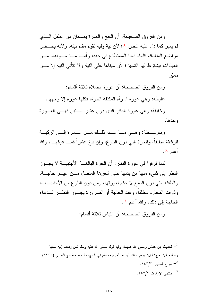ومن الفروق الصحيحة: أن الحج والعمرة يصحان من الطفل الــذي لم يميز كما دل عليه النص (!)؛ لأن نية وليه نقوم مقام نيته، و لأنه يحــضر مواضع المناسك كلها، فهذا المستطاع في حقه، وأمـــا مـــا ســـواهما مـــن العبادات فبشتر ط لها التمبيز ؛ لأن مبناها على النبة و لا نتأتى النبة إلا مـــن مميّز .

ومن الفروق الصحيحة: أن عورة الصلاة ثلاثة أقسام:

غليطة: وهي عورة المرأة المكلفة الحرة، فكلها عورة إلا وجهها.

وخفيفة: وهي عورة الذكر الذي دون عشر ســنين فهـــي العـــورة و حدها.

ومنوســطة: وهــي مـــا عـــدا ذلــك مـــن الـــسرة إلـــي الركبـــة للرقيقة مطلقا، وللحرة التي دون البلوغ، وإن بلغ عشرًا فمـــا فوقهـــا، والله  $^{(2)}$  أعلم

كما فرقوا في عورة النظر: أن الحرة البالغـــة الأجنبيـــة لا يجـــوز النظر إلى شيء منها من بدنها حتى شعرها المتصل مـــن غيـــر حاجـــة، والطفلة التبي دون السبع لا حكم لعورتها، ومن دون البلوغ من الأجنبيـــات، وذوات المحارم مطلقاً، وعند الحاجة أو الضرورة يجــوز النظـــر لـــدعاء الحاجة إلى ذلك، و الله أعلم <sup>(3)</sup>.

ومن الفروق الصحيحة: أن اللباس ثلاثة أقسام:

لحديث ابن عباس رضـي الله عنـهما، وفيه قولـه صلَّى الله عليه وسلَّم لمن رفعت إليه صبياً  $^{-1}$ وسألته ألهذا حج؟ قال: «نعم، ولك أجر ». أخرجه مسلم في الحج، باب صحة حج الصبي (١٣٣٦). شرح المنتهى ١٤٣/٢. <sup>3</sup>– منتهى الإرادات ١٥٢/٢.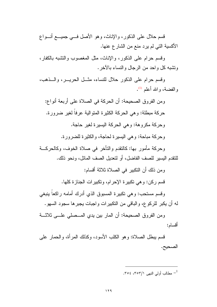قسم حلال على الذكور، والإناث، وهو الأصل فـــي جميــــع أنـــواع الأكسية التي لم يرد منع من الشار ع عنها.

وقسم حرام على الذكور، والإناث، مثل المغصوب والتشبه بالكفار، ونتثبه كل واحد من الرجال والنساء بالآخر.

وقسم حرام على الذكور حلال للنساء، مثَّــل الحريـــر ، والـــذهب، و الفضية، و الله أعلم <sup>(1)</sup>.

ومن الفروق الصحيحة: أن الحركة في الصلاة على أربعة أنواع: حركة مبطلة: و هي الحركة الكثيرة المتوالية عرفاً لغير ضرورة. وحركة مكروهة: وهي الحركة اليسيرة لغير حاجة. وحركة مباحة: وهي اليسيرة لحاجة، والكثيرة للضرورة.

وحركة مأمور بها: كالنقدم والتأخر في صلاة الخوف، وكالحركـــة للنقدم اليسير للصف الفاضل، أو لتعديل الصف المائل، ونحو ذلك.

ومن ذلك أن النكبير في الصلاة ثلاثة أقسام:

قسم ركن: وهي تكبيرة الإحرام، وتكبيرات الجنازة كلها.

وقسم مستحب: وهي تكبيرة المسبوق الذي أدرك أمامه راكعاً ينبغي له أن يكبر للركوع، والباقي من النكبيرات واجبات يجبرها سجود السهو .

ومن الفروق الصحيحة: أن المار بين يدي المــصلى علـــي ثلاثـــة أقسام:

قسم بيطل الصـلاة: و هو الكلب الأسود، وكذلك المر أة، والحمار على الصحيح.

مطالب أولى النهى ٣٥٣/١، ٣٥٤.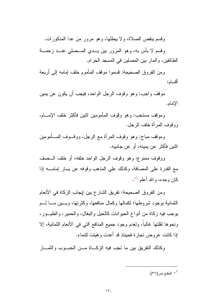وقسم ينقص الصلاة، ولا يبطلها، وهو مرور من عدا المذكورات.

وقسم لا بأس به، وهو المرور بين يـــدي المـــصلي عنـــد زحمـــة الطائفين، والمار بين المصلين في المسجد الحرام.

ومن الفروق الصحيحة: فسموا موقف المأموم خلف إمامه إلى أربعة أقسام:

موقف واجب: وهو وقوف الرجل الواحد، فيجب أن يكون عن يمين الإمام.

وموقف مستحب: وهو وقوف المأمومين اثنين فأكثر خلف الإمسام، ووقوف المر أة خلف الرجل.

وموقف مباح: وهو وقوف المرأة مع الرجل، ووقـــوف المــــأمومين اثنين فأكثر عن يمينه، أو عن جانبيه.

ووقوف ممنوع: وهو وقوف الرجل الواحد خلفه، أو خلف السصف مع القدر ة على المصافة، وكذلك على المذهب وقوفه عن بسار إمامـــه إذا كان وحده، والله أعلم (إ).

ومن الفروق الصحيحة: تفريق الشارع بين إيجاب الزكاة في الأنعام الثمانية بوجود شروطها؛ لكمالها وكمال منافعها، وكثرتها، وبسين مسا لسم بوجب فيه زكاة من أنواع الحيوانات كالخيل والبغال، والحمير ، والطيب ور، ونحوها لقلتها غالباً، ولعدم وجود جميع المنافع التبي في الأنعام الثمانية، إلا إذا كانت عر و ض تجار ة فحينئذ قد أعدت و هيئت للنماء.

وكذلك النفريق بين ما نجب فيه الزكـــاة مـــن الحبـــوب والنمـــار

- المقنع ص $(\mathsf{r} \mathsf{v})$ .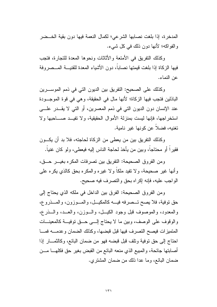المدخرة، إذا بلغت نصابها الشرعي؛ لكمال النعمة فيها دون بقية الخــضر والفواكه؛ لأنها دون ذلك في كل شيء.

وكذلك النفريق في الأمتعة والأثاثات ونحوها المعدة للنجارة، فتجب فيها الزكاة إذا بلغت قيمتها نصاباً، دون الأشياء المعدة للقنيسة المسصر وفة عن النماء.

وكذلك على الصحيح: النفريق بين الديون التي في ذمم الموســـرين الباذلين فتجب فيها الزكاة؛ لأنها مال في الحقيقة، وهي في قوة الموجـودة عند الإنسان دون الديون التي في ذمم المعسرين، أو التي لا يقـــدر علـــي استخراجها، فإنها ليست بمنزلة الأموال الحقيقية، ولا تفيــد صـــاحبها ولا نغنيه، فضلاً عن كونها غير نامية.

وكذلك النفريق بين من يعطي من الزكاة لحاجته، فلا بد أن يكــون فقيرٍ أ أو محتاجاً، وبين من يأخذ لحاجة الناس إليه فيعطي، ولو كان غنياً.

ومن الفروق الصحيحة: النفريق بين نصرفات المكره بغيــر حـــق، وأنها غير صحيحة، ولا تفيد ملكاً ولا غيره والمكره بحق كالذي يكره على الواجب عليه، فإنه إكراه بحق والنصرف فيه صحيح.

ومن الفروق الصحيحة: الفرق بين الداخل في ملكه الذي يحتاج إلى حق نوفية، فلا يصح تــصرفه فيـــه كالمكيـــل، والمـــوزون، والمـــذروع، والمعدود، والموصوف قبل وجود الكيــل، والـــوزن، والعـــد، والـــذرع، والوقوف على الوصف، وبين ما لا يحتاج إلــي حــق نوفيـــة كالمعينـــات المتميزات فيصح التصرف فيها قبل قبضها، وكذلك الضمان وعدمـه فمـا احتاج إلى حق توفية وتلف قبل قبضه فهو من ضمان البائع، وكالنْمــار إذا أصـابـتها جـائـحـة، والمـبيـع الذي منـعه البـائـع من القبض بـغير حق فكلـهـــــا مــــن ضمان البائع، وما عدا ذلك من ضمان المشترى.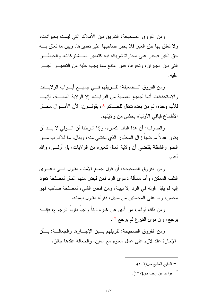ومن الفروق الصحيحة: النفريق بين الأملاك التي ليست بحيوانات، و لا تعلق بها حق الغير ِ فلا يجبر ِ صـاحبها على تعمير ها، وبين ما تعلق بــــه حق الغير فيجبر على مجار اة شريكه فيه كتعمير المسشتر كات، والحيطـــان التي بين الجير إن، ونحو ها، فمن امتتع مما يجب عليه من التعميـــر ِ أُجبـــر ِ علبه.

ومن الفروق الــضعيفة: تفــريقهم فـــي جميـــع أبـــواب الولايـــات والاستحقاقات أنها لجميع العصبة من القرابات، إلا الولاية الماليـــة، فإنهـــا للأب وحده، ثم من بعده نتنقل للحـــاكم <sup>(1)</sup>، يقولــــون: لأن الأمــــوال محــــل الأطماع فباقي الأولياء يخشى من ولايتهم.

و الصبو اب: أن هذا الباب كغير ه، و إذا شرطنا أن السولمي لا بــد أن يكون عدلا مر ضيا ز ال المحذور الذي يخشى منه، ويقال: ما للأقار ب مـــز، الحنو والشفقة يقتضي أن ولاية المال كغيره من الولايات، بل أولــــى، والله أعلم.

ومن الفروق الصحيحة: أن قول جميع الأمناء مقبول فسي دعـــوى النِّلف الممكن، و أما مسألة دعو ى الرد فمن قبض منهم المال لمصلحة تعود إليه لم يقبل قوله في الرد إلا ببينة، ومن قبض الشيء لمصلحة صاحبه فهو محسن، وما على المحسنين من سبيل، فقوله مقبول ببمبنه.

ومن ذلك قولهم: من أدى عن غيره دينا واجبا ناويا الرجوع، فإنــــه يرجع، وإن نوى النبر ع لم يرجع <sup>(2)</sup>.

ومن الفروق الصحيحة: تفريقهم بـــين الإجـــارة، والجعالـــة: بـــأن الإجارة عقد لازم على عمل معلوم مع معين، والجعالة عقدها جائز،

> - النتقيح المشبع ص $(\mathbf{\mathsf{r}}\cdot\mathbf{\mathsf{r}})$  -  $^{-1}$ قواعد ابن رجب ص $^{-2}$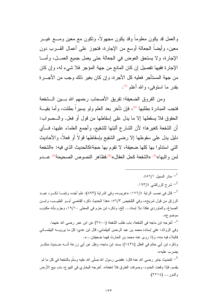والعمل قد يكون معلوماً وقد يكون مجهولاً، ونكون مع معين ومــــع غيــــر معين، وأيضا الجعالة أوسع من الإجارة، فتجوز على أعمال القـــرب دون الإجارة، ولا يستحق العوض في الجعالة حتى يعمل جميع العمـــل، وأمـــا الإجارة ففيها نفصيل إن كان المانع من جهة المؤجر فلا شيء له، وإن كان من جهة المستأجر فعليه كل الأجر ة، و إن كان بغير ذلك و جب من الأجـــر ة بقدر ما استوفى، والله أعلم <sup>(1)</sup>.

ومن الفروق الضعيفة: تفريق الأصحاب رحمهم الله بــــين الـــشفعة فتجب المبادرة بطلبها <sup>(2)</sup>، فإن تأخر بعد العلم ولو يسيراً بطلت، وأما بقيـــة الحقوق فلا يسقطها إلا ما يدل على إسقاطها من قول أو فعل. والــصواب: أن الشفعة كغيرها؛ لأن الشارع أثبتها للشفيع، وأجمع العلماء عليها، فــأي دليل يدل على سقوطها إلا رضي الشفيع بإسقاطها قولاً أو فعلاً، والأحاديث التي استدلوا بها كلها ضعيفة، لا تقوم بها حجة؛كالحديث الذي فيه: «الشفعة لمن و اثبها»<sup>(3)</sup> «الشفعة كحل العقال»<sup>(4)</sup>.فظاهر النصوص الصحيحة<sup>(5)</sup> عـــدم

منار السبيل ٦/١٥١١.

شرح الزركشي ١٩٣/٤.  $^{-2}$ 

قال في نصب الراية ١٧٦/٤: «غريب»، وفي الدراية (٨٩٣): «لم أجده، وإنمـــا ذكـــره عبـــد – الرزاق من قول شريح»، وفي التلخيص ٥٦/٣: «هذا الحديث ذكره القاضي أبـــو الطيـــب، وابـــن الصباغ، والماوردي هكذا بلا إسناد… إلخ، وذكره ابن حزم في المحلي ١٩/١٠، وجزم بأنه مكذوب موضوع».

<sup>4</sup>– أخرجه ابن ماجه في الشفعة، باب طلب الشفعة (٢٥٠٠) عن ابن عمر رضي الله عنهما. وفي الزوائد: «في إسناده محمد بن عبد الرحمن البيلماني، قال ابن عدي: كل ما يرويــــه البيلمــــاني فالبلاء فيه منه، وإذا روى عنه محمد بن الحارث فهما ضعيفان...». وذكره ابن أبي حاتم في العلل (١٤٣٤): بسند ابن ماجه، ونقل عن أبي زرعة أنــــه حـــديث منكـــر بضر ب عليه».

كحديث جابر رضـي الله عنـه قال: «قضـي رسول الله صلَّى الله عليه وسلَّم بالشفعة في كل ما لم  $^{-5}$ يقسم، فإذا وقعت الحدود، وصرفت الطرق فلا شفعة». أخرجه البخاري في البيو ع، باب بيع الأرض والدور ... (١٢٢٤).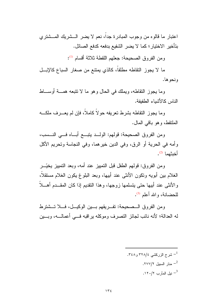اعتبار ما قالوه من وجوب المبادرة جدًا، نعم لا يضر الـــشريك المـــشتري بتأخير الاختيار ؛ كما لا يضر الشفيع بدفعه كدفع الصائل.

ومن الفروق الصحيحة: جعلهم اللقطة ثلاثة أقسام <sup>(1)</sup>:

ما لا يجوز التقاطه مطلقاً، كالذي يمتنع من صغار السباع كالإبــل ونحو ها.

وما يجوز النقاطه، ويملك في الحال وهو ما لا نتبعه همـــة أوســـاط الناس كالأشباء الطفيفة.

وما يجوز النقاطه بشرط نعريفه حولاً كاملاً، فإن لم يعــــرف ملكــــه الملتقط، وهو باقي المال.

ومن الفروق الصحيحة: قولهم: الولــد يتبـــع أبـــاه فـــى النـــسب، وأمه في الحرية أو الرق، وفي الدين خيرهما، وفي النجاسة وتحريم الأكل أخدشهما <sup>(2)</sup>.

و من الفر و ق: قو لهم الطفل قبل التمييز عند أمه، و بعد التمييز يخيّـــر الغلام ببن أبويه ونكون الأنثى عند أبيها، وبعد البلوغ يكون الغلام مستقلاً، والأنثى عند أبيها حتى يتسلمها زوجها، وهذا النقديم إذا كان المقــدم أهـــلا للحضانة، والله أعلم <sup>(3)</sup>.

ومن الفروق الــصحيحة: تفــريقهم بـــين الوكيـــل، فـــلا تـــشترط له العدالة؛ لأنه نائب لجائز التصرف وموكله براقبه فـــى أعمالـــه، وبـــين

> شرح الزركشبي ٣٢٨/٤ و ٣٤٨. منار السبيل ٢٧٧/٢. نيل المآرب ١٢٠/٢.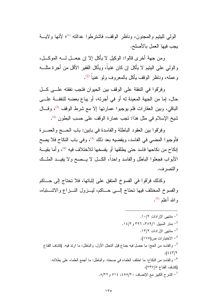الولبي لليتيم والمجنون، وناظر الوقف، فاشترطوا عدالته <sup>(1)</sup>؛ لأنها ولايـــة يجب فيها العمل بالأصلح.

ومن جهة أخرى فالوا: الوكيل لا يأكل إلا إن جعـــل لــــه الموكـــل، والولِّي على البِتيم لا يأكل إن كان غنياً، ويأكل الفقير الأقل من أجرة مثلـــه و عمله، وناظر الوقف بأكل بالمعروف ولو غنياً <sup>(2)</sup>.

و فريّقو ا في النفقة على الوقف بين الحيوان فتجب نفقته علـــي كـــل حال، إما من الجهة المعينة له أو في أجرته، أو يباع بعضه للنفقــة علـــي الباقي، وبين العقارات فلم يوجبوا عمارتها إلا مع شرط الوقف <sup>(3)</sup>، وقــال شيخ الإسلام في مثل هذا: تجب عمارة الوقف على حسب البطون <sup>(4)</sup>.

وفرَّقوا بين العقود الباطلة والفاسدة في بابين: باب الحـــج والعمــــرة فأوجبوا المضيي في الفاسد، ويقضيه بعد ذلك (5)، وفي باب النكاح فلا يصح إنكاح من نكاحها فاسد حتى يطلقها أو يفسخها للاختلاف فيه <sup>6)</sup>، و أما بقيسة الأبواب فجعلوا الباطل والفاسد واحداً، الكـــل لا يـــصـح ولا يفيـــد الملـــك و التصر ف.

وكذلك فرَّقوا في الفسوخ المنفق على إثباتها، فلا نحناج إلى حـــاكم والفسوخ المختلف فيها نحتاج إلسي حساكم، ليسزول النسزاع والاشستباه، والله أعلم (7).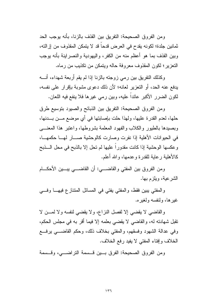و من الفر و ق الصـحيحـة: النفر بق بين القذف بـالز نـا، بـأنـه بو جب الـحد ثمانين جلدة؛ لكونه يقدح في العرض قدحا قد لا يتمكن المقذوف من إزالته، وبين القذف بما هو أعظم منه من الكفر ، واليهودية والنصر اينة بأنه بوجب النعز بر ؛ لكون المقذوف معر وفة حاله وبتمكن من نكذبب من ر ماه.

وكذلك النفريق بين رمي زوجته بالزنا إذا لم يقم أربعة شهداء، أنسه يدفع عنه الحد، أو النعزير لعانه؛ لأن ذلك دعوى مشوبة بإقرار على نفسه، لكون الضرر الأكبر عائدًا عليه، وبين رمي غيرها فلا ينفع فيه اللعان.

ومن الفروق الصحيحة: النفريق بين الذبائح والصبود بنوسيع طرق حلها، لعدم القدرة عليها، ولهذا حلت بإصابتها في أي موضع مـــن بـــدنها، وبصيدها بالطيور والكلاب والفهود المعلمة بشروطها، واعتبر هذا المعنسي في الحيوانات الأهلية إذا نفرت وصارت كالوحشية صـــار لهــا حكمهــا، وعكسها الوحشية إذا كانت مقدوراً عليها لم نحل إلا بالذبح في محل الـــذبح كالأهلية ر عاية للقدر ة و عدمها، و الله أعلم.

ومن الفروق بين المفتى والقاضـــي: أن القاضــــي بيــــين الأحكــــام الشرعية، ويلزم بها.

والمفتى بيبن فقط، والمفتى يفتى في المسائل المنتازع فيهــا وفـــي غبر ها، ولنفسه ولغبر ه.

والقاضبي لا يقضبي إلا لفصل النزاع، ولا يقضبي لنفسه ولا لمسن لا نقبل شهادته له، والقاضبي لا يقضبي بعلمه إلا فيما أقر به في مجلس الحكم، وفي عدالة الشهود وفسقهم، والمفتي بخلاف ذلك، وحكم القاضــــي يرفـــع الخلاف وإفتاء المفتى لا يفيد رفع الخلاف.

ومن الفروق الصحيحة: الفرق بسين قسسة التراضيبي، وقسسة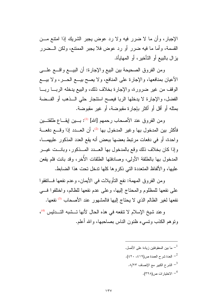الإجبار، وأن ما لا ضرر فيه ولا رد عوض يجبر الشريك إذا امتنع مـــن القسمة، وأما ما فيه ضرر أو رد عوض فلا يجبر الممنتع، ولكن الـــضرر يز ال بالبيع أو التأخير ، أو المهايأة.

ومن الفروق الصحيحة بين البيع والإجارة: أن البيـــع واقــــع علــــي الأعيان بمنافعها، والإجارة على المنافع، ولا يصح بيـــع الـحـــر، ولا بيـــع الوقف من غير ضرورة، والإجارة بخلاف ذلك، والبيع بدخله الربسا ربسا الفضل، والإجارة لا يدخلها الربا فيصح استئجار حلى الــذهب أو الفــضة بمثله أو أقل أو أكثر بإجارة مقبوضة، أو غير مقبوضة.

ومن الفروق عند الأصحاب رحمهم [الله] <sup>(1)</sup>: بـــين إيقــــاع طلقتـــين فأكثر بين المدخول بها وغير المدخول بها <sup>(2)</sup>، أن العـــدد إذا وقـــع دفعـــة واحدة، أو في دفعات مرتبط بعضها ببعض أنه يقع العدد المذكور عليهمــا، و إذا كان بخلاف ذلك وقع بالمدخول بها العبيدد المسذكور ، وبانست غيسر المدخول بها بالطلقة الأولى، وصادفتها الطلقات الأخر، وقد بانت فلم يقعن عليها، والألفاظ المتعددة النبي ذكروها كلها ندخل نحت هذا الضابط.

ومن الفروق المهمة: نفع النأويلات في الأيمان، وعدم نفعها فساتفقوا على نفعها للمظلوم والمحتاج إليها، وعلى عدم نفعها للظالم، واختلفوا فسي نفعها لغير الظالم الذي لا يحتاج إليها فالمشهور عند الأصحاب <sup>(3</sup> نفعها.

وعند شيخ الإسلام لا نتفعه في هذه الحال لأنها تسشبه التــدليس (4)، ونوهم الكذب ونسيء ظنون الناس بصاحبها، والله أعلم.

> ما بين المعقو فتين زيادة على الأصل.  $^{-1}$ - العدة شرح العمدة ص $(\mathfrak{z} \mathfrak{z}) \mathfrak{z}$  .  $(\mathfrak{z} \mathfrak{z} \mathfrak{z})$ .^\/۲۳ الشرح الكبير مع الإنصاف  $^{-3}$ <sup>4</sup>– الاختيار ات ص(٣٢٨).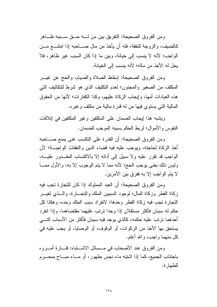ومن الفروق الصحيحة: النفريق بين من لــــه حـــق ســـببه ظــــاهر كالضبف، والزوجة للنفقة، فله أن يأخذ من مال صــــاحبه إذا امتنــــع مــــن الواجب؛ لأنه لا ينسب إلى خيانة، وبين ما إذا كان السبب غير ظاهر، فلا بجل له الأخذ من ماله؛ لأنه بنسب الى الخيانة.

ومن الفروق الصحيحة: إسقاط الصلاة والصيام، والحج عن غيـــر المكلف من الصغير والمجنون؛ لعدم النكليف الذي هو شرط للنكاليف النبي هذه العبادات أمها، وإيجاب الزكاة عليهم، وكذا الكفارات؛ لأنها من الحقوق المالية التي يستوى فيها من له قدر ة مالية من مكلف و غير ه.

ويشبه هذا إيجاب الضمان على المكلفين وغير المكلفين في إتلافات النفوس والأموال؛ لربط الحكم بسببه الموجب للضمان.

ومن الفروق الصحيحة: أن القدرة على النكسب غني يمنع صــــاحبه أخذ الزكاة لحاجته، ويوجب عليه فيه قضاء الدين والنفقات الواجبــة؛ لأن الواجب قد نقرر عليه ولا سبيل إلى أدائه إلا بالاكتساب المقــدور عليـــه، وليس ذلك بغني يوجب الحج؛ لأنه مما لا يتم الوجوب إلا به، والأول ممـــا لا يتم الواجب إلا به ففرق بين الأمرين.

و من الفر و ق الصحيحة: أن العبد المملوك إذا كان للتجار ة تجب فيه زكاة الفطر وزكاة المال؛ لوجود السببين الملك والنجسارة، والسذى لغيسر النجار ة تجب فبه زكاة الفطر وحدها؛ لانفر اد سبب الملك وحده، وهكذا كل حكم له سببان فأكثر مستقلان إذا وجدا نرنب عليهما مقتضاهما، وإذا انفرد أحدهما نرنب عليه حكمه، كالذي يوجد فيه سببان فأكثر من الأسباب التـــي يستحق بها الأخذ من الزكوات، أو الوقوف، أو الوصايا، أو يجب عليه في كل منهما واجب، والله أعلم.

ومن الفروق عند الأصحاب في مـــسائل الاشــــتباه: فتــــارة أمــــروه باجتناب الجميع، كما إذا اشتبه ماء نجس بطهور، أو مـــاء مبـــاح بمحــــرم للطهار ة.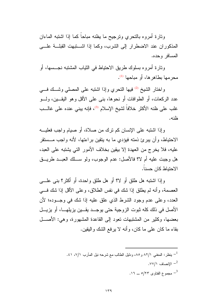ونارة أمروه بالنحري ونرجيح ما يظنه مباحاً كما إذا اشتبه الماءان المذكوران عند الاضطرار إلى الشرب، وكما إذا اشـــتبهت القبلـــة علــــي المسافر وحده.

وتارة أمروه بسلوك طريق الاحتياط في الثياب المشتبه نجـــسها، أو مجر مها يطاهر ها، أو مباحها (1).

و اختار الشيخ <sup>(2)</sup> فيها النحري وإذا اشتبه على المصلي وشك في عدد الركعات، أو الطوافات أو نحوها، بنبي علي الأقل وهو اليقـــين، ولــــو غلب على ظنه الأكثر خلافاً لشيخ الإسلام <sup>(3)</sup>، فإنه يبني عنده على غالـــب فلذه

و إذا اشتبه على الإنسان كم ترك من صلاة، أو صبام و اجب فعليـــه الاحتياط، وأن يبرئ ذمته فيؤدي ما به يتقين براءتها، لأنه واجب مـــستقر عليه، فلا يخرج من العهدة إلا بيقين بخلاف الأمور التي يشتبه على العبد، هل وجبت عليه أم لا؟ فالأصل: عدم الوجوب، ولو ســـلك العبـــد طريـــق الاحتياط كان حسنا.

وإذا اشتبه هل طلق أو لا؟ أو هل طلق واحدة، أو أكثر؟ بنبي علــــي العصمة، وأنه لم يطلق إذا شك في نفس الطلاق، وعلى الأقل إذا شك في العدد، وعلى عدم وجود الشرط الذي علق عليه إذا شك في وجـــوده؛ لأن الأصل في ذلك كله ثبوت الزوجية حتى يوجــد يقـــين يزيلهـــا، أو يزيـــل بعضها، وكثير من المشتبهات نعود إلى القاعدة المشهورة، وهي: الأصـــل بقاء ما كان علمي ما كان، و أنه لا يرفع الشك و اليقين.

> - ينظر: المغنى ٨٢/١ و ٨٥، ودليل الطالب مع شرحه نيل المأرب ٧/١، ٤١. .\vv/\ الإنصاف  $^{-2}$ مجموع الفتاوى ٢٣/٥ ـــ ١٦.  $\sim$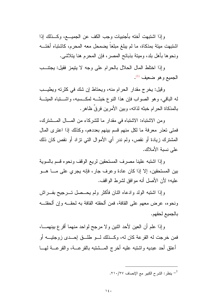وإذا اشتبهت أخته بأجنبيات وجب الكف عن الجميـــع، وكــذلك إذا اشتبهت ميتة بمذكاة، ما لم يبلغ مبلغا يضمحل معه المحرم، كاشتباه أختـــه ونحوها بأهل بلد، ومينة بذبائح المصر ، فإن المحرم هنا يتلاشى.

وإذا اختلط المال الحلال بالحرام على وجه لا يتيمز فقيل: يجتنب الجميع و هو ضعيف <sup>(1)</sup>.

وقيل: يخرج مقدار الحرام منه، ويحتاط إن شك في كثرته ويطيب له الباقي، وهو الصواب فإن هذا النوع خبثــه لمكـــسبه، واشــــتباه الميتـــة بالمذكاة الحرام خبثه لذاته، وبين الأمرين فرقٌ ظاهر .

ومن الاشتباه: الاشتباه في مقدار ما للشركاء من المسال المسشترك، فمتني تعذر معرفة ما لكل منهم قسم بينهم بعددهم، وكذلك إذا اعترى المال المشترك زيادة أو نقص، ولم ندرٍ أي الأموال التي نزاد أو نقص كان ذلك على نسبة الأملاك.

وإذا اشتبه علينا مصرف المستحقين لريع الوقف ونحوه قسم بالسوية بين المستحقين، إلا إذا كان عادة وعرف جار، فإنه يجري على مـــا هـــو عليه؛ لأن الأصل أنه موافق لشرط الواقف.

وإذا اشتبه الولد وادعاه اثنان فأكثر ولم يحــصل تــــرجيح بفــــراش ونحوه، عرض معهم على القافة، فمن ألحقته القافة به لحقــه وإن ألحقتــه بالجميع لحقهم.

وإذا علم أن العين لأحد اثنين ولا مرجح لواحد منهما أقرع بينهمـــا، فمن خرجت له القرعة كان له، وكـــذلك لـــو طلـــق لِحـــدي زوجتيـــه أو أعتق أحد عبديه واشتبه عليه أخرج المسشتبه بالقرعــة، والقرعـــة لهـــا

ينظر : الشرح الكبير مع الإنصاف ٢١٠/٢٧.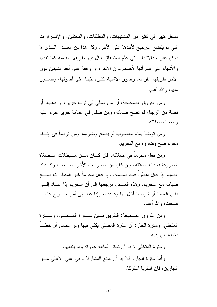مدخل كبير في كثير من المشتبهات، والمطلقات، والمعتقين، والإقـــرارات التي لم يتضح الترجيح لأحدها على الآخر، وكل هذا من العــدل الــذي لا يمكن غير ِه، فالأشياء التي علم استحقاق الكل فيها طريقها القسمة كما تقدم، والأشياء النبي علم أنها لأحدهم دون الآخر، أو واقعة على أحد الشيئين دون الأخر طريقها القرعة، وصور الاشتباه كثيرة نبّهنا على أصولها، وصـــور منها، والله أعلم.

ومن الفروق الصحيحة: أن من صلى في ثوب حرير ، أو ذهب، أو فضة من الرجال لم تصح صلاته، ومن صلى في عمامة حرير حرم عليه وصحت صلاته.

ومن توضأ بماء مغصوب لم يصح وضوءه، ومن نوضأ في إنساء محرم صح وضوؤه مع التحريم.

ومن فعل محرماً في صلاته، فإن كـــان مـــن مــبطلات الــصلاة المعروفة فسدت صلاته، وإن كان من المحرمات الأخر صـــحت، وكـــذلك الصيام إذا فعل مفطراً فسد صيامه، وإذا فعل محرماً غير المفطرات صـــح صيامه مع التحريم، وهذه المسائل مرجعها إلى أن التحريم إذا عـــاد إلــــي نفس العبادة أو شرطها أخل بها وفسدت، وإذا عاد إلى أمر خــــار ج عنهــــا صحت، و الله أعلم.

ومن الفروق الصحيحة: النفريق بسين سسترة المسصلي، وسسترة المتخلَّبي، وسنر ة الجار : أن سنر ة المصلِّبي يكفي فيها ولو عصبي أو خطـــا يخطه بين يديه.

وسترة المتخلَّى لا بد أن تستر أسافله عورته وما بتبعها.

وأما سنزة الجار، فلا بد أن نمنع المشارفة وهي على الأعلى مـــن الجارين، فإن استويا اشتركا.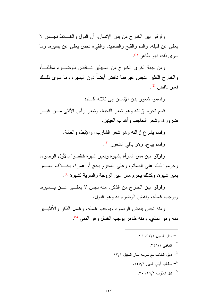وفرقوا بين الخارج من بدن الإنسان: أن البول والغــائط نجــس لا يعفي عن قليله، والدم والقيح والصديد، والقيء نـجس يعفي عن يسيره، وما  $^{(1)}$  سوي ذلك فهو طاهر

ومن جهة أخرى الخارج من السببلين نساقض للوضب ء مطلقـــاً، والخارج الكثير النجس غيرهما ناقض أيضاً دون اليسير، وما سوى ذلــك فغير ناقض <sup>(2)</sup>.

وفسموا شعور بدن الإنسان إلىي ثلاثة أقسام:

قسم تحرم إزالته وهو شعر اللحية، وشعر رأس الأنثى مـــن غيـــر ضرورة، وشعر الحاجب وأهداب العينين.

> وقسم بشرع إزالته وهو شعر الشارب، والإبط، والعانة. وقسم بباح، وهو باقي الشعور <sup>(3)</sup>.

وفرّقوا ببين مس المرأة بشهوة وبغير شهوة فنقضوا بالأول الوضوء، وحرموا ذلك على الصائم، وعلى المحرم بحج أو عمرة، بخـــلاف المـــس بغير شهوة، وكذلك يحرم مس غير الزوجة والسرية لشهوة <sup>(4)</sup>.

وفرقوا بين الخارج من الذكر ، منه نجس لا يعفه عـــن يـــسير ه، ويوجب غسله، ونقض الوضوء به وهو البول.

ومنه نجس ينقض الوضوء ويوجب غسله، وغسل الذكر والأنثيــين منه وهو المذي، ومنه طاهر يوجب الغسل وهو المني (5).

- مذار السبیل ۳۲۰، ۲۳۷).  

$$
- \underbrace{\hspace{1cm}}^2
$$
  

$$
- \underbrace{\hspace{1cm}}^2
$$
  

$$
-\underbrace{\hspace{1cm}}^2
$$
  

$$
-\underbrace{\hspace{1cm}}^2
$$
  

$$
-\underbrace{\hspace{1cm}}^3
$$
  

$$
-\underbrace{\hspace{1cm}}^3
$$
  

$$
-\underbrace{\hspace{1cm}}^4
$$
  

$$
-\underbrace{\hspace{1cm}}^4
$$
  

$$
-\underbrace{\hspace{1cm}}^5
$$
  

$$
-\underbrace{\hspace{1cm}}^5
$$
  

$$
-\underbrace{\hspace{1cm}}^5
$$
  

$$
-\underbrace{\hspace{1cm}}^5
$$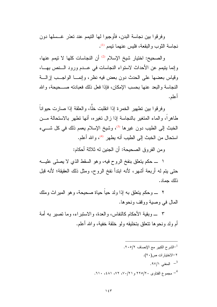وفرقوا بين نجاسة البدن، فأوجبوا لها النيمم عند تعذر غــسلها دون نجاسة الثوب والبقعة، فليس عنهما نيمم <sup>(1)</sup>.

والصحيح: اختيار شيخ الإسلام <sup>(2)</sup> أن النجاسات كلها لا نيمم عنها، وإنما بِتِيمِم عن الأحداث لاستواء النجاسات في عــدم ورود الــنص بهــا، وقياس بعضها على الحدث دون بعض فيه نظر ، وإنمـــا الواجـــب إز الــــة النجاسة والبعد عنها بحسب الإمكان، فإذا فعل ذلك فعبادته صـــحيحة، والله أعلم.

وفرقوا بين تطهير الخمرة إذا انقلبت خلًّا، والعلقة إذا صارت حيواناً طاهراً، والماء المتغير بالنجاسة إذا زال نغيره، أنها نطهر بالاستحالة مـــن الخبث إلى الطيب دون غيرها <sup>(3</sup>)، وشيخ الإسلام يعمم ذلك في كل شـــيء استحال من الخبث إلى الطيب أنه يطهر <sup>(4)</sup>، و الله أعلم.

ومن الفروق الصحيحة: أن الجنين له ثلاثة أحكام:

١ \_ حكم يتعلق بنفخ الروح فيه، وهو السقط الذي لا يصلبي عليـــه حتى بتم له أربعة أشهر، لأنه ابندأ نفخ الروح، ومثل ذلك العقيقة؛ لأنه قبل ذلك جماد.

٢ \_ وحكم يتعلق به إذا ولد حياً حياة صحيحة، وهو الميراث وملك المال في وصبة ووقف ونحوها.

٣ ـــــوبقية الأحكام كالنفاس، والعدة، والاستبراء، وما نصير به أمة أم ولد ونحوها نتعلق بتخليقه ولو خلقة خفية، والله أعلم.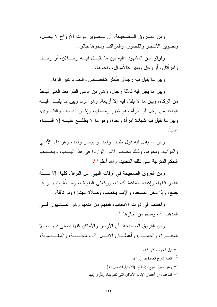ومن الفروق المصحيحة: أن تـصوير ذوات الأرواح لا يحــل، وتصوير الأشجار والقصور ، والمراكب ونحوها جائز .

وفرقوا بين المشهود عليه بين ما يقبـــل فيــــه رجــــلان، أو رجـــل و امر أتان، أو رجل ويمين كـالأمو ال، ونحو ها.

وبين ما يقبل فيه رجلان فأكثر كالقصاص والحدود غير الزنا.

وبين ما يقبل فيه ثلاثة رجال، وهي من ادعى الفقر بعد الغني ليأخذ من الزكاة، وبين ما لا يقبل فيه إلا أربعة، وهو الزنا وبين ما يقبــل فيـــه الواحد من رجل أو امرأة وهو شهر رمضان، وإخبار الديانات والفتـــاوى، وبين ما نقبل فيه شهادة امرأة واحدة، وهو ما لا يطَّلـــع عليـــه إلا النـــساء غاليا.

وبين ما يقبل فيه قول طبيب واحد أو بيطار واحد، وهو داء الآدمى و الدو اب، ونحو ها. وذلك بحسب الآثار الواردة في هذا البساب، وبحسب الحكم المتر تبة على ذلك التحديد، و الله أعلم <sup>(1)</sup>.

ومن الفروق الصحيحة في أوقات النهي عن النوافل كلها: إلا ســـنَّة الفجر قبلها، وإعادة جماعة أقيمت، وركعتبي الطواف، وســـنَّة الظهـــر إذا جمع، وإذا دخل المسجد، والإمام يخطب، وصلاة الجنازة ولو نافلة.

واختلف في ذوات الأسباب، فمنهم من منعها وهو المسشهور فسي المذهب <sup>(2)</sup>، ومنهم من أجازها <sup>(3)</sup>.

ومن الفروق الصحيحة: أن الأرض والأماكن كلها يصلي فيهـــا، إلا المقبــــرة، والحمـــــام، وأعطــــان الإبــــل <sup>(4)</sup>، والنجــــسة، والمغــــصوبة،

> نيل المآرب ١٩١/٢. العدة شرح العمدة ص $^{-2}$ وهو اختيار شيخ الإسلام. (الاختيارات ص٦٦).  $^{-3}$ <sup>4</sup>– المذهب: أن أعطان الإبل: الأماكن التي تقيم بها، وتأوى إليها.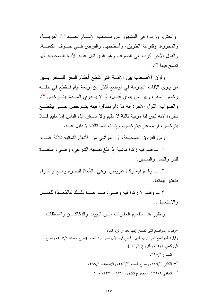والحش، وزادوا في المشهور من مــذهب الإمــام أحمــد (1): المزبلــة، والمجزرة، وقارعة الطريق، وأسطحتها، والفرض فـــي جـــوف الكعبـــة. والقول الأخر أقرب إلى الصواب وهو الذي ندل عليه الأدلة الصحيحة أنها نصح فيها <sup>(2)</sup>.

وفرّق الأصحاب بين الإقامة التي تقطع أحكام السفر للمسافر بسين من ينوي الإقامة الجازمة في موضع أكثر من أربعة أيام فتتقطع في حقــه رخص السفر، وبين من ينوي أقـــل، أو لا يـــدري المـــدة فيتـــرخص <sup>(3)</sup>. والصواب: القول الأخر: أنه ما دام مسافراً فإنه بتــــرخص حتــــى بنقطــــع سفره؛ لأنه ليس لنا مرتبة ثالثة لا مقيم ولا مسافر، بل الناس إما مقيم فـــلا يترخص، أو مسافر فيترخص، وإثبات قسم ثالث لا دليل عليه.

ومن الفروق الصحيحة: أن المواشي من الأنعام الثمانية ثلاثة أقسام:

١ \_ قسم فيه زكاة ماشية إذا بلغ نصابه الشرعي، وهـــي: المُعَــدَّة للدر والنسل والتسمين.

٢ ـــــ وفسم فيه زكاة عروض، وهي: المُعدَّة للنجارة والبيع والشراء فتعتبر قيمتها.

٣ \_ وقسم لا زكاة فيه وهـ ي: مــا عــدا ذلــك كالمُعــدّة للعمــل و الاستعمال.

ونظير هذا النقسيم العقارات مـــن البيوت والدكاكـــين والمسقفات

=وقيل: المواضع التي تصدر إليها بعد أن نرد الماء. وفيل: المواضع التي قرب النهر، فتناخ فيه الإبل حتى نرد الماء. (شرح العمدة ٤٦٥/٢، وشرح الزركشي ٢٤/٢، والفروع ٣٧١/١). . المبدء ١/٥٥. <sup>2</sup>– الكافى ١٣٩/١، وشرح العمدة ٤٤٣/٢، والإنصاف ٤٨٩/١. . المعنى ١٣٢/٢، ومجموع الفتاوى ١٨/٢٤، ١٣٧، ١٤٠.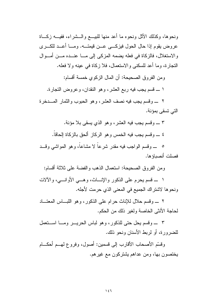ونحوها، وكذلك الأثل ونحوه ما أعد منها للبيـــع والـــشراء، ففيـــه زكـــاة عروض يقوم إذا حال الحول فيزكـــي عـــن قيمتــــه. ومــــا أعـــد للكــــري والاستغلال، فالزكاة في فعله يضمه المزكي إلى مـــا عنـــده مـــن أمـــوال النجارة، وما أعد للسكني والاستعمال، فلا زكاة في عينه ولا فعله.

ومن الفروق الصحيحة: أن المال الزكوى خمسة أقسام:

١ ــــ قسم يجب فيه ربع العشر ، و هو النقدان، و عر و ض النجار ة.

٢ \_ وقسم يجب فيه نصف العشر ، و هو الحبوب و الثمار المسدخر ة التي تسقى بمؤنة.

٣ \_ وقسم يجب فيه العشر، وهو الذي يسقى بلا مؤنة.

٤ \_\_ و قسم بجب فيه الخمس و هو الركاز ألحق بالزكاة الحاقاً.

0 ـ وقسم الواجب فيه مقدر شرعا لا مشاعا، وهو المواشي وقــد فصلت أنصباؤها.

ومن الفروق الصحيحة: استعمال الذهب والفضة على ثلاثة أقسام:

١ \_ قسم يحرم على الذكور والإنساث، وهـــي الأوانــــي، والآلات ونحوها لاشتراك الجميع في المعنى الذي حرمت لأجله.

٢ ـــ وقسم حلال للإناث حرام على الذكور ، وهو اللبساس المعنساد لحاجة الأنثى الخاصة ولغير ذلك من الحكم.

٣ \_ وقسم بحل حتى للذكور ، وهو لباس الحريــر ومــا اســتعمل للضرورة، أو لربط الأسنان ونحو ذلك.

وقسَّم الأصحاب الأقارب إلىي قسمين: أصول، وفروع لمهــم أحكـــام يختصون بها، ومن عداهم يشتركون مع غيرهم.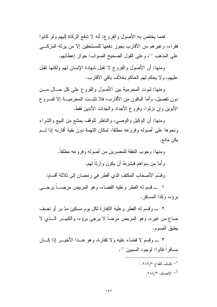فَمَما يَخْتَصْ بِهِ الأَصْولِ والفروع: أنه لا نتفع الزكاة إليهم ولو كانوا فقراء، وغيرهم من الأقارب يجوز دفعها للمستحقين إلا من يرثه المزكـــي على المذهب (1)، وعلى القول الصحيح الصواب: جواز إعطائهم.

ومنها: أن الأصول والفروع لا نقبل شهادة الإنسان لهم ولكنها نقبل عليهم، و لا يحكم لهم الحاكم بخلاف باقي الأقار ب.

ومنها: ثبوت المحرمية بين الأصول والفروع على كل حــال مـــن دون نفصيل، وأما الباقون من الأقارب، فلا نثبت المحرميـــة إلا لفـــروع الأبوين وإن نزلوا، وفروع الأجداد والجدات الأدنين فقط.

ومنها: أن الوكيل والوصبي، والناظر للوقف يمتنع من البيع والشراء ونحوها على أصوله وفروعه مطلقا، لمكان النهمة دون بقية أقاربه إذا لـــم يكن مانع.

> ومنها: وجوب النفقة للمعسر بن من أصوله وفر و عه مطلقاً. و أما من سواهم فبشرط أن يكون وارثاً لهم.

وقسَّم الأصحاب المكلف الذي أفطر في رمضان إلى ثلاثة أقسام:

١ \_ قسم له الفطر وعليه القضاء، وهو المريض مرضــــا يرجــــي برؤه، وكذا المسافر .

٢ \_ وقسم له الفطر وعليه الكفارة لكل يوم مسكين مدّ بر أو نصف صاع من غيره، وهو المريض مرضاً لا يرجى برؤه، والكبيـــر الـــذي لا يطبق الصوم.

٣ \_ وفسم لا فضاء عليه ولا كفارة، وهو هــذا الأخيـــر إذا كـــان مسافر أ قالو ا: لوجود السيبين (2).

> ـ كشاف القناع ٢٨٩/٢. .1847 - الإنصاف  $^{-2}$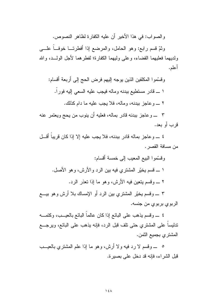والصواب: في هذا الأخير أن عليه الكفارة لظاهر النصوص.

وثمّ قسم رابع: وهو الحامل، والمرضع إذا أفطرتـــا خوفـــاً علــــى ولديهما فعليهما القضاء، وعلى وليهما الكفارة؛ لفطرهما لأجل الولــد، والله أعلم.

وقسَّموا المكلفين الذين يوجه إليهم فرض الحج إلى أربعة أقسام: ١ ـــ قادر مستطيع ببدنه وماله فيجب عليه السعي إليه فوراً. ٢ \_ وعاجز ببدنه، وماله، فلا يجب عليه ما دام كذلك.

٣ \_ وعاجز ببدنه قادر بماله، فعليه أن ينوب من يحج ويعتمر عنه قر ٮ أو بعد.

٤ ــــــو عاجز بماله قادر ببدنه، فلا يجب عليه إلا إذا كان قريباً أقـــل من مسافة القصر .

٣ ـــــ وقسم يخيَّر المشتري بين الرد أو الإمساك بلا أرش وهو بيــــع الربوي بربوي من جنسه.

٤ \_ وقسم يذهب على البائع إذا كان عالماً البائع بالعيـــب، وكتمــــه ندليساً على المشتري حتى نلف قبل الرد، فإنه يذهب على البائع، ويرجـــع المشتر ي بجميع الثمن.

٥ ــــ وقسم لا رد فيه ولا أرش، وهو ما إذا علم المشتري بالعيـــب قبل الشر اء، فإنه قد دخل على بصبر ة.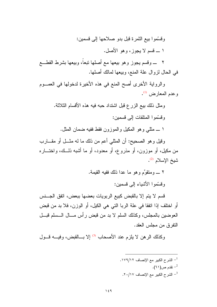## وفسَّموا بيع الثَّمرة قبل بدو صلاحها إلى فسمين: ١ ـــ قسم لا يجوز، وهو الأصل.

٢ ـــ وقسم يجوز وهو بيعها مع أصلها نبعاً، وبيعها بشرط القطـــع في الحال لزوال علة المنع، وبيعها لمالك أصلها.

والرواية الأخرى أصح المنع في هذه الأخيرة لدخولها في العصوم وعدم المعارض (1).

ومثل ذلك بيع الزرع قبل اشتداد حبه فيه هذه الأقسام الثلاثة. وقسَّمو ا المتلفات الى قسمبن: ١ ـــ مثلـي و هو المكبل و الموز و ن فقط ففيه ضمان المثل.

وقيل وهو الصحيح: أن المثلمي أعم من ذلك ما له مثـــل أو مقــــارب من مكيل، أو موزون، أو مذروع، أو معدود، أو ما أشبه ذلـــك، واختــــاره شيخ الإسلام <sup>(2)</sup>.

٢ ـــــ ومنقوِّم وهو ما عدا ذلك ففيه القيمة.

وفسَّموا الأشباء إلى فسمين:

قسم لا يتم إلا بالقبض كبيع الربويات بعضها ببعض، اتفق الجـــنس أو اختلف إذا انفقا في علة الربا التي هي الكيل، أو الوزن، فلا بد من قبض العوضين بالمجلس، وكذلك السلم لا بد من قبض رأس مـــال الـــسلم قبـــل النفر ق من مجلس العقد.

وكذلك الرهن لا يلز م عند الأصحاب (3) إلا بِسالقبض، وفيسه قسول

.1 - الشرح الكبير مع الإنصاف ١٧٩/١٢. تقدم ص $($ ۲۱).  $^{-2}$ - الشرح الكبير مع الإنصاف ٢٠/١٧.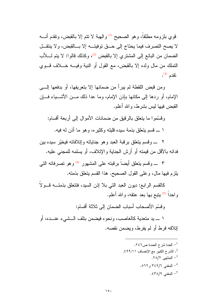قوي بلزومه مطلقاً، وهو الصحيح <sup>(1)</sup> والهبة لا نتم إلا بالقبض، ونقدم أنسه لا يصح التصرف فيما يحتاج إلى حـــق توفيتــــه إلا بــــالقبض، ولا ينتقـــل الضمان من البائع إلى المشترى إلا بالقبض <sup>(2)</sup>، وكذلك قالوا: لا يتم لــــلأب النَّملَكَ من مالٍ ولده إلا بالقبض، مع القول أو النَّبة وفيه خـــلاف قـــوى نقدم <sup>(3)</sup>.

ومن قبض اللقطة لم يبرأ من ضمانها إلا بتعريفها، أو بدفعها إلـــي الإمام، أو ردها إلى مكانها بإذن الإمام، وما عدا ذلك مـــن الأشــــياء فــــإن القبض فيها ليس بشرط، والله أعلم.

و قسَّمو ا ما بِتعلَّق بِالرِّ قَبِق مِن ضماناتِ الأُمو الِ إلى أربعة أقسام:

١ ــــ قسم بنعلق بذمة سيده قليله وكثيره، وهو ما أذن له فيه.

٢ ــــــ و قسم يتعلق بر قبة العبد و هو جناياته و إتلافاته فيخيّر سيده بين فدائه بالأقل من قيمته أو أرش الجناية و الإتلاف، أو يسلمه للمجنى عليه.

٣ ـــــــــوقسم بتعلق أيضــاً برقبته علـي المشهور <sup>(4)</sup> و هو تصرفاته التـي بلزم فيها مال، وعلى القول الصحيح. هذا القسم بتعلق بذمته.

كالقسم الرابع: ديون العبد التي بلا إذن السيد، فتتعلق بذمتـــه قـــولاً واحداً <sup>(5)</sup> بِتبع بـها بـعد عتقه، والله أعلم.

و قسّم الأصحاب أسباب الضمان إلى ثلاثة أقسام:

١ ـــ يد متعدية كالغاصب، ونحوه فيضمن بتلف الـــشيء عنـــده، أو إتلافه فرط أو لم يفرط، ويضمن نقصه.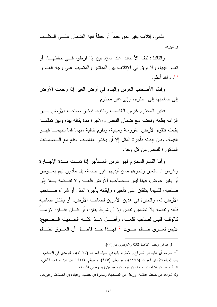الثاني: إنلاف بغير حق عمداً أو خطأ ففيه الضمان علـــي المكلــف و غير ه.

وِ الثالث: تلف الأمانات عند المؤتمنين إذا فرطوا فـــي حفظهـــا، أو تعدوا فيها، ولا فرق في الإتلاف بين المباشر والمتسبب على وجه العدوان و الله أعلم.  $^{(1)}$ 

وقسَّم الأصحاب الغرس والبناء في أرض الغير إذا رجعت الأرض إلى صاحبها إلى محترم، وإلى غير محترم.

فغير المحترم غرس الغاصب وبناؤه، فيخيّر صاحب الأرض بــين إلزامه بقلعه ونقضه مع ضمان النقص والأجرة مدة بقائه بيده وبين تملكــه بقيمته فتقوم الأرض مغروسة ومبنية، ونقوم خالية منهما فما بينهمـــا فهـــو القيمة، وبين إبقائه بأجرة المثل إلا أن يختار الغاصب القلع مع الـــضمانات المذكور ة للنقص من كل وحه.

و أما القسم المحتر م فهو غرس المستأجر إذا تمــت مــدة الإجـــار ة وغرس المستعير ونحوهم ممن أيديهم غير ظالمة، بل مأذون لهم بعـــوض أو بغير عوض، فهنا ليس لـــصاحب الأرض قلعــــه ولا نقـــضه بــــلا إذن صـاحبه، لكنهما يتفقان على تأجيره وإبقائه بأجرة المثل أو شراء صــــاحب الأرض له، والخيرة في هذين الأمرين لصاحب الأرض، أو يختار صاحبه قلعه ونقضه بلا نضمين نقص إلا أن شرط بقاؤه، أو كـــان بقـــاؤه لازمـــاً كالوقف فليس لصاحبه قلعسه، وأصل هدا كلسه الحسديث السصحيح: «ليس لعـــرق ظـــالم حـــق» <sup>(2)</sup> فهـــذا حـــد فاصــــل أن العـــرق لظـــالم

قو اعد ابن ر جب، القاعدة الثالثة والأربعون ص(٥٥).  $^{-1}$ 

أخرجه أبو داود في الخراج والإمارة، باب في إحياء الموات (٣٠٧٣)، والترمذي في الأحكام، " باب إحياء الأرض الموات (١٣٧٨)، وأبو يعلي (٩٧٥)، والبيهقي ١٤٢/٦ عن عبد الوهاب الثقفي، ثنا أيوب، عن هشام بن عروة عن أبيه عن سعيد بن زيد رضـي الله عنه. وله شواهد من حديث عائشة، ورجل من الصحابة، وسمرة بن جندب، وعبادة بن الصامت وغير هم.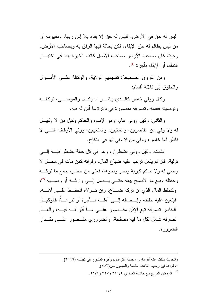ليس له حق في الأرض، فليس له حق إلا بقاء بلا إذن ربها، ومفهومه أن من ليس بظالم له حق الإبقاء، لكن بحالة فيها الر فق به وبصاحب الأرض، و حيث كان صاحب الأر ض صاحب الأصل كانت الخير ة بيده في اختيـــار النملك أو الإبقاء بأجرة (1).

ومن الفروق الصحيحة: تقسيمهم الولاية، والوكالة علـــي الأمـــوال والحقوق إلى ثلاثة أقسام:

وكيل وولى خاص كالبذي يباشي الموكب والموصبي، نوكيليه وتوصيته فعمله وتصرفه مقصورة في دائرة ما أذن له فيه.

والثانبي: وكيل وولَّى عام، وهو الإمام، والحاكم وكيل من لا وكيــل له ولا ولي من القاصرين، والغائبين، والمتغيبين، وولـى الأوقاف التـــى لا ناظر لها خاص، وولي من لا ولي لها في النكاح.

الثالث: وكيل وولى اضطرار، وهو في كل حالة بضطر فيـــه إلــــي تولية، فإن لم يفعل ترتب عليه ضياع المال، وفواته كمن مات في محــل لا وصبي له ولا حاكم كبرية وبحر ونحوها، فعلي من حضره جمع ما تركـــه وحفظه وبيع ما الأصلح بيعه حتسى يــصل إلـــى وارثـــه أو وصـــيه (2)، وكحفظ المال الذي إن نركه ضــــاع، وإن نـــولاه انحفــظ علـــي أهلـــه، فيتعين عليه حفظه وإيـــصـالـه إلــــى أهلــــه بــــأجرة أو ننبرعــــأ؛ فالوكيـــل الخاص تصرفه تبع الإذن مقــصور علـــى مـــا أذن لــــه فيـــه، والعـــام تصرفه شامل لكل ما فيه مصلحة، والضروري مقــصور علـــي مقــدار الضرورة.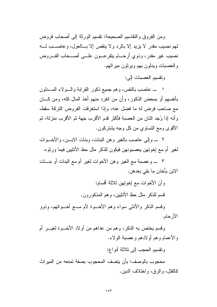ومن الفروق والنقاسيم الصحيحة: تقسيم الورثة إلى أصحاب فروض لمهم نصيب مقدر لا يزيد إلا بالرد ولا ينقص إلا بسالعول، وعاصــب لسـه نصيب غير مقدر، وذوي أرحــــام يتفرعــــون علـــــى أصـــــحاب الفــــروض و العصبات ويدلون بهم وير ثون مير اثهم.

وتقسيم العصيات الى:

١ \_ عاصب بالنفس، وهم جميع ذكور القرابة والـــولاء المــــدلون بأنفسهم أو بمحض الذكور، وأن من انفرد منهم أخذ المال كله، ومن كـــان مع صاحب فرض له ما فضل عنه، وإذا استغرقت الفروض التركة سقط، وأنه إذا وُجد اثنان من العصبة فأكثر قدم الأقرب جهة ثم الأقرب منزلة، ثم الأقوى ومع النساوي من كل وجه بشتركون.

٢ \_ وإلى عاصب بالغير وهن البنات، وبنات الابـــن، والأخـــوات لغير أم مع إخوتهن يعصبونهن فيكون للذكر مثل حظ الأنثيين فيما ورثوه.

٣ \_ وعصبة مع الغير وهن الأخوات لغير أم مع البنات أو بنـــات الابن يأخذن ما بقي بعدهن.

> وأن الأخوات مع إخوتهن ثلاثة أقسام: قسم للذكر مثل حظ الأنثيين، وهم المذكورون.

وقسم الذكر والأنثى سواء وهم الأخــوة لأم مـــع أخــواتهم، وذوو الأر حام.

وقسم يختص به الذكر، وهم من عداهم من أولاد الأخـــوة لغيـــر أم والأعمام وهم أولادهم وعصبة الولاء. ونقسيم الحجب إلى ثلاثة أنو اع:

محجوب بالوصف: بأن بنصف المحجوب بصفة نمنعه من المبر اث كالقتل، و الرقي، و اختلاف الدين.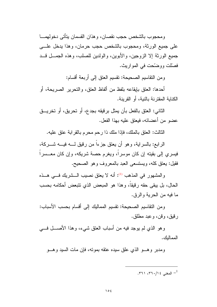و محجو ب بالشخص حجب نقصان، و هذان القسمان بِتأتي دخو لهمـــا على جميع الورثة، ومحجوب بالشخص حجب حرمان، وهذا يدخل علـــي جميع الورثة إلا الزوجين، والأبوين، والولدين للصلب، وهذه الجمـــل قـــد فصلَّت ووضَّحت في المواريث.

ومن النقاسيم الصحيحة: نقسيم العنق إلى أربعة أقسام:

أحدها: العتق بإيقاعه بلفظ من ألفاظ العتق، و التحرير الصريحة، أو الكنابة المقتر نة بالنبة، أو القر بنة.

الثاني: العتق بالفعل بأن يمثل برقيقه بجدع، أو تحريق، أو تخريـــق عضو من أعضائه، فيعتق عليه بهذا الفعل.

الثالث: العنق بالملك، فإذا ملك ذا رحم محرم بالقرابة عنق عليه.

الرابع: بالسراية، وهو أن يعتق جزءاً من رقيق لــــه فيــــه شـــــركـة، فيسرى إلى بقيته إن كان موسرًا، ويغرم حصة شريكه، وإن كان معـــسرًا فقيل: يعتق كله، ويستسعى العبد بالمعروف وهو الصحيح.

والمشهور في المذهب <sup>(1)</sup>: أنه لا يعتق نصيب الــشريك فـــي هــذه الحال، بل يبقى حقه رقيقاً، وهذا هو المبعض الذي نتبعض أحكامه بحسب ما فيه من الحرية والرقي.

ومن النقاسيم الصحيحة: تقسيم المماليك إلى أقسام بحسب الأسباب: ر قيق، و قن، و عبد مطلق.

وهو الذي لم يوجد فيه من أسباب العتق شيء، وهذا الأصــــل فــــي الممالك.

ومدبر و هـــو الذي علق سيده عنقه بمونـه، فإن مات السيد و هـــو

- المغنى ١٤/١٠/١٤. ٣٦١.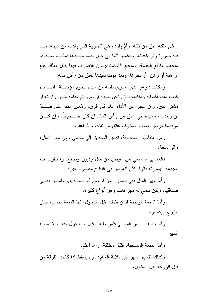علي ملكه عنقٍ من ثلثه. و أمُّ ولد: و هي الجارية التي ولدت من سيدها مـــا فيه صورة ولو خفيت، وحكمها أنها في حال حياة ســـيدها يملــك ســـيدها منافعها منافع الخدمة، ومنافع الاستمتاع دون التصرف فيها بنقل الملك ببيع أو هبة أو رهن، أو نحوها، وبعد موت سيدها نعتق من رأس ماله.

ومكانب: وهو الذي اشترى نفسه من سيده بنجوم مؤجلة، فمسا دام كذلك ملك أكسابه ومنافعه، فإن أدى لسيده أو لمن قام مقامه مـــن وارث أو مشتر عتق، وإن عجز عن الأداء عاد إلى الرق، ومُعلَّقُ عتقه على صـــفة إن وجدت، وسيده حي عتق من رأس المال إن كان صـــحيحاً، وإن كـــان مريضا مرض الموت المخوف عتق من ثلثه، والله أعلم.

ومن النقاسيم الصحيحة: تقسيم الصداق إلى مسمى وإلى مهر المثل، وإلى منعة.

فالمسمى ما سمى من عوض من مال وديون ومنافع، واغتفرت فيه الجهالة اليسيرة، قالوا: لأن العوض في النكاح مقصود لغيره.

وأمًّا مهر المثل ففي صور: لمن لم يسم لها صـــداق، ولمـــن نفـــي صداقها، ولمن سمي له مهر فاسد وهو أنواع كثيرة.

و أما المتعة الو اجبة فلمن طلقت قبل الدخول، لها المتعة بحسب بسار الزوج وإعساره.

وأما نصف المهر المسمى فلمن طلقت قبل السدخول وبعسد تسسمية المهر .

و أما المنعة المستحبة، فلكل مطلقة، و الله أعلم.

وكذلك نقسيم المهر إلى ثلاثة أقسام: تارة يسقط إذا كانت الفرقة من قُبِّل الزوجة قُبل الدخول.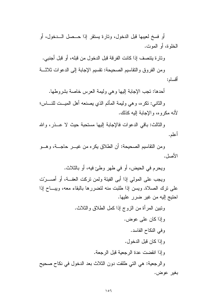أو فسخ لعيبها قبل الدخول، وتارة يستقر إذا حــصل الـــدخول، أو الخلو ة، أو الموت.

وتارة يتتصف إذا كانت الفرقة قبل الدخول من قبله، أو قبل أجنبي.

ومن الفروق والنقاسيم الصحيحة: نقسيم الإجابة إلى الدعوات ثلاثـــة أقسام:

أحدها: نجب الإجابة إليها وهي وليمة العرس خاصة بشروطها.

والثانبي: نكره، وهي وليمة المأتم الذي يصنعه أهل الميـــت للنــــاس؛ لأنه مكر و ه، و الإجابة إليه كذلك.

و الثالث: باقى الدعوات فالإجابة إليها مستحبة حيث لا عــذر ، والله أعلم.

ومن النقاسيم الصحيحة: أن الطلاق يكره من غيـــر حاجــــة، و هـــو الأصل.

ويحرم في الحيض، أو في طهر وطئ فيه، أو بالثلاث.

ويجب على المولى إذا أبي الفيئة ولمن نركت العفــة، أو أصــــرّت على نرك الصلاة. ويسن إذا طلبت منه لتضررها بالبقاء معه، ويبساح إذا احتيج اليه من غير ضرر عليها.

> ونبين المرأة من الزوج إذا كمل الطلاق والثلاث. وإذا كان على عوض. وفي النكاح الفاسد. و إذا كان قبل الدخول. و إذا انقضت عدة الرجعية قبل الرجعة.

والرجعية: هي التي طلقت دون الثلاث بعد الدخول في نكاح صحيح بغبر عوض،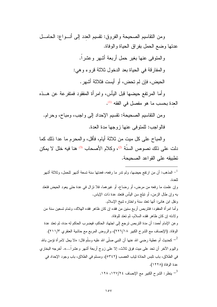ومن النقاسيم الصحيحة والفروق: تقسيم العدد إلى أنسواع: الحامــل عدنها وضع الحمل بفراق الحياة والوفاة.

والمنوفى عنها بغير حمل أربعة أشهر وعشراً.

و المفار قة في الحياة بعد الدخول ثلاثة قروء وهي:

الحيض، فإن لم تحض، أو أيست فثلاثة أشهر .

و أما المر نفع حيضـها قبل اليأس، و امر أة المفقود فمتفر عة عن هـــذه العدة بحسب ما هو مفصل في الفقه <sup>(1)</sup>.

ومن النقاسيم الصحيحة: نقسيم الإحداد إلى واجب، ومباح، وحرام. فالو اجب: للمنوفي عنها زوجها مدة العدة.

والمباح على كل ميت من ثلاثة أيام، فأقل، والمحرم ما عدا ذلك كما دلت على ذلك نصوص السنَّة <sup>(2)</sup>، وكلام الأصحاب <sup>(3)</sup> هنا فيه خلل لا يمكن تطبيقه على القواعد الصحيحة.

اسذهب: أن من ارتفع حيضها، ولم ندر ما رفعه، فعدتها سنة تسعة أشهر للحمل، وثلاثة أشهر  $^{-1}\,$ للعدة. وإن علمت ما رفعه من مرض، أو رضاع، أو غيرهما، فلا نزال في عدة حتى بعود الحيض فتعتد بـه و إن طـال الزمن، أو نبلـغ سن البيأس فنـعند عدة ذات الإيـاس. ونقل ابن هانئ: أنها تعتد سنة واختار ه شيخ الإسلام. و أما امر أة المُغقود: فنتربص أربع سنين من فقده إن كان ظاهر فقده الـهلاك، وتمام تسعين سنة من و لادته إن كان ظاهر فقده السلام، ثم تعتد للوفاة. وعن الإمام أحمد: أن مدة التربص ترجع إلى اجتهاد الحاكم، فيضرب الحاكم له مدة، ثم تعتد عدة الوفاة. (الإنصاف مع الشرح الكبير ٢٢٦/١٨)، والروض المربع مع حاشية العنقري ٢١١/٣). كحديث أم عطية رضيي الله عنها أن النبي صلَّى الله عليه وسلَّم قال: «لا يحل لامر أة نؤمن بالله  $^{-2}$ واليوم الآخر أن تحد على ميت فوق ثلاث، إلا على زوج أربعة أشهر وعشراً…». أخرجه البخاري في الطلاق، باب تلبس الحادّة ثياب العصب (٥٣٤٢)، ومسلم في الطلاق، باب وجود الإحداد في عدة الوفاة (١٢٢٨). . ينظر : الشرح الكبير مع الإنصاف ١٢٧/٢٤، ١٢٨. -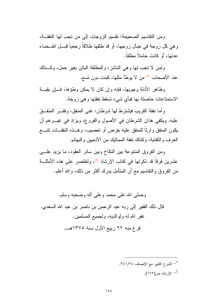ومن النقاسيم الصحيحة: نقسيم الزوجات إلى من تجب لها النفقــة، وهي كل زوجة في حبال زوجها، أو قد طلقها طلاقاً رجعياً قبـــل انقـــضاء عدتها، أو كانت حاملاً مطلقاً.

ولمن لا تجب لها وهي الناشز، والمطلقة البائن بغير حمل، وكــذلك عند الأصحاب <sup>(1)</sup> من لا يوطأ مثلها، كبنت دون تسع.

وظاهر الأدلة وجوبها، فإنه وإن كان لا يمكن وطؤها، فسإن بقيسة الاستمتاعات حاصلة بها فبأي شيء تسقط نفقتها وهي زوجة.

وأما نفقة القريب فيشترط لها شرطان: غني المنفق، وفقــــر المنفـــق عليه. ويكفي هذان الشرطان في الأصول والفروع، ويزاد في غيـــرهم أن يكون المنفق وارثا للمنفق عليه بفرض أو نعصيب، وهــذه النفقـــات نتبـــع العرف والكفاية، وكذلك نفقة المماليك من الأدميين والبهائم.

ومن الفروق المنتوعة بين النكاح وبين سائر العقود، ما يزيد علـــي عشرين فرقاً قد ذكرتها في كتاب الإرشاد <sup>(2)</sup>، ولنقتصر على هذه الأمثلــــة من الفروق والنقاسيم مـع أن المتأمل بدرك أكثر من ذلك، والله أعلم.

وصلَّى الله على محمد وعلى آله وصحبه وسلَّم. قال ذلك الفقير إلى ربه عبد الرحمن بن ناصر بن عبد الله السعدى. غفر الله لـه ولوالديه، ولـجميع المسلمين. فرغ منه ٢٢ ربيع الأول سنة ١٣٧٥هـ.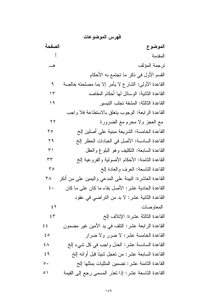فهرس الموضوعات الصفحة الموضوع المقدمة تر جمة المؤلف ه القسم الأول في ذكر ما تجتمع به الأحكام القاعدة الأولى: الشارع لا يأمر إلا بما مصلحته خالصة ٩ القاعدة الثانية: الوسائل لها أحكام المقاصد  $\gamma$ القاعدة الثالثة: المشقة تجلب التبسير  $\frac{1}{2}$ القاعدة الر ابعة: الوجوب بتعلق بالاستطاعة فلا واجب مع العجز ولا محرم مع الضرورة  $\gamma$ القاعدة الخامسة: الشريعة مبنية على أصلين إلخ  $\mathsf{Y}\circ$ القاعدة السادسة: الأصل في العبادات الحظر إلخ  $Y$  9 القاعدة السابعة: النكليف وهو البلوغ والعقل  $\tau'$ القاعدة الثامنة: الأحكام الأصولية والفروعية إلخ  $\tau\tau$ القاعدة التاسعة: العرف والعادة إلخ  $r \circ$ القاعدة العاشرة: البينة على المدعى واليمين على من أنكر  $\mathsf{r}_\Lambda$ القاعدة الحادية عشر : الأصل بقاء ما كان على ما كان  $\epsilon$ . القاعدة الثانية عشر : لا بد من التر اضبي في عقود المعاوضات  $55$  $5r$ القاعدة الثالثة عشر ة: الإتلاف إلخ القاعدة الرابعة عشر: النلف في بد الأمين غير مضمون  $\epsilon$   $\epsilon$ القاعدة الخامسة عشر: لا ضرر ولا ضرار  $\epsilon$  0 القاعدة السادسة عشر: العدل واجب في كل شيء إلخ  $2\lambda$ القاعدة السابعة عشر : من تعجل شيئاً قبل أو انه إلخ  $29$ القاعدة الثامنة عشر: تضمين المثليات بمثلها إلخ  $\circ$ . القاعدة التاسعة عشر: إذا تعذر المسمى رجع إلى القيمة  $\circ$ )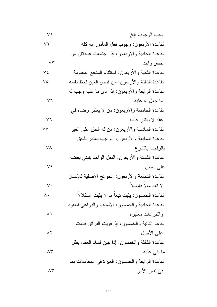$$
\vee \tau
$$

جنس واحد

$$
\vee 7
$$

$$
(\,7\,)
$$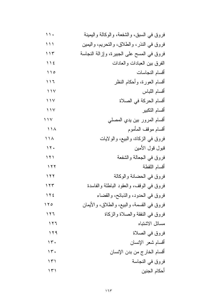| $\mathbf{1}$ .                    | فروق في السبق، والشفعة، والوكالـة واليمينـة |
|-----------------------------------|---------------------------------------------|
| ۱۱۱                               | فروق في النذر، والطلاق، والنحريم، واليمين   |
| ۱۱۳                               | فروق في المسح على الجبيرة، وإزالة النجاسة   |
| 112                               | الفرق بين العبادات والعادات                 |
| $\bigwedge$                       | أقسام النجاسات                              |
| $\setminus \setminus \mathcal{I}$ | أقسام العورة، وأحكام النظر                  |
| $\bigwedge$                       | أقسام اللباس                                |
| $\rightarrow$                     | أقسام الحركة في الصلاة                      |
| $\rightarrow$                     | أقسام التكبير                               |
| $\bigwedge$                       | أقسام المرور بين يدي المصلى                 |
| $\bigwedge$                       | أقسام موقف المأموم                          |
| ۱۱۸                               | فروق في الزكاة، والبيع، والولايات           |
| $\gamma$                          | قبول قول الأمين                             |
| $\lambda$                         | فروق في الجعالة والشفعة                     |
| $\gamma$                          | أقسام اللقطة                                |
| $\gamma$                          | فروق في الحضانة والوكالة                    |
| ۱۲۳                               | فروق في الوقف، والعقود الباطلة والفاسدة     |
| 7 T E                             | فروق في الحدود، والذبائح، والقضاء           |
| $\gamma \gamma$                   | فروق في القسمة، والبيع، والطلاق، والأيمان   |
| ۲٦ (                              | فروق في النفقة والصلاة والزكاة              |
| ۱۲٦                               | مسائل الاشتباه                              |
| 179                               | فروق في الصلاة                              |
| $\gamma$                          | أقسام شعر الإنسان                           |
| $\gamma$                          | أقسام الخارج من بدن الإنسان                 |
| ۱۳۱                               | فروق في النجاسة                             |
| ۱۳۱                               | أحكام الجنين                                |